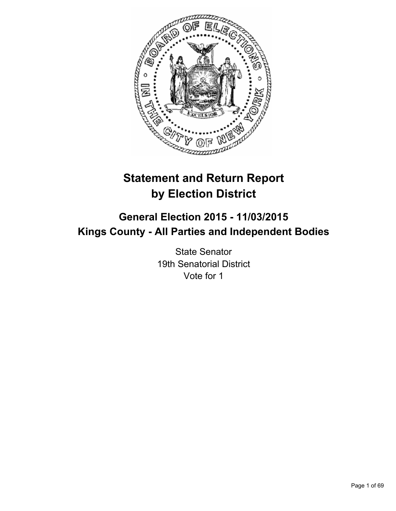

# **Statement and Return Report by Election District**

# **General Election 2015 - 11/03/2015 Kings County - All Parties and Independent Bodies**

State Senator 19th Senatorial District Vote for 1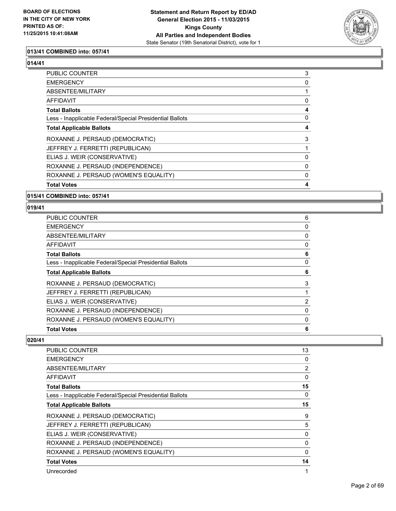

# **013/41 COMBINED into: 057/41**

#### **014/41**

| <b>Total Votes</b>                                       | 4        |
|----------------------------------------------------------|----------|
| ROXANNE J. PERSAUD (WOMEN'S EQUALITY)                    | 0        |
| ROXANNE J. PERSAUD (INDEPENDENCE)                        | $\Omega$ |
| ELIAS J. WEIR (CONSERVATIVE)                             | 0        |
| JEFFREY J. FERRETTI (REPUBLICAN)                         |          |
| ROXANNE J. PERSAUD (DEMOCRATIC)                          | 3        |
| <b>Total Applicable Ballots</b>                          | 4        |
| Less - Inapplicable Federal/Special Presidential Ballots | 0        |
| <b>Total Ballots</b>                                     | 4        |
| <b>AFFIDAVIT</b>                                         | 0        |
| ABSENTEE/MILITARY                                        |          |
| <b>EMERGENCY</b>                                         | 0        |
| PUBLIC COUNTER                                           | 3        |

## **015/41 COMBINED into: 057/41**

#### **019/41**

| PUBLIC COUNTER                                           | 6              |
|----------------------------------------------------------|----------------|
| <b>EMERGENCY</b>                                         | 0              |
| <b>ABSENTEE/MILITARY</b>                                 | 0              |
| <b>AFFIDAVIT</b>                                         | 0              |
| <b>Total Ballots</b>                                     | 6              |
| Less - Inapplicable Federal/Special Presidential Ballots | 0              |
| <b>Total Applicable Ballots</b>                          | 6              |
| ROXANNE J. PERSAUD (DEMOCRATIC)                          | 3              |
| JEFFREY J. FERRETTI (REPUBLICAN)                         |                |
| ELIAS J. WEIR (CONSERVATIVE)                             | $\overline{2}$ |
| ROXANNE J. PERSAUD (INDEPENDENCE)                        | 0              |
| ROXANNE J. PERSAUD (WOMEN'S EQUALITY)                    | 0              |
| <b>Total Votes</b>                                       | 6              |

| PUBLIC COUNTER                                           | 13 |
|----------------------------------------------------------|----|
| <b>EMERGENCY</b>                                         | 0  |
| ABSENTEE/MILITARY                                        | 2  |
| AFFIDAVIT                                                | 0  |
| <b>Total Ballots</b>                                     | 15 |
| Less - Inapplicable Federal/Special Presidential Ballots | 0  |
| <b>Total Applicable Ballots</b>                          | 15 |
| ROXANNE J. PERSAUD (DEMOCRATIC)                          | 9  |
| JEFFREY J. FERRETTI (REPUBLICAN)                         | 5  |
| ELIAS J. WEIR (CONSERVATIVE)                             | 0  |
| ROXANNE J. PERSAUD (INDEPENDENCE)                        | 0  |
| ROXANNE J. PERSAUD (WOMEN'S EQUALITY)                    | 0  |
| <b>Total Votes</b>                                       | 14 |
| Unrecorded                                               | 1  |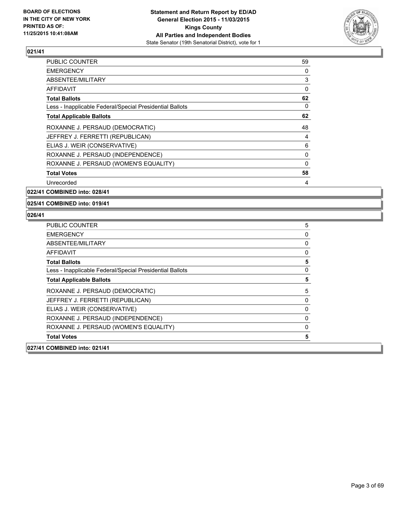

| PUBLIC COUNTER                                           | 59       |
|----------------------------------------------------------|----------|
| EMERGENCY                                                | 0        |
| ABSENTEE/MILITARY                                        | 3        |
| AFFIDAVIT                                                | 0        |
| <b>Total Ballots</b>                                     | 62       |
| Less - Inapplicable Federal/Special Presidential Ballots | 0        |
| <b>Total Applicable Ballots</b>                          | 62       |
| ROXANNE J. PERSAUD (DEMOCRATIC)                          | 48       |
| JEFFREY J. FERRETTI (REPUBLICAN)                         | 4        |
| ELIAS J. WEIR (CONSERVATIVE)                             | 6        |
| ROXANNE J. PERSAUD (INDEPENDENCE)                        | 0        |
| ROXANNE J. PERSAUD (WOMEN'S EQUALITY)                    | $\Omega$ |
| <b>Total Votes</b>                                       | 58       |
| Unrecorded                                               | 4        |
|                                                          |          |

**022/41 COMBINED into: 028/41**

**025/41 COMBINED into: 019/41**

| <b>PUBLIC COUNTER</b>                                    | 5 |
|----------------------------------------------------------|---|
| <b>EMERGENCY</b>                                         | 0 |
| ABSENTEE/MILITARY                                        | 0 |
| <b>AFFIDAVIT</b>                                         | 0 |
| <b>Total Ballots</b>                                     | 5 |
| Less - Inapplicable Federal/Special Presidential Ballots | 0 |
| <b>Total Applicable Ballots</b>                          | 5 |
| ROXANNE J. PERSAUD (DEMOCRATIC)                          | 5 |
| JEFFREY J. FERRETTI (REPUBLICAN)                         | 0 |
| ELIAS J. WEIR (CONSERVATIVE)                             | 0 |
| ROXANNE J. PERSAUD (INDEPENDENCE)                        | 0 |
| ROXANNE J. PERSAUD (WOMEN'S EQUALITY)                    | 0 |
| <b>Total Votes</b>                                       | 5 |
| 027/41 COMBINED into: 021/41                             |   |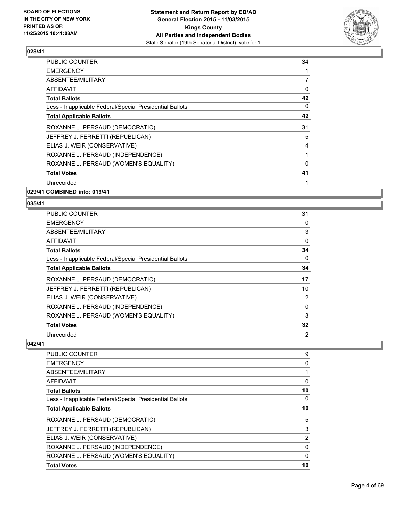

| <b>PUBLIC COUNTER</b>                                    | 34             |
|----------------------------------------------------------|----------------|
| <b>EMERGENCY</b>                                         |                |
| ABSENTEE/MILITARY                                        | $\overline{7}$ |
| AFFIDAVIT                                                | 0              |
| <b>Total Ballots</b>                                     | 42             |
| Less - Inapplicable Federal/Special Presidential Ballots | 0              |
| <b>Total Applicable Ballots</b>                          | 42             |
| ROXANNE J. PERSAUD (DEMOCRATIC)                          | 31             |
| JEFFREY J. FERRETTI (REPUBLICAN)                         | 5              |
| ELIAS J. WEIR (CONSERVATIVE)                             | 4              |
| ROXANNE J. PERSAUD (INDEPENDENCE)                        |                |
| ROXANNE J. PERSAUD (WOMEN'S EQUALITY)                    | $\Omega$       |
| <b>Total Votes</b>                                       | 41             |
| Unrecorded                                               |                |
|                                                          |                |

**029/41 COMBINED into: 019/41**

#### **035/41**

| <b>PUBLIC COUNTER</b>                                    | 31 |
|----------------------------------------------------------|----|
| <b>EMERGENCY</b>                                         | 0  |
| ABSENTEE/MILITARY                                        | 3  |
| AFFIDAVIT                                                | 0  |
| Total Ballots                                            | 34 |
| Less - Inapplicable Federal/Special Presidential Ballots | 0  |
| <b>Total Applicable Ballots</b>                          | 34 |
| ROXANNE J. PERSAUD (DEMOCRATIC)                          | 17 |
| JEFFREY J. FERRETTI (REPUBLICAN)                         | 10 |
| ELIAS J. WEIR (CONSERVATIVE)                             | 2  |
| ROXANNE J. PERSAUD (INDEPENDENCE)                        | 0  |
| ROXANNE J. PERSAUD (WOMEN'S EQUALITY)                    | 3  |
| <b>Total Votes</b>                                       | 32 |
| Unrecorded                                               | 2  |

| <b>PUBLIC COUNTER</b>                                    | 9  |
|----------------------------------------------------------|----|
| <b>EMERGENCY</b>                                         | 0  |
| ABSENTEE/MILITARY                                        |    |
| AFFIDAVIT                                                | 0  |
| Total Ballots                                            | 10 |
| Less - Inapplicable Federal/Special Presidential Ballots | 0  |
| <b>Total Applicable Ballots</b>                          | 10 |
| ROXANNE J. PERSAUD (DEMOCRATIC)                          | 5  |
| JEFFREY J. FERRETTI (REPUBLICAN)                         | 3  |
| ELIAS J. WEIR (CONSERVATIVE)                             | 2  |
| ROXANNE J. PERSAUD (INDEPENDENCE)                        | 0  |
| ROXANNE J. PERSAUD (WOMEN'S EQUALITY)                    | 0  |
| <b>Total Votes</b>                                       | 10 |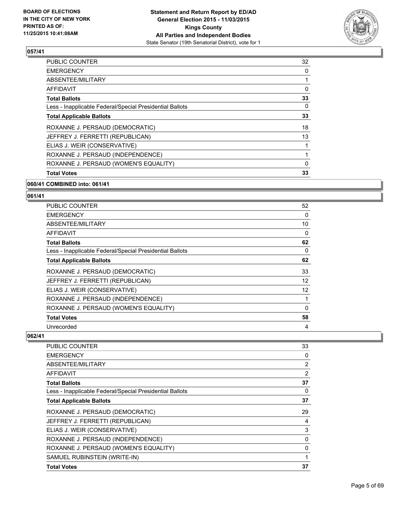

| <b>Total Votes</b>                                       | 33 |
|----------------------------------------------------------|----|
| ROXANNE J. PERSAUD (WOMEN'S EQUALITY)                    | 0  |
| ROXANNE J. PERSAUD (INDEPENDENCE)                        |    |
| ELIAS J. WEIR (CONSERVATIVE)                             |    |
| JEFFREY J. FERRETTI (REPUBLICAN)                         | 13 |
| ROXANNE J. PERSAUD (DEMOCRATIC)                          | 18 |
| <b>Total Applicable Ballots</b>                          | 33 |
| Less - Inapplicable Federal/Special Presidential Ballots | 0  |
| <b>Total Ballots</b>                                     | 33 |
| AFFIDAVIT                                                | 0  |
| ABSENTEE/MILITARY                                        |    |
| <b>EMERGENCY</b>                                         | 0  |
| <b>PUBLIC COUNTER</b>                                    | 32 |

#### **060/41 COMBINED into: 061/41**

# **061/41**

| <b>PUBLIC COUNTER</b>                                    | 52 |
|----------------------------------------------------------|----|
| <b>EMERGENCY</b>                                         | 0  |
| ABSENTEE/MILITARY                                        | 10 |
| AFFIDAVIT                                                | 0  |
| <b>Total Ballots</b>                                     | 62 |
| Less - Inapplicable Federal/Special Presidential Ballots | 0  |
| <b>Total Applicable Ballots</b>                          | 62 |
| ROXANNE J. PERSAUD (DEMOCRATIC)                          | 33 |
| JEFFREY J. FERRETTI (REPUBLICAN)                         | 12 |
| ELIAS J. WEIR (CONSERVATIVE)                             | 12 |
| ROXANNE J. PERSAUD (INDEPENDENCE)                        | 1  |
| ROXANNE J. PERSAUD (WOMEN'S EQUALITY)                    | 0  |
| <b>Total Votes</b>                                       | 58 |
| Unrecorded                                               | 4  |

| <b>PUBLIC COUNTER</b>                                    | 33 |
|----------------------------------------------------------|----|
| <b>EMERGENCY</b>                                         | 0  |
| ABSENTEE/MILITARY                                        | 2  |
| AFFIDAVIT                                                | 2  |
| <b>Total Ballots</b>                                     | 37 |
| Less - Inapplicable Federal/Special Presidential Ballots | 0  |
| <b>Total Applicable Ballots</b>                          | 37 |
| ROXANNE J. PERSAUD (DEMOCRATIC)                          | 29 |
| JEFFREY J. FERRETTI (REPUBLICAN)                         | 4  |
| ELIAS J. WEIR (CONSERVATIVE)                             | 3  |
| ROXANNE J. PERSAUD (INDEPENDENCE)                        | 0  |
| ROXANNE J. PERSAUD (WOMEN'S EQUALITY)                    | 0  |
| SAMUEL RUBINSTEIN (WRITE-IN)                             | 1  |
| <b>Total Votes</b>                                       | 37 |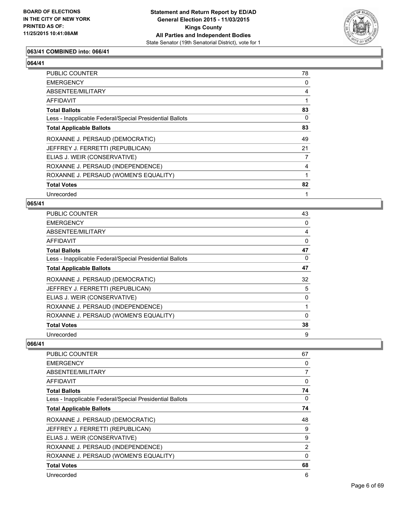

## **063/41 COMBINED into: 066/41**

#### **064/41**

| <b>PUBLIC COUNTER</b>                                    | 78          |
|----------------------------------------------------------|-------------|
| <b>EMERGENCY</b>                                         | 0           |
| ABSENTEE/MILITARY                                        | 4           |
| <b>AFFIDAVIT</b>                                         |             |
| <b>Total Ballots</b>                                     | 83          |
| Less - Inapplicable Federal/Special Presidential Ballots | $\Omega$    |
| <b>Total Applicable Ballots</b>                          | 83          |
| ROXANNE J. PERSAUD (DEMOCRATIC)                          | 49          |
| JEFFREY J. FERRETTI (REPUBLICAN)                         | 21          |
| ELIAS J. WEIR (CONSERVATIVE)                             | 7           |
| ROXANNE J. PERSAUD (INDEPENDENCE)                        | 4           |
| ROXANNE J. PERSAUD (WOMEN'S EQUALITY)                    | $\mathbf 1$ |
| <b>Total Votes</b>                                       | 82          |
| Unrecorded                                               |             |

#### **065/41**

| <b>PUBLIC COUNTER</b>                                    | 43 |
|----------------------------------------------------------|----|
| <b>EMERGENCY</b>                                         | 0  |
| ABSENTEE/MILITARY                                        | 4  |
| AFFIDAVIT                                                | 0  |
| <b>Total Ballots</b>                                     | 47 |
| Less - Inapplicable Federal/Special Presidential Ballots | 0  |
| <b>Total Applicable Ballots</b>                          | 47 |
| ROXANNE J. PERSAUD (DEMOCRATIC)                          | 32 |
| JEFFREY J. FERRETTI (REPUBLICAN)                         | 5  |
| ELIAS J. WEIR (CONSERVATIVE)                             | 0  |
| ROXANNE J. PERSAUD (INDEPENDENCE)                        | 1  |
| ROXANNE J. PERSAUD (WOMEN'S EQUALITY)                    | 0  |
| <b>Total Votes</b>                                       | 38 |
| Unrecorded                                               | 9  |

| <b>PUBLIC COUNTER</b>                                    | 67             |
|----------------------------------------------------------|----------------|
| <b>EMERGENCY</b>                                         | 0              |
| ABSENTEE/MILITARY                                        | 7              |
| AFFIDAVIT                                                | 0              |
| <b>Total Ballots</b>                                     | 74             |
| Less - Inapplicable Federal/Special Presidential Ballots | 0              |
| <b>Total Applicable Ballots</b>                          | 74             |
| ROXANNE J. PERSAUD (DEMOCRATIC)                          | 48             |
| JEFFREY J. FERRETTI (REPUBLICAN)                         | 9              |
| ELIAS J. WEIR (CONSERVATIVE)                             | 9              |
| ROXANNE J. PERSAUD (INDEPENDENCE)                        | $\overline{2}$ |
| ROXANNE J. PERSAUD (WOMEN'S EQUALITY)                    | 0              |
| <b>Total Votes</b>                                       | 68             |
| Unrecorded                                               | 6              |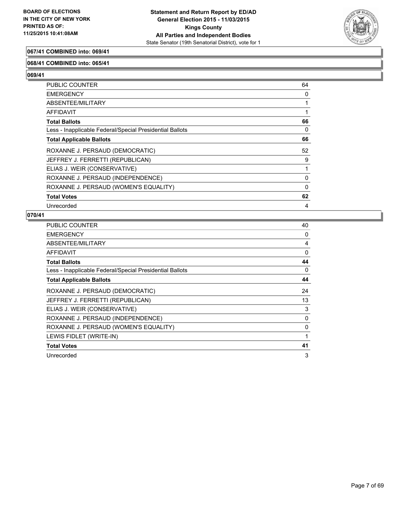

#### **067/41 COMBINED into: 069/41**

#### **068/41 COMBINED into: 065/41**

**069/41** 

| <b>PUBLIC COUNTER</b>                                    | 64       |
|----------------------------------------------------------|----------|
| <b>EMERGENCY</b>                                         | 0        |
| <b>ABSENTEE/MILITARY</b>                                 |          |
| AFFIDAVIT                                                |          |
| <b>Total Ballots</b>                                     | 66       |
| Less - Inapplicable Federal/Special Presidential Ballots | 0        |
| <b>Total Applicable Ballots</b>                          | 66       |
| ROXANNE J. PERSAUD (DEMOCRATIC)                          | 52       |
| JEFFREY J. FERRETTI (REPUBLICAN)                         | 9        |
| ELIAS J. WEIR (CONSERVATIVE)                             |          |
| ROXANNE J. PERSAUD (INDEPENDENCE)                        | 0        |
| ROXANNE J. PERSAUD (WOMEN'S EQUALITY)                    | $\Omega$ |
| <b>Total Votes</b>                                       | 62       |
| Unrecorded                                               | 4        |

| PUBLIC COUNTER                                           | 40 |
|----------------------------------------------------------|----|
| <b>EMERGENCY</b>                                         | 0  |
| ABSENTEE/MILITARY                                        | 4  |
| <b>AFFIDAVIT</b>                                         | 0  |
| <b>Total Ballots</b>                                     | 44 |
| Less - Inapplicable Federal/Special Presidential Ballots | 0  |
| <b>Total Applicable Ballots</b>                          | 44 |
| ROXANNE J. PERSAUD (DEMOCRATIC)                          | 24 |
| JEFFREY J. FERRETTI (REPUBLICAN)                         | 13 |
| ELIAS J. WEIR (CONSERVATIVE)                             | 3  |
| ROXANNE J. PERSAUD (INDEPENDENCE)                        | 0  |
| ROXANNE J. PERSAUD (WOMEN'S EQUALITY)                    | 0  |
| LEWIS FIDLET (WRITE-IN)                                  | 1  |
| <b>Total Votes</b>                                       | 41 |
| Unrecorded                                               | 3  |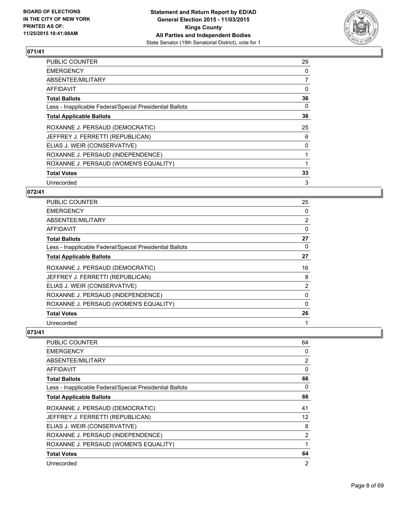

| <b>PUBLIC COUNTER</b>                                    | 29 |
|----------------------------------------------------------|----|
| <b>EMERGENCY</b>                                         | 0  |
| ABSENTEE/MILITARY                                        | 7  |
| AFFIDAVIT                                                | 0  |
| <b>Total Ballots</b>                                     | 36 |
| Less - Inapplicable Federal/Special Presidential Ballots | 0  |
| <b>Total Applicable Ballots</b>                          | 36 |
| ROXANNE J. PERSAUD (DEMOCRATIC)                          | 25 |
| JEFFREY J. FERRETTI (REPUBLICAN)                         | 6  |
| ELIAS J. WEIR (CONSERVATIVE)                             | 0  |
| ROXANNE J. PERSAUD (INDEPENDENCE)                        |    |
| ROXANNE J. PERSAUD (WOMEN'S EQUALITY)                    |    |
| <b>Total Votes</b>                                       | 33 |
| Unrecorded                                               | 3  |

# **072/41**

| PUBLIC COUNTER                                           | 25             |
|----------------------------------------------------------|----------------|
| <b>EMERGENCY</b>                                         | 0              |
| ABSENTEE/MILITARY                                        | $\overline{2}$ |
| AFFIDAVIT                                                | 0              |
| <b>Total Ballots</b>                                     | 27             |
| Less - Inapplicable Federal/Special Presidential Ballots | 0              |
| <b>Total Applicable Ballots</b>                          | 27             |
| ROXANNE J. PERSAUD (DEMOCRATIC)                          | 16             |
| JEFFREY J. FERRETTI (REPUBLICAN)                         | 8              |
| ELIAS J. WEIR (CONSERVATIVE)                             | 2              |
| ROXANNE J. PERSAUD (INDEPENDENCE)                        | 0              |
| ROXANNE J. PERSAUD (WOMEN'S EQUALITY)                    | 0              |
| <b>Total Votes</b>                                       | 26             |
| Unrecorded                                               | 1              |

| <b>PUBLIC COUNTER</b>                                    | 64 |
|----------------------------------------------------------|----|
| <b>EMERGENCY</b>                                         | 0  |
| ABSENTEE/MILITARY                                        | 2  |
| <b>AFFIDAVIT</b>                                         | 0  |
| <b>Total Ballots</b>                                     | 66 |
| Less - Inapplicable Federal/Special Presidential Ballots | 0  |
| <b>Total Applicable Ballots</b>                          | 66 |
| ROXANNE J. PERSAUD (DEMOCRATIC)                          | 41 |
| JEFFREY J. FERRETTI (REPUBLICAN)                         | 12 |
| ELIAS J. WEIR (CONSERVATIVE)                             | 8  |
| ROXANNE J. PERSAUD (INDEPENDENCE)                        | 2  |
| ROXANNE J. PERSAUD (WOMEN'S EQUALITY)                    | 1  |
| <b>Total Votes</b>                                       | 64 |
| Unrecorded                                               | 2  |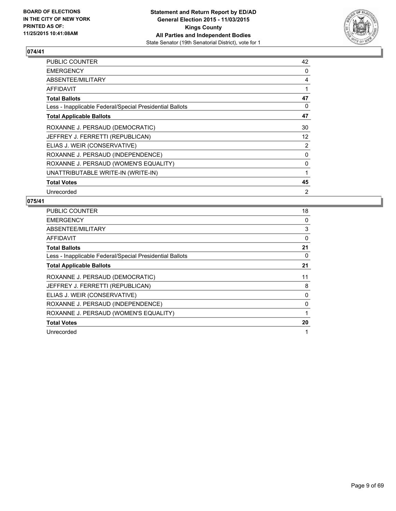

| PUBLIC COUNTER                                           | 42             |
|----------------------------------------------------------|----------------|
| <b>EMERGENCY</b>                                         | 0              |
| ABSENTEE/MILITARY                                        | 4              |
| <b>AFFIDAVIT</b>                                         | 1              |
| <b>Total Ballots</b>                                     | 47             |
| Less - Inapplicable Federal/Special Presidential Ballots | 0              |
| <b>Total Applicable Ballots</b>                          | 47             |
| ROXANNE J. PERSAUD (DEMOCRATIC)                          | 30             |
| JEFFREY J. FERRETTI (REPUBLICAN)                         | 12             |
| ELIAS J. WEIR (CONSERVATIVE)                             | $\overline{2}$ |
| ROXANNE J. PERSAUD (INDEPENDENCE)                        | 0              |
| ROXANNE J. PERSAUD (WOMEN'S EQUALITY)                    | 0              |
| UNATTRIBUTABLE WRITE-IN (WRITE-IN)                       | 1              |
| <b>Total Votes</b>                                       | 45             |
| Unrecorded                                               | 2              |

| <b>PUBLIC COUNTER</b>                                    | 18 |
|----------------------------------------------------------|----|
| <b>EMERGENCY</b>                                         | 0  |
| <b>ABSENTEE/MILITARY</b>                                 | 3  |
| <b>AFFIDAVIT</b>                                         | 0  |
| <b>Total Ballots</b>                                     | 21 |
| Less - Inapplicable Federal/Special Presidential Ballots | 0  |
| <b>Total Applicable Ballots</b>                          | 21 |
| ROXANNE J. PERSAUD (DEMOCRATIC)                          | 11 |
| JEFFREY J. FERRETTI (REPUBLICAN)                         | 8  |
| ELIAS J. WEIR (CONSERVATIVE)                             | 0  |
| ROXANNE J. PERSAUD (INDEPENDENCE)                        | 0  |
| ROXANNE J. PERSAUD (WOMEN'S EQUALITY)                    |    |
| <b>Total Votes</b>                                       | 20 |
| Unrecorded                                               | 1  |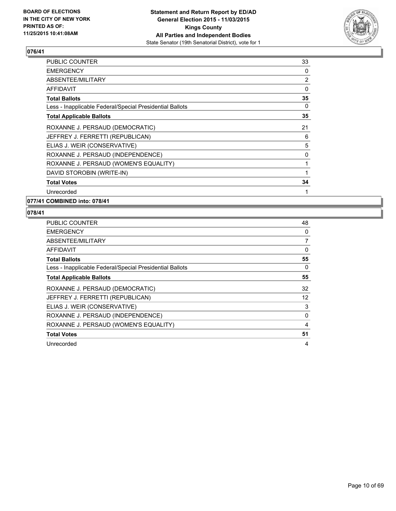

| PUBLIC COUNTER                                           | 33 |
|----------------------------------------------------------|----|
| <b>EMERGENCY</b>                                         | 0  |
| ABSENTEE/MILITARY                                        | 2  |
| AFFIDAVIT                                                | 0  |
| <b>Total Ballots</b>                                     | 35 |
| Less - Inapplicable Federal/Special Presidential Ballots | 0  |
| <b>Total Applicable Ballots</b>                          | 35 |
| ROXANNE J. PERSAUD (DEMOCRATIC)                          | 21 |
| JEFFREY J. FERRETTI (REPUBLICAN)                         | 6  |
| ELIAS J. WEIR (CONSERVATIVE)                             | 5  |
| ROXANNE J. PERSAUD (INDEPENDENCE)                        | 0  |
| ROXANNE J. PERSAUD (WOMEN'S EQUALITY)                    |    |
| DAVID STOROBIN (WRITE-IN)                                | 1  |
| <b>Total Votes</b>                                       | 34 |
| Unrecorded                                               | 1  |
|                                                          |    |

**077/41 COMBINED into: 078/41**

| <b>PUBLIC COUNTER</b>                                    | 48 |
|----------------------------------------------------------|----|
| <b>EMERGENCY</b>                                         | 0  |
| ABSENTEE/MILITARY                                        | 7  |
| AFFIDAVIT                                                | 0  |
| <b>Total Ballots</b>                                     | 55 |
| Less - Inapplicable Federal/Special Presidential Ballots | 0  |
| <b>Total Applicable Ballots</b>                          | 55 |
| ROXANNE J. PERSAUD (DEMOCRATIC)                          | 32 |
| JEFFREY J. FERRETTI (REPUBLICAN)                         | 12 |
| ELIAS J. WEIR (CONSERVATIVE)                             | 3  |
| ROXANNE J. PERSAUD (INDEPENDENCE)                        | 0  |
| ROXANNE J. PERSAUD (WOMEN'S EQUALITY)                    | 4  |
| <b>Total Votes</b>                                       | 51 |
| Unrecorded                                               | 4  |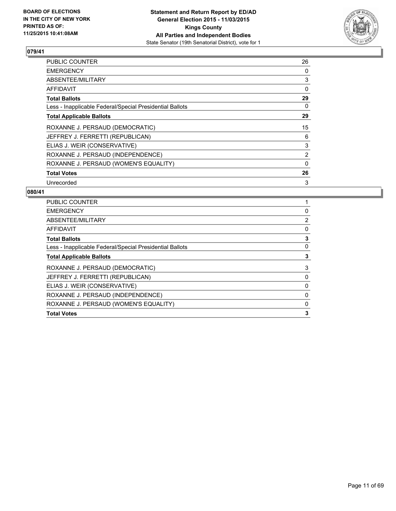

| <b>PUBLIC COUNTER</b>                                    | 26             |
|----------------------------------------------------------|----------------|
| <b>EMERGENCY</b>                                         | 0              |
| ABSENTEE/MILITARY                                        | 3              |
| AFFIDAVIT                                                | 0              |
| <b>Total Ballots</b>                                     | 29             |
| Less - Inapplicable Federal/Special Presidential Ballots | 0              |
| <b>Total Applicable Ballots</b>                          | 29             |
| ROXANNE J. PERSAUD (DEMOCRATIC)                          | 15             |
| JEFFREY J. FERRETTI (REPUBLICAN)                         | 6              |
| ELIAS J. WEIR (CONSERVATIVE)                             | 3              |
| ROXANNE J. PERSAUD (INDEPENDENCE)                        | $\overline{2}$ |
| ROXANNE J. PERSAUD (WOMEN'S EQUALITY)                    | $\Omega$       |
| <b>Total Votes</b>                                       | 26             |
| Unrecorded                                               | 3              |

| PUBLIC COUNTER                                           |                |
|----------------------------------------------------------|----------------|
| <b>EMERGENCY</b>                                         | 0              |
| ABSENTEE/MILITARY                                        | $\overline{2}$ |
| AFFIDAVIT                                                | 0              |
| <b>Total Ballots</b>                                     | 3              |
| Less - Inapplicable Federal/Special Presidential Ballots | 0              |
| <b>Total Applicable Ballots</b>                          | 3              |
| ROXANNE J. PERSAUD (DEMOCRATIC)                          | 3              |
| JEFFREY J. FERRETTI (REPUBLICAN)                         | 0              |
| ELIAS J. WEIR (CONSERVATIVE)                             | 0              |
| ROXANNE J. PERSAUD (INDEPENDENCE)                        | 0              |
| ROXANNE J. PERSAUD (WOMEN'S EQUALITY)                    | 0              |
| <b>Total Votes</b>                                       | 3              |
|                                                          |                |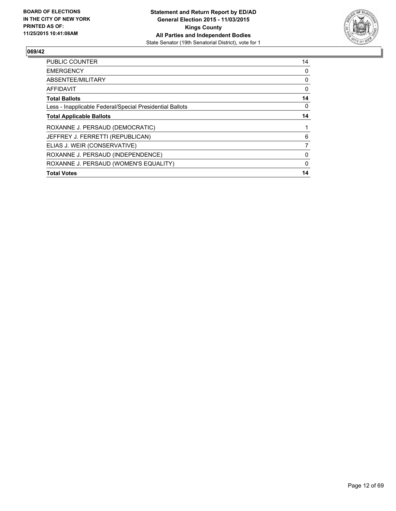

| <b>PUBLIC COUNTER</b>                                    | 14 |
|----------------------------------------------------------|----|
| <b>EMERGENCY</b>                                         | 0  |
| ABSENTEE/MILITARY                                        | 0  |
| AFFIDAVIT                                                | 0  |
| <b>Total Ballots</b>                                     | 14 |
| Less - Inapplicable Federal/Special Presidential Ballots | 0  |
| <b>Total Applicable Ballots</b>                          | 14 |
| ROXANNE J. PERSAUD (DEMOCRATIC)                          |    |
| JEFFREY J. FERRETTI (REPUBLICAN)                         | 6  |
| ELIAS J. WEIR (CONSERVATIVE)                             | 7  |
| ROXANNE J. PERSAUD (INDEPENDENCE)                        | 0  |
| ROXANNE J. PERSAUD (WOMEN'S EQUALITY)                    | 0  |
| <b>Total Votes</b>                                       | 14 |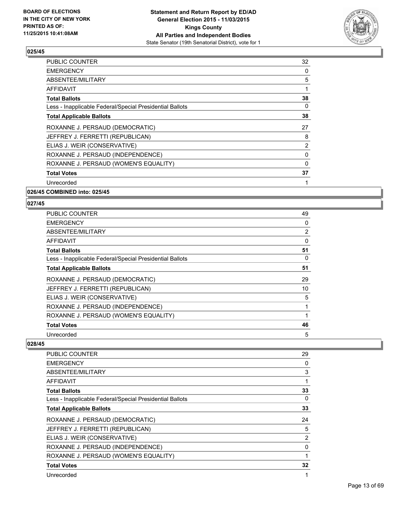

| <b>PUBLIC COUNTER</b>                                    | 32             |
|----------------------------------------------------------|----------------|
| <b>EMERGENCY</b>                                         | 0              |
| ABSENTEE/MILITARY                                        | 5              |
| AFFIDAVIT                                                | 1              |
| <b>Total Ballots</b>                                     | 38             |
| Less - Inapplicable Federal/Special Presidential Ballots | 0              |
| <b>Total Applicable Ballots</b>                          | 38             |
| ROXANNE J. PERSAUD (DEMOCRATIC)                          | 27             |
| JEFFREY J. FERRETTI (REPUBLICAN)                         | 8              |
| ELIAS J. WEIR (CONSERVATIVE)                             | $\overline{2}$ |
| ROXANNE J. PERSAUD (INDEPENDENCE)                        | 0              |
| ROXANNE J. PERSAUD (WOMEN'S EQUALITY)                    | 0              |
| <b>Total Votes</b>                                       | 37             |
| Unrecorded                                               |                |
| 026/45 COMBINED into: 025/45                             |                |

#### **027/45**

| <b>PUBLIC COUNTER</b>                                    | 49 |
|----------------------------------------------------------|----|
| <b>EMERGENCY</b>                                         | 0  |
| ABSENTEE/MILITARY                                        | 2  |
| <b>AFFIDAVIT</b>                                         | 0  |
| <b>Total Ballots</b>                                     | 51 |
| Less - Inapplicable Federal/Special Presidential Ballots | 0  |
| <b>Total Applicable Ballots</b>                          | 51 |
| ROXANNE J. PERSAUD (DEMOCRATIC)                          | 29 |
| JEFFREY J. FERRETTI (REPUBLICAN)                         | 10 |
| ELIAS J. WEIR (CONSERVATIVE)                             | 5  |
| ROXANNE J. PERSAUD (INDEPENDENCE)                        | 1  |
| ROXANNE J. PERSAUD (WOMEN'S EQUALITY)                    |    |
| <b>Total Votes</b>                                       | 46 |
| Unrecorded                                               | 5  |

| PUBLIC COUNTER                                           | 29             |
|----------------------------------------------------------|----------------|
| <b>EMERGENCY</b>                                         | 0              |
| ABSENTEE/MILITARY                                        | 3              |
| AFFIDAVIT                                                |                |
| <b>Total Ballots</b>                                     | 33             |
| Less - Inapplicable Federal/Special Presidential Ballots | 0              |
| <b>Total Applicable Ballots</b>                          | 33             |
| ROXANNE J. PERSAUD (DEMOCRATIC)                          | 24             |
| JEFFREY J. FERRETTI (REPUBLICAN)                         | 5              |
| ELIAS J. WEIR (CONSERVATIVE)                             | $\overline{2}$ |
| ROXANNE J. PERSAUD (INDEPENDENCE)                        | 0              |
| ROXANNE J. PERSAUD (WOMEN'S EQUALITY)                    |                |
| <b>Total Votes</b>                                       | 32             |
| Unrecorded                                               |                |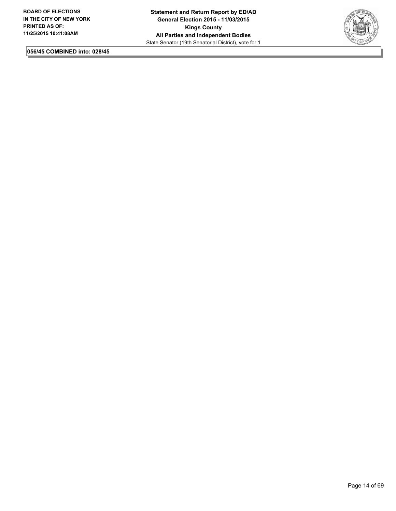

**056/45 COMBINED into: 028/45**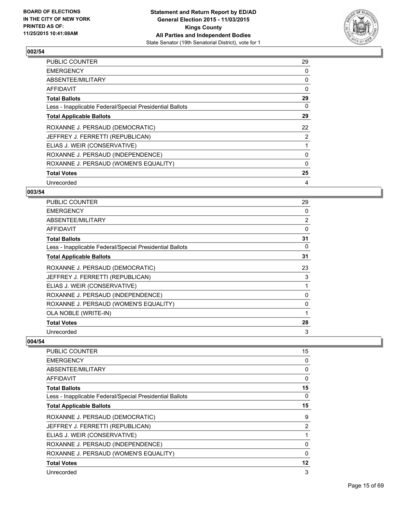

| <b>PUBLIC COUNTER</b>                                    | 29             |
|----------------------------------------------------------|----------------|
| <b>EMERGENCY</b>                                         | 0              |
| ABSENTEE/MILITARY                                        | 0              |
| AFFIDAVIT                                                | 0              |
| <b>Total Ballots</b>                                     | 29             |
| Less - Inapplicable Federal/Special Presidential Ballots | 0              |
| <b>Total Applicable Ballots</b>                          | 29             |
| ROXANNE J. PERSAUD (DEMOCRATIC)                          | 22             |
| JEFFREY J. FERRETTI (REPUBLICAN)                         | $\overline{2}$ |
| ELIAS J. WEIR (CONSERVATIVE)                             |                |
| ROXANNE J. PERSAUD (INDEPENDENCE)                        | 0              |
| ROXANNE J. PERSAUD (WOMEN'S EQUALITY)                    | 0              |
| <b>Total Votes</b>                                       | 25             |
| Unrecorded                                               | 4              |

# **003/54**

| PUBLIC COUNTER                                           | 29             |
|----------------------------------------------------------|----------------|
| <b>EMERGENCY</b>                                         | 0              |
| ABSENTEE/MILITARY                                        | $\overline{2}$ |
| AFFIDAVIT                                                | 0              |
| Total Ballots                                            | 31             |
| Less - Inapplicable Federal/Special Presidential Ballots | 0              |
| <b>Total Applicable Ballots</b>                          | 31             |
| ROXANNE J. PERSAUD (DEMOCRATIC)                          | 23             |
| JEFFREY J. FERRETTI (REPUBLICAN)                         | 3              |
| ELIAS J. WEIR (CONSERVATIVE)                             | 1              |
| ROXANNE J. PERSAUD (INDEPENDENCE)                        | 0              |
| ROXANNE J. PERSAUD (WOMEN'S EQUALITY)                    | 0              |
| OLA NOBLE (WRITE-IN)                                     |                |
| <b>Total Votes</b>                                       | 28             |
| Unrecorded                                               | 3              |

| <b>PUBLIC COUNTER</b>                                    | 15 |
|----------------------------------------------------------|----|
| <b>EMERGENCY</b>                                         | 0  |
| ABSENTEE/MILITARY                                        | 0  |
| AFFIDAVIT                                                | 0  |
| <b>Total Ballots</b>                                     | 15 |
| Less - Inapplicable Federal/Special Presidential Ballots | 0  |
| <b>Total Applicable Ballots</b>                          | 15 |
| ROXANNE J. PERSAUD (DEMOCRATIC)                          | 9  |
| JEFFREY J. FERRETTI (REPUBLICAN)                         | 2  |
| ELIAS J. WEIR (CONSERVATIVE)                             | 1  |
| ROXANNE J. PERSAUD (INDEPENDENCE)                        | 0  |
| ROXANNE J. PERSAUD (WOMEN'S EQUALITY)                    | 0  |
| <b>Total Votes</b>                                       | 12 |
| Unrecorded                                               | 3  |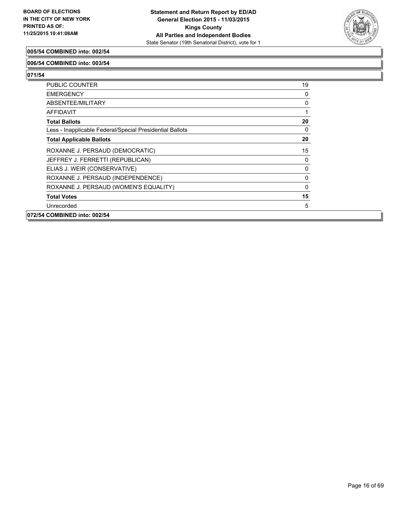

#### **005/54 COMBINED into: 002/54**

#### **006/54 COMBINED into: 003/54**

| PUBLIC COUNTER                                           | 19       |
|----------------------------------------------------------|----------|
| <b>EMERGENCY</b>                                         | 0        |
| ABSENTEE/MILITARY                                        | 0        |
| <b>AFFIDAVIT</b>                                         | 1        |
| <b>Total Ballots</b>                                     | 20       |
| Less - Inapplicable Federal/Special Presidential Ballots | 0        |
| <b>Total Applicable Ballots</b>                          | 20       |
| ROXANNE J. PERSAUD (DEMOCRATIC)                          | 15       |
| JEFFREY J. FERRETTI (REPUBLICAN)                         | 0        |
| ELIAS J. WEIR (CONSERVATIVE)                             | 0        |
| ROXANNE J. PERSAUD (INDEPENDENCE)                        | 0        |
| ROXANNE J. PERSAUD (WOMEN'S EQUALITY)                    | $\Omega$ |
| <b>Total Votes</b>                                       | 15       |
| Unrecorded                                               | 5        |
| 072/54 COMBINED into: 002/54                             |          |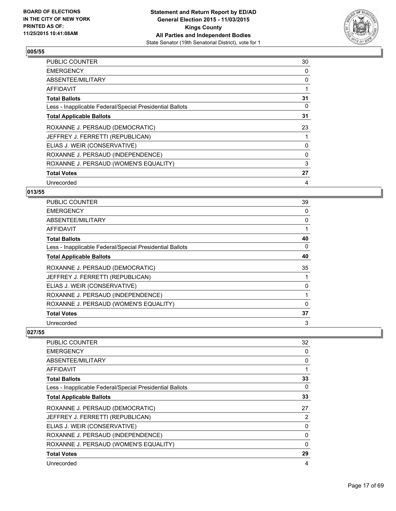

| <b>PUBLIC COUNTER</b>                                    | 30 |
|----------------------------------------------------------|----|
| <b>EMERGENCY</b>                                         | 0  |
| ABSENTEE/MILITARY                                        | 0  |
| AFFIDAVIT                                                |    |
| <b>Total Ballots</b>                                     | 31 |
| Less - Inapplicable Federal/Special Presidential Ballots | 0  |
| <b>Total Applicable Ballots</b>                          | 31 |
| ROXANNE J. PERSAUD (DEMOCRATIC)                          | 23 |
| JEFFREY J. FERRETTI (REPUBLICAN)                         |    |
| ELIAS J. WEIR (CONSERVATIVE)                             | 0  |
| ROXANNE J. PERSAUD (INDEPENDENCE)                        | 0  |
| ROXANNE J. PERSAUD (WOMEN'S EQUALITY)                    | 3  |
| <b>Total Votes</b>                                       | 27 |
| Unrecorded                                               | 4  |

# **013/55**

| PUBLIC COUNTER                                           | 39 |
|----------------------------------------------------------|----|
| <b>EMERGENCY</b>                                         | 0  |
| ABSENTEE/MILITARY                                        | 0  |
| AFFIDAVIT                                                |    |
| <b>Total Ballots</b>                                     | 40 |
| Less - Inapplicable Federal/Special Presidential Ballots | 0  |
| <b>Total Applicable Ballots</b>                          | 40 |
| ROXANNE J. PERSAUD (DEMOCRATIC)                          | 35 |
| JEFFREY J. FERRETTI (REPUBLICAN)                         |    |
| ELIAS J. WEIR (CONSERVATIVE)                             | 0  |
| ROXANNE J. PERSAUD (INDEPENDENCE)                        |    |
| ROXANNE J. PERSAUD (WOMEN'S EQUALITY)                    | 0  |
| <b>Total Votes</b>                                       | 37 |
| Unrecorded                                               | 3  |

| PUBLIC COUNTER                                           | 32       |
|----------------------------------------------------------|----------|
| <b>EMERGENCY</b>                                         | 0        |
| ABSENTEE/MILITARY                                        | 0        |
| AFFIDAVIT                                                |          |
| <b>Total Ballots</b>                                     | 33       |
| Less - Inapplicable Federal/Special Presidential Ballots | 0        |
| <b>Total Applicable Ballots</b>                          | 33       |
| ROXANNE J. PERSAUD (DEMOCRATIC)                          | 27       |
| JEFFREY J. FERRETTI (REPUBLICAN)                         | 2        |
| ELIAS J. WEIR (CONSERVATIVE)                             | 0        |
| ROXANNE J. PERSAUD (INDEPENDENCE)                        | 0        |
| ROXANNE J. PERSAUD (WOMEN'S EQUALITY)                    | $\Omega$ |
| <b>Total Votes</b>                                       | 29       |
| Unrecorded                                               | 4        |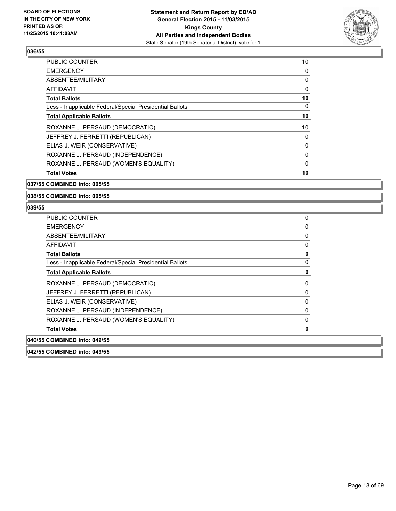

| <b>Total Votes</b>                                       | 10 |
|----------------------------------------------------------|----|
| ROXANNE J. PERSAUD (WOMEN'S EQUALITY)                    | 0  |
| ROXANNE J. PERSAUD (INDEPENDENCE)                        | 0  |
| ELIAS J. WEIR (CONSERVATIVE)                             | 0  |
| JEFFREY J. FERRETTI (REPUBLICAN)                         | 0  |
| ROXANNE J. PERSAUD (DEMOCRATIC)                          | 10 |
| <b>Total Applicable Ballots</b>                          | 10 |
| Less - Inapplicable Federal/Special Presidential Ballots | 0  |
| <b>Total Ballots</b>                                     | 10 |
| AFFIDAVIT                                                | 0  |
| ABSENTEE/MILITARY                                        | 0  |
| <b>EMERGENCY</b>                                         | 0  |
| <b>PUBLIC COUNTER</b>                                    | 10 |

**037/55 COMBINED into: 005/55**

**038/55 COMBINED into: 005/55**

#### **039/55**

| <b>PUBLIC COUNTER</b>                                    | 0 |
|----------------------------------------------------------|---|
| <b>EMERGENCY</b>                                         | 0 |
| <b>ABSENTEE/MILITARY</b>                                 | 0 |
| AFFIDAVIT                                                | 0 |
| <b>Total Ballots</b>                                     | 0 |
| Less - Inapplicable Federal/Special Presidential Ballots | 0 |
| <b>Total Applicable Ballots</b>                          | 0 |
| ROXANNE J. PERSAUD (DEMOCRATIC)                          | 0 |
| JEFFREY J. FERRETTI (REPUBLICAN)                         | 0 |
| ELIAS J. WEIR (CONSERVATIVE)                             | 0 |
| ROXANNE J. PERSAUD (INDEPENDENCE)                        | 0 |
| ROXANNE J. PERSAUD (WOMEN'S EQUALITY)                    | 0 |
| <b>Total Votes</b>                                       | 0 |
| 040/55 COMBINED into: 049/55                             |   |

**042/55 COMBINED into: 049/55**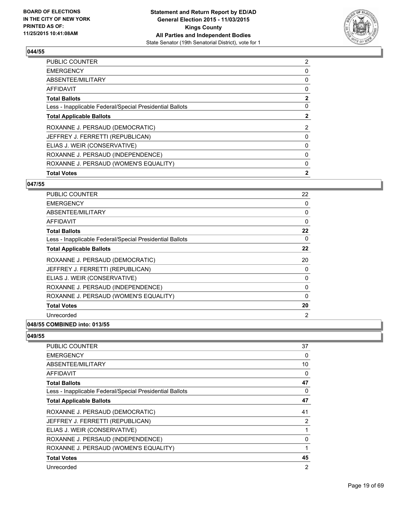

| <b>Total Votes</b>                                       | $\mathbf{2}$   |
|----------------------------------------------------------|----------------|
| ROXANNE J. PERSAUD (WOMEN'S EQUALITY)                    | 0              |
| ROXANNE J. PERSAUD (INDEPENDENCE)                        | 0              |
| ELIAS J. WEIR (CONSERVATIVE)                             | 0              |
| JEFFREY J. FERRETTI (REPUBLICAN)                         | 0              |
| ROXANNE J. PERSAUD (DEMOCRATIC)                          | $\overline{2}$ |
| <b>Total Applicable Ballots</b>                          | $\mathbf{2}$   |
| Less - Inapplicable Federal/Special Presidential Ballots | 0              |
| <b>Total Ballots</b>                                     | $\overline{2}$ |
| <b>AFFIDAVIT</b>                                         | 0              |
| ABSENTEE/MILITARY                                        | 0              |
| <b>EMERGENCY</b>                                         | 0              |
| <b>PUBLIC COUNTER</b>                                    | 2              |

# **047/55**

| <b>PUBLIC COUNTER</b>                                    | 22 |
|----------------------------------------------------------|----|
| <b>EMERGENCY</b>                                         | 0  |
| ABSENTEE/MILITARY                                        | 0  |
| AFFIDAVIT                                                | 0  |
| <b>Total Ballots</b>                                     | 22 |
| Less - Inapplicable Federal/Special Presidential Ballots | 0  |
| <b>Total Applicable Ballots</b>                          | 22 |
| ROXANNE J. PERSAUD (DEMOCRATIC)                          | 20 |
| JEFFREY J. FERRETTI (REPUBLICAN)                         | 0  |
| ELIAS J. WEIR (CONSERVATIVE)                             | 0  |
| ROXANNE J. PERSAUD (INDEPENDENCE)                        | 0  |
| ROXANNE J. PERSAUD (WOMEN'S EQUALITY)                    | 0  |
| <b>Total Votes</b>                                       | 20 |
| Unrecorded                                               | 2  |
| COMBINED : 049/EE                                        |    |

## **048/55 COMBINED into: 013/55**

| <b>PUBLIC COUNTER</b>                                    | 37             |
|----------------------------------------------------------|----------------|
| <b>EMERGENCY</b>                                         | 0              |
| ABSENTEE/MILITARY                                        | 10             |
| AFFIDAVIT                                                | 0              |
| <b>Total Ballots</b>                                     | 47             |
| Less - Inapplicable Federal/Special Presidential Ballots | 0              |
| <b>Total Applicable Ballots</b>                          | 47             |
| ROXANNE J. PERSAUD (DEMOCRATIC)                          | 41             |
| JEFFREY J. FERRETTI (REPUBLICAN)                         | 2              |
| ELIAS J. WEIR (CONSERVATIVE)                             | 1              |
| ROXANNE J. PERSAUD (INDEPENDENCE)                        | 0              |
| ROXANNE J. PERSAUD (WOMEN'S EQUALITY)                    | 1              |
| <b>Total Votes</b>                                       | 45             |
| Unrecorded                                               | $\overline{2}$ |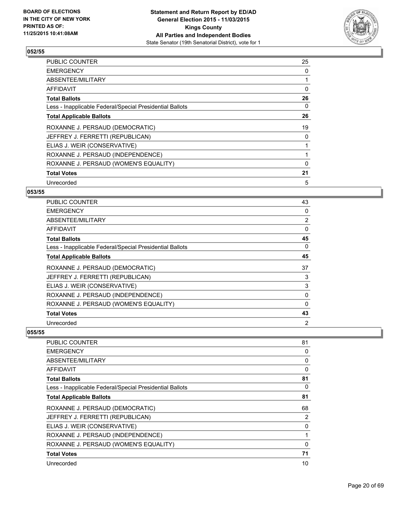

| <b>PUBLIC COUNTER</b>                                    | 25 |
|----------------------------------------------------------|----|
| <b>EMERGENCY</b>                                         | 0  |
| ABSENTEE/MILITARY                                        |    |
| AFFIDAVIT                                                | 0  |
| <b>Total Ballots</b>                                     | 26 |
| Less - Inapplicable Federal/Special Presidential Ballots | 0  |
| <b>Total Applicable Ballots</b>                          | 26 |
| ROXANNE J. PERSAUD (DEMOCRATIC)                          | 19 |
| JEFFREY J. FERRETTI (REPUBLICAN)                         | 0  |
| ELIAS J. WEIR (CONSERVATIVE)                             |    |
| ROXANNE J. PERSAUD (INDEPENDENCE)                        |    |
| ROXANNE J. PERSAUD (WOMEN'S EQUALITY)                    | 0  |
| <b>Total Votes</b>                                       | 21 |
| Unrecorded                                               | 5  |

# **053/55**

| PUBLIC COUNTER                                           | 43             |
|----------------------------------------------------------|----------------|
| <b>EMERGENCY</b>                                         | 0              |
| ABSENTEE/MILITARY                                        | $\overline{2}$ |
| AFFIDAVIT                                                | 0              |
| Total Ballots                                            | 45             |
| Less - Inapplicable Federal/Special Presidential Ballots | $\Omega$       |
| <b>Total Applicable Ballots</b>                          | 45             |
| ROXANNE J. PERSAUD (DEMOCRATIC)                          | 37             |
| JEFFREY J. FERRETTI (REPUBLICAN)                         | 3              |
| ELIAS J. WEIR (CONSERVATIVE)                             | 3              |
| ROXANNE J. PERSAUD (INDEPENDENCE)                        | 0              |
| ROXANNE J. PERSAUD (WOMEN'S EQUALITY)                    | 0              |
| <b>Total Votes</b>                                       | 43             |
| Unrecorded                                               | 2              |

| PUBLIC COUNTER                                           | 81 |
|----------------------------------------------------------|----|
| <b>EMERGENCY</b>                                         | 0  |
| ABSENTEE/MILITARY                                        | 0  |
| AFFIDAVIT                                                | 0  |
| <b>Total Ballots</b>                                     | 81 |
| Less - Inapplicable Federal/Special Presidential Ballots | 0  |
| <b>Total Applicable Ballots</b>                          | 81 |
| ROXANNE J. PERSAUD (DEMOCRATIC)                          | 68 |
| JEFFREY J. FERRETTI (REPUBLICAN)                         | 2  |
| ELIAS J. WEIR (CONSERVATIVE)                             | 0  |
| ROXANNE J. PERSAUD (INDEPENDENCE)                        |    |
| ROXANNE J. PERSAUD (WOMEN'S EQUALITY)                    | 0  |
| <b>Total Votes</b>                                       | 71 |
| Unrecorded                                               | 10 |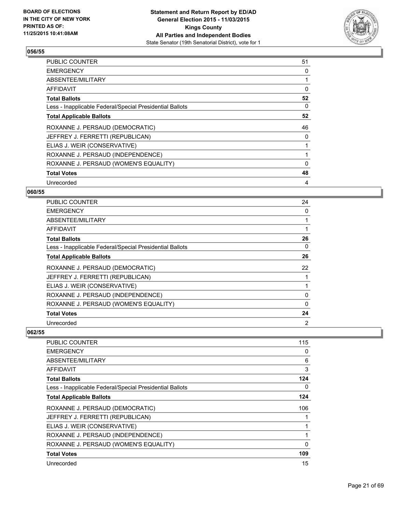

| <b>PUBLIC COUNTER</b>                                    | 51 |
|----------------------------------------------------------|----|
| <b>EMERGENCY</b>                                         | 0  |
| ABSENTEE/MILITARY                                        |    |
| AFFIDAVIT                                                | 0  |
| <b>Total Ballots</b>                                     | 52 |
| Less - Inapplicable Federal/Special Presidential Ballots | 0  |
| <b>Total Applicable Ballots</b>                          | 52 |
| ROXANNE J. PERSAUD (DEMOCRATIC)                          | 46 |
| JEFFREY J. FERRETTI (REPUBLICAN)                         | 0  |
| ELIAS J. WEIR (CONSERVATIVE)                             |    |
| ROXANNE J. PERSAUD (INDEPENDENCE)                        |    |
| ROXANNE J. PERSAUD (WOMEN'S EQUALITY)                    | 0  |
| <b>Total Votes</b>                                       | 48 |
| Unrecorded                                               | 4  |

# **060/55**

| <b>PUBLIC COUNTER</b>                                    | 24       |
|----------------------------------------------------------|----------|
| <b>EMERGENCY</b>                                         | 0        |
| ABSENTEE/MILITARY                                        |          |
| <b>AFFIDAVIT</b>                                         |          |
| <b>Total Ballots</b>                                     | 26       |
| Less - Inapplicable Federal/Special Presidential Ballots | 0        |
| <b>Total Applicable Ballots</b>                          | 26       |
| ROXANNE J. PERSAUD (DEMOCRATIC)                          | 22       |
| JEFFREY J. FERRETTI (REPUBLICAN)                         |          |
| ELIAS J. WEIR (CONSERVATIVE)                             |          |
| ROXANNE J. PERSAUD (INDEPENDENCE)                        | 0        |
| ROXANNE J. PERSAUD (WOMEN'S EQUALITY)                    | $\Omega$ |
| <b>Total Votes</b>                                       | 24       |
| Unrecorded                                               | 2        |

| PUBLIC COUNTER                                           | 115      |
|----------------------------------------------------------|----------|
| <b>EMERGENCY</b>                                         | 0        |
| ABSENTEE/MILITARY                                        | 6        |
| AFFIDAVIT                                                | 3        |
| <b>Total Ballots</b>                                     | 124      |
| Less - Inapplicable Federal/Special Presidential Ballots | 0        |
| <b>Total Applicable Ballots</b>                          | 124      |
| ROXANNE J. PERSAUD (DEMOCRATIC)                          | 106      |
| JEFFREY J. FERRETTI (REPUBLICAN)                         | 1        |
| ELIAS J. WEIR (CONSERVATIVE)                             | 1        |
| ROXANNE J. PERSAUD (INDEPENDENCE)                        |          |
| ROXANNE J. PERSAUD (WOMEN'S EQUALITY)                    | $\Omega$ |
| <b>Total Votes</b>                                       | 109      |
| Unrecorded                                               | 15       |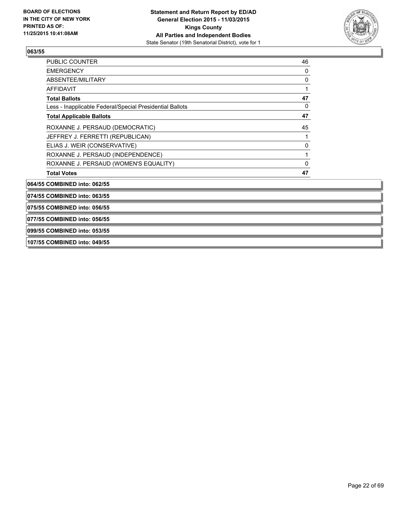

| PUBLIC COUNTER                                           | 46 |
|----------------------------------------------------------|----|
| <b>EMERGENCY</b>                                         | 0  |
| ABSENTEE/MILITARY                                        | 0  |
| <b>AFFIDAVIT</b>                                         |    |
| <b>Total Ballots</b>                                     | 47 |
| Less - Inapplicable Federal/Special Presidential Ballots | 0  |
| <b>Total Applicable Ballots</b>                          | 47 |
| ROXANNE J. PERSAUD (DEMOCRATIC)                          | 45 |
| JEFFREY J. FERRETTI (REPUBLICAN)                         |    |
| ELIAS J. WEIR (CONSERVATIVE)                             | 0  |
| ROXANNE J. PERSAUD (INDEPENDENCE)                        |    |
| ROXANNE J. PERSAUD (WOMEN'S EQUALITY)                    | 0  |
| <b>Total Votes</b>                                       | 47 |
| 064/55 COMBINED into: 062/55                             |    |
| 074/55 COMBINED into: 063/55                             |    |
| 075/55 COMBINED into: 056/55                             |    |
| 077/55 COMBINED into: 056/55                             |    |
| 099/55 COMBINED into: 053/55                             |    |
| 107/55 COMBINED into: 049/55                             |    |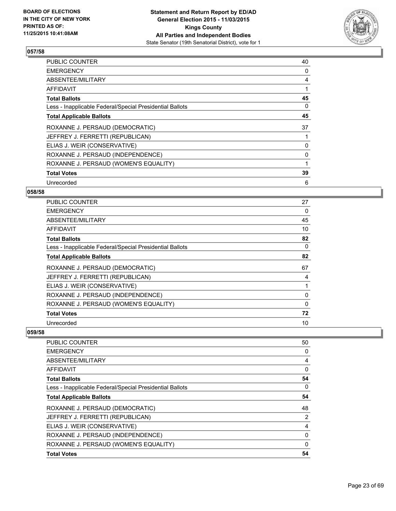

| <b>PUBLIC COUNTER</b>                                    | 40 |
|----------------------------------------------------------|----|
| <b>EMERGENCY</b>                                         | 0  |
| ABSENTEE/MILITARY                                        | 4  |
| AFFIDAVIT                                                |    |
| <b>Total Ballots</b>                                     | 45 |
| Less - Inapplicable Federal/Special Presidential Ballots | 0  |
| <b>Total Applicable Ballots</b>                          | 45 |
| ROXANNE J. PERSAUD (DEMOCRATIC)                          | 37 |
| JEFFREY J. FERRETTI (REPUBLICAN)                         |    |
| ELIAS J. WEIR (CONSERVATIVE)                             | 0  |
| ROXANNE J. PERSAUD (INDEPENDENCE)                        | 0  |
| ROXANNE J. PERSAUD (WOMEN'S EQUALITY)                    |    |
| <b>Total Votes</b>                                       | 39 |
| Unrecorded                                               | 6  |

# **058/58**

| <b>PUBLIC COUNTER</b>                                    | 27 |
|----------------------------------------------------------|----|
| <b>EMERGENCY</b>                                         | 0  |
| ABSENTEE/MILITARY                                        | 45 |
| AFFIDAVIT                                                | 10 |
| <b>Total Ballots</b>                                     | 82 |
| Less - Inapplicable Federal/Special Presidential Ballots | 0  |
| <b>Total Applicable Ballots</b>                          | 82 |
| ROXANNE J. PERSAUD (DEMOCRATIC)                          | 67 |
| JEFFREY J. FERRETTI (REPUBLICAN)                         | 4  |
| ELIAS J. WEIR (CONSERVATIVE)                             |    |
| ROXANNE J. PERSAUD (INDEPENDENCE)                        | 0  |
| ROXANNE J. PERSAUD (WOMEN'S EQUALITY)                    | 0  |
| <b>Total Votes</b>                                       | 72 |
| Unrecorded                                               | 10 |

| <b>PUBLIC COUNTER</b>                                    | 50             |
|----------------------------------------------------------|----------------|
| <b>EMERGENCY</b>                                         | 0              |
| ABSENTEE/MILITARY                                        | 4              |
| AFFIDAVIT                                                | 0              |
| <b>Total Ballots</b>                                     | 54             |
| Less - Inapplicable Federal/Special Presidential Ballots | 0              |
| <b>Total Applicable Ballots</b>                          | 54             |
| ROXANNE J. PERSAUD (DEMOCRATIC)                          | 48             |
| JEFFREY J. FERRETTI (REPUBLICAN)                         | $\overline{2}$ |
| ELIAS J. WEIR (CONSERVATIVE)                             | 4              |
| ROXANNE J. PERSAUD (INDEPENDENCE)                        | 0              |
| ROXANNE J. PERSAUD (WOMEN'S EQUALITY)                    | $\Omega$       |
| <b>Total Votes</b>                                       | 54             |
|                                                          |                |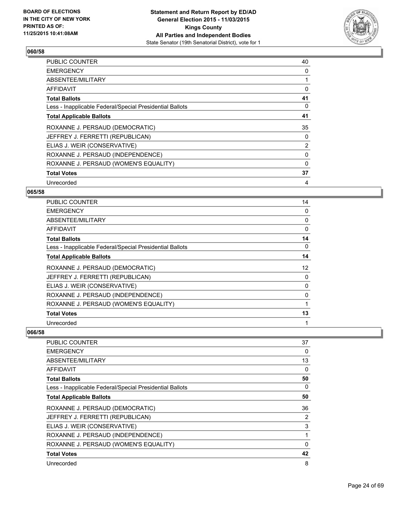

| <b>PUBLIC COUNTER</b>                                    | 40 |
|----------------------------------------------------------|----|
| <b>EMERGENCY</b>                                         | 0  |
| ABSENTEE/MILITARY                                        |    |
| AFFIDAVIT                                                | 0  |
| <b>Total Ballots</b>                                     | 41 |
| Less - Inapplicable Federal/Special Presidential Ballots | 0  |
| <b>Total Applicable Ballots</b>                          | 41 |
| ROXANNE J. PERSAUD (DEMOCRATIC)                          | 35 |
| JEFFREY J. FERRETTI (REPUBLICAN)                         | 0  |
| ELIAS J. WEIR (CONSERVATIVE)                             | 2  |
| ROXANNE J. PERSAUD (INDEPENDENCE)                        | 0  |
| ROXANNE J. PERSAUD (WOMEN'S EQUALITY)                    | 0  |
| <b>Total Votes</b>                                       | 37 |
| Unrecorded                                               | 4  |

# **065/58**

| PUBLIC COUNTER                                           | 14 |
|----------------------------------------------------------|----|
| <b>EMERGENCY</b>                                         | 0  |
| ABSENTEE/MILITARY                                        | 0  |
| AFFIDAVIT                                                | 0  |
| <b>Total Ballots</b>                                     | 14 |
| Less - Inapplicable Federal/Special Presidential Ballots | 0  |
| <b>Total Applicable Ballots</b>                          | 14 |
| ROXANNE J. PERSAUD (DEMOCRATIC)                          | 12 |
| JEFFREY J. FERRETTI (REPUBLICAN)                         | 0  |
| ELIAS J. WEIR (CONSERVATIVE)                             | 0  |
| ROXANNE J. PERSAUD (INDEPENDENCE)                        | 0  |
| ROXANNE J. PERSAUD (WOMEN'S EQUALITY)                    |    |
| <b>Total Votes</b>                                       | 13 |
| Unrecorded                                               | 1  |

| <b>PUBLIC COUNTER</b>                                    | 37       |
|----------------------------------------------------------|----------|
| <b>EMERGENCY</b>                                         | 0        |
| ABSENTEE/MILITARY                                        | 13       |
| AFFIDAVIT                                                | 0        |
| <b>Total Ballots</b>                                     | 50       |
| Less - Inapplicable Federal/Special Presidential Ballots | 0        |
| <b>Total Applicable Ballots</b>                          | 50       |
| ROXANNE J. PERSAUD (DEMOCRATIC)                          | 36       |
| JEFFREY J. FERRETTI (REPUBLICAN)                         | 2        |
| ELIAS J. WEIR (CONSERVATIVE)                             | 3        |
| ROXANNE J. PERSAUD (INDEPENDENCE)                        |          |
| ROXANNE J. PERSAUD (WOMEN'S EQUALITY)                    | $\Omega$ |
| <b>Total Votes</b>                                       | 42       |
| Unrecorded                                               | 8        |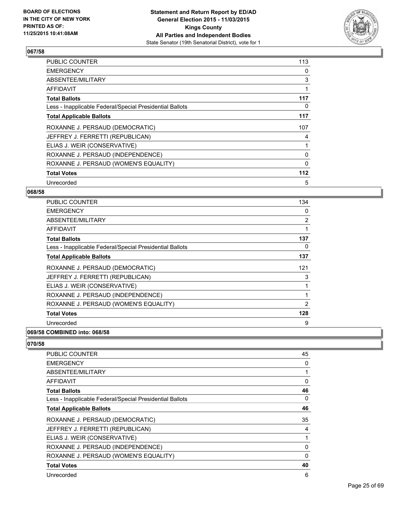

| <b>PUBLIC COUNTER</b>                                    | 113   |
|----------------------------------------------------------|-------|
| <b>EMERGENCY</b>                                         | 0     |
| ABSENTEE/MILITARY                                        | 3     |
| AFFIDAVIT                                                |       |
| <b>Total Ballots</b>                                     | 117   |
| Less - Inapplicable Federal/Special Presidential Ballots | 0     |
| <b>Total Applicable Ballots</b>                          | 117   |
| ROXANNE J. PERSAUD (DEMOCRATIC)                          | 107   |
| JEFFREY J. FERRETTI (REPUBLICAN)                         | 4     |
| ELIAS J. WEIR (CONSERVATIVE)                             |       |
| ROXANNE J. PERSAUD (INDEPENDENCE)                        | 0     |
| ROXANNE J. PERSAUD (WOMEN'S EQUALITY)                    | 0     |
| <b>Total Votes</b>                                       | $112$ |
| Unrecorded                                               | 5     |

# **068/58**

| <b>PUBLIC COUNTER</b>                                    | 134 |
|----------------------------------------------------------|-----|
| <b>EMERGENCY</b>                                         | 0   |
| ABSENTEE/MILITARY                                        | 2   |
| AFFIDAVIT                                                | 1   |
| <b>Total Ballots</b>                                     | 137 |
| Less - Inapplicable Federal/Special Presidential Ballots | 0   |
| <b>Total Applicable Ballots</b>                          | 137 |
| ROXANNE J. PERSAUD (DEMOCRATIC)                          | 121 |
| JEFFREY J. FERRETTI (REPUBLICAN)                         | 3   |
| ELIAS J. WEIR (CONSERVATIVE)                             | 1   |
| ROXANNE J. PERSAUD (INDEPENDENCE)                        | 1   |
| ROXANNE J. PERSAUD (WOMEN'S EQUALITY)                    | 2   |
| <b>Total Votes</b>                                       | 128 |
| Unrecorded                                               | 9   |
|                                                          |     |

#### **069/58 COMBINED into: 068/58**

| <b>PUBLIC COUNTER</b>                                    | 45 |
|----------------------------------------------------------|----|
| <b>EMERGENCY</b>                                         | 0  |
| ABSENTEE/MILITARY                                        | 1  |
| <b>AFFIDAVIT</b>                                         | 0  |
| <b>Total Ballots</b>                                     | 46 |
| Less - Inapplicable Federal/Special Presidential Ballots | 0  |
| <b>Total Applicable Ballots</b>                          | 46 |
| ROXANNE J. PERSAUD (DEMOCRATIC)                          | 35 |
| JEFFREY J. FERRETTI (REPUBLICAN)                         | 4  |
| ELIAS J. WEIR (CONSERVATIVE)                             | 1  |
| ROXANNE J. PERSAUD (INDEPENDENCE)                        | 0  |
| ROXANNE J. PERSAUD (WOMEN'S EQUALITY)                    | 0  |
| <b>Total Votes</b>                                       | 40 |
| Unrecorded                                               | 6  |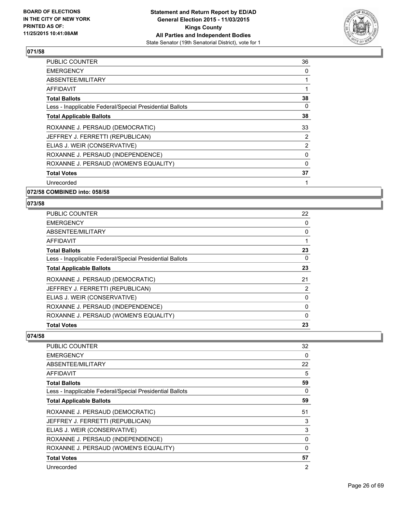

| <b>PUBLIC COUNTER</b>                                    | 36             |
|----------------------------------------------------------|----------------|
| <b>EMERGENCY</b>                                         | 0              |
| ABSENTEE/MILITARY                                        |                |
| AFFIDAVIT                                                |                |
| <b>Total Ballots</b>                                     | 38             |
| Less - Inapplicable Federal/Special Presidential Ballots | 0              |
| <b>Total Applicable Ballots</b>                          | 38             |
| ROXANNE J. PERSAUD (DEMOCRATIC)                          | 33             |
| JEFFREY J. FERRETTI (REPUBLICAN)                         | 2              |
| ELIAS J. WEIR (CONSERVATIVE)                             | $\overline{2}$ |
| ROXANNE J. PERSAUD (INDEPENDENCE)                        | 0              |
| ROXANNE J. PERSAUD (WOMEN'S EQUALITY)                    | $\Omega$       |
| <b>Total Votes</b>                                       | 37             |
| Unrecorded                                               |                |
|                                                          |                |

**072/58 COMBINED into: 058/58**

#### **073/58**

| <b>PUBLIC COUNTER</b>                                    | 22       |
|----------------------------------------------------------|----------|
| <b>EMERGENCY</b>                                         | 0        |
| ABSENTEE/MILITARY                                        | 0        |
| AFFIDAVIT                                                |          |
| <b>Total Ballots</b>                                     | 23       |
| Less - Inapplicable Federal/Special Presidential Ballots | 0        |
| <b>Total Applicable Ballots</b>                          | 23       |
| ROXANNE J. PERSAUD (DEMOCRATIC)                          | 21       |
| JEFFREY J. FERRETTI (REPUBLICAN)                         | 2        |
| ELIAS J. WEIR (CONSERVATIVE)                             | 0        |
| ROXANNE J. PERSAUD (INDEPENDENCE)                        | 0        |
| ROXANNE J. PERSAUD (WOMEN'S EQUALITY)                    | $\Omega$ |
| <b>Total Votes</b>                                       | 23       |

| <b>PUBLIC COUNTER</b>                                    | 32             |
|----------------------------------------------------------|----------------|
| <b>EMERGENCY</b>                                         | 0              |
| ABSENTEE/MILITARY                                        | 22             |
| <b>AFFIDAVIT</b>                                         | 5              |
| <b>Total Ballots</b>                                     | 59             |
| Less - Inapplicable Federal/Special Presidential Ballots | 0              |
| <b>Total Applicable Ballots</b>                          | 59             |
| ROXANNE J. PERSAUD (DEMOCRATIC)                          | 51             |
| JEFFREY J. FERRETTI (REPUBLICAN)                         | 3              |
| ELIAS J. WEIR (CONSERVATIVE)                             | 3              |
| ROXANNE J. PERSAUD (INDEPENDENCE)                        | 0              |
| ROXANNE J. PERSAUD (WOMEN'S EQUALITY)                    | 0              |
| <b>Total Votes</b>                                       | 57             |
| Unrecorded                                               | $\overline{2}$ |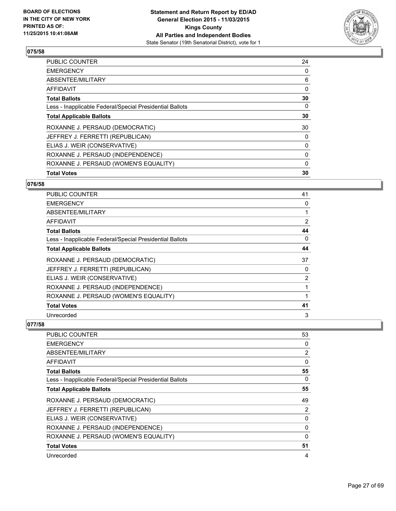

| <b>Total Votes</b>                                       | 30       |
|----------------------------------------------------------|----------|
| ROXANNE J. PERSAUD (WOMEN'S EQUALITY)                    | 0        |
| ROXANNE J. PERSAUD (INDEPENDENCE)                        | 0        |
| ELIAS J. WEIR (CONSERVATIVE)                             | 0        |
| JEFFREY J. FERRETTI (REPUBLICAN)                         | 0        |
| ROXANNE J. PERSAUD (DEMOCRATIC)                          | 30       |
| <b>Total Applicable Ballots</b>                          | 30       |
| Less - Inapplicable Federal/Special Presidential Ballots | 0        |
| <b>Total Ballots</b>                                     | 30       |
| <b>AFFIDAVIT</b>                                         | $\Omega$ |
| ABSENTEE/MILITARY                                        | 6        |
| <b>EMERGENCY</b>                                         | 0        |
| <b>PUBLIC COUNTER</b>                                    | 24       |

# **076/58**

| <b>PUBLIC COUNTER</b>                                    | 41 |
|----------------------------------------------------------|----|
| <b>EMERGENCY</b>                                         | 0  |
| ABSENTEE/MILITARY                                        | 1  |
| <b>AFFIDAVIT</b>                                         | 2  |
| <b>Total Ballots</b>                                     | 44 |
| Less - Inapplicable Federal/Special Presidential Ballots | 0  |
| <b>Total Applicable Ballots</b>                          | 44 |
| ROXANNE J. PERSAUD (DEMOCRATIC)                          | 37 |
| JEFFREY J. FERRETTI (REPUBLICAN)                         | 0  |
| ELIAS J. WEIR (CONSERVATIVE)                             | 2  |
| ROXANNE J. PERSAUD (INDEPENDENCE)                        | 1  |
| ROXANNE J. PERSAUD (WOMEN'S EQUALITY)                    | 1  |
| <b>Total Votes</b>                                       | 41 |
| Unrecorded                                               | 3  |

| PUBLIC COUNTER                                           | 53             |
|----------------------------------------------------------|----------------|
| <b>EMERGENCY</b>                                         | 0              |
| ABSENTEE/MILITARY                                        | $\overline{2}$ |
| <b>AFFIDAVIT</b>                                         | 0              |
| <b>Total Ballots</b>                                     | 55             |
| Less - Inapplicable Federal/Special Presidential Ballots | 0              |
| <b>Total Applicable Ballots</b>                          | 55             |
| ROXANNE J. PERSAUD (DEMOCRATIC)                          | 49             |
| JEFFREY J. FERRETTI (REPUBLICAN)                         | 2              |
| ELIAS J. WEIR (CONSERVATIVE)                             | 0              |
| ROXANNE J. PERSAUD (INDEPENDENCE)                        | 0              |
| ROXANNE J. PERSAUD (WOMEN'S EQUALITY)                    | 0              |
| <b>Total Votes</b>                                       | 51             |
| Unrecorded                                               | 4              |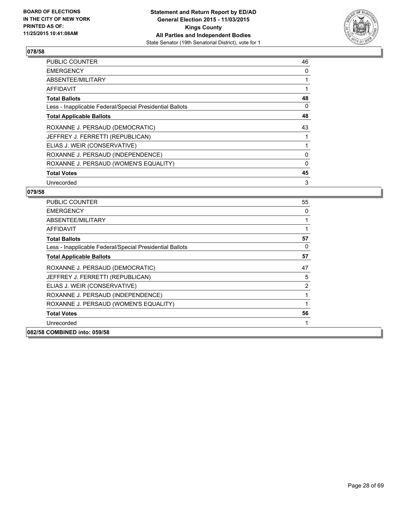

| <b>PUBLIC COUNTER</b>                                    | 46 |
|----------------------------------------------------------|----|
| <b>EMERGENCY</b>                                         | 0  |
| ABSENTEE/MILITARY                                        |    |
| AFFIDAVIT                                                |    |
| <b>Total Ballots</b>                                     | 48 |
| Less - Inapplicable Federal/Special Presidential Ballots | 0  |
| <b>Total Applicable Ballots</b>                          | 48 |
| ROXANNE J. PERSAUD (DEMOCRATIC)                          | 43 |
| JEFFREY J. FERRETTI (REPUBLICAN)                         |    |
| ELIAS J. WEIR (CONSERVATIVE)                             |    |
| ROXANNE J. PERSAUD (INDEPENDENCE)                        | 0  |
| ROXANNE J. PERSAUD (WOMEN'S EQUALITY)                    | 0  |
| <b>Total Votes</b>                                       | 45 |
| Unrecorded                                               | 3  |

| <b>PUBLIC COUNTER</b>                                    | 55 |
|----------------------------------------------------------|----|
| <b>EMERGENCY</b>                                         | 0  |
| ABSENTEE/MILITARY                                        | 1  |
| AFFIDAVIT                                                |    |
| <b>Total Ballots</b>                                     | 57 |
| Less - Inapplicable Federal/Special Presidential Ballots | 0  |
| <b>Total Applicable Ballots</b>                          | 57 |
| ROXANNE J. PERSAUD (DEMOCRATIC)                          | 47 |
| JEFFREY J. FERRETTI (REPUBLICAN)                         | 5  |
| ELIAS J. WEIR (CONSERVATIVE)                             | 2  |
| ROXANNE J. PERSAUD (INDEPENDENCE)                        | 1  |
| ROXANNE J. PERSAUD (WOMEN'S EQUALITY)                    | 1  |
| <b>Total Votes</b>                                       | 56 |
| Unrecorded                                               | 1  |
| 082/58 COMBINED into: 059/58                             |    |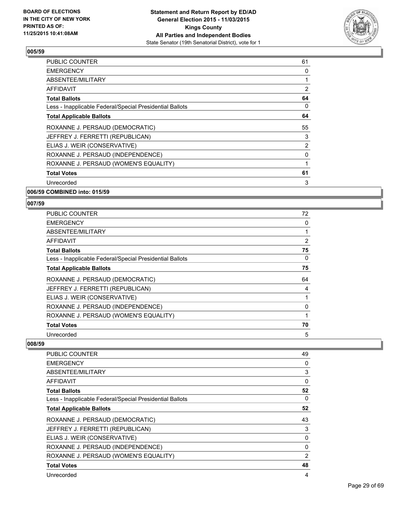

| <b>PUBLIC COUNTER</b>                                    | 61             |
|----------------------------------------------------------|----------------|
| <b>EMERGENCY</b>                                         | 0              |
| ABSENTEE/MILITARY                                        |                |
| AFFIDAVIT                                                | 2              |
| <b>Total Ballots</b>                                     | 64             |
| Less - Inapplicable Federal/Special Presidential Ballots | 0              |
| <b>Total Applicable Ballots</b>                          | 64             |
| ROXANNE J. PERSAUD (DEMOCRATIC)                          | 55             |
| JEFFREY J. FERRETTI (REPUBLICAN)                         | 3              |
| ELIAS J. WEIR (CONSERVATIVE)                             | $\overline{2}$ |
| ROXANNE J. PERSAUD (INDEPENDENCE)                        | 0              |
| ROXANNE J. PERSAUD (WOMEN'S EQUALITY)                    | 1              |
| <b>Total Votes</b>                                       | 61             |
| Unrecorded                                               | 3              |
|                                                          |                |

**006/59 COMBINED into: 015/59**

#### **007/59**

| <b>PUBLIC COUNTER</b>                                    | 72 |
|----------------------------------------------------------|----|
| <b>EMERGENCY</b>                                         | 0  |
| ABSENTEE/MILITARY                                        | 1  |
| AFFIDAVIT                                                | 2  |
| <b>Total Ballots</b>                                     | 75 |
| Less - Inapplicable Federal/Special Presidential Ballots | 0  |
| <b>Total Applicable Ballots</b>                          | 75 |
| ROXANNE J. PERSAUD (DEMOCRATIC)                          | 64 |
| JEFFREY J. FERRETTI (REPUBLICAN)                         | 4  |
| ELIAS J. WEIR (CONSERVATIVE)                             |    |
| ROXANNE J. PERSAUD (INDEPENDENCE)                        | 0  |
| ROXANNE J. PERSAUD (WOMEN'S EQUALITY)                    |    |
| <b>Total Votes</b>                                       | 70 |
| Unrecorded                                               | 5  |

| PUBLIC COUNTER                                           | 49             |
|----------------------------------------------------------|----------------|
| <b>EMERGENCY</b>                                         | 0              |
| ABSENTEE/MILITARY                                        | 3              |
| AFFIDAVIT                                                | 0              |
| <b>Total Ballots</b>                                     | 52             |
| Less - Inapplicable Federal/Special Presidential Ballots | 0              |
| <b>Total Applicable Ballots</b>                          | 52             |
| ROXANNE J. PERSAUD (DEMOCRATIC)                          | 43             |
| JEFFREY J. FERRETTI (REPUBLICAN)                         | 3              |
| ELIAS J. WEIR (CONSERVATIVE)                             | $\Omega$       |
| ROXANNE J. PERSAUD (INDEPENDENCE)                        | 0              |
| ROXANNE J. PERSAUD (WOMEN'S EQUALITY)                    | $\overline{2}$ |
| <b>Total Votes</b>                                       | 48             |
| Unrecorded                                               | 4              |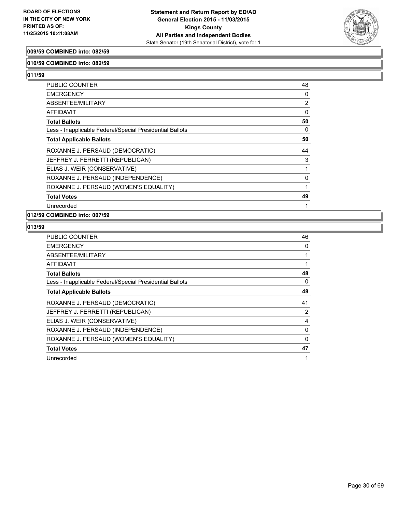

#### **009/59 COMBINED into: 082/59**

#### **010/59 COMBINED into: 082/59**

**011/59** 

| PUBLIC COUNTER                                           | 48             |
|----------------------------------------------------------|----------------|
| <b>EMERGENCY</b>                                         | 0              |
| ABSENTEE/MILITARY                                        | $\overline{2}$ |
| AFFIDAVIT                                                | 0              |
| <b>Total Ballots</b>                                     | 50             |
| Less - Inapplicable Federal/Special Presidential Ballots | 0              |
| <b>Total Applicable Ballots</b>                          | 50             |
| ROXANNE J. PERSAUD (DEMOCRATIC)                          | 44             |
| JEFFREY J. FERRETTI (REPUBLICAN)                         | 3              |
| ELIAS J. WEIR (CONSERVATIVE)                             |                |
| ROXANNE J. PERSAUD (INDEPENDENCE)                        | 0              |
| ROXANNE J. PERSAUD (WOMEN'S EQUALITY)                    |                |
| <b>Total Votes</b>                                       | 49             |
| Unrecorded                                               |                |

## **012/59 COMBINED into: 007/59**

| <b>PUBLIC COUNTER</b>                                    | 46 |
|----------------------------------------------------------|----|
| <b>EMERGENCY</b>                                         | 0  |
| ABSENTEE/MILITARY                                        |    |
| AFFIDAVIT                                                |    |
| <b>Total Ballots</b>                                     | 48 |
| Less - Inapplicable Federal/Special Presidential Ballots | 0  |
| <b>Total Applicable Ballots</b>                          | 48 |
| ROXANNE J. PERSAUD (DEMOCRATIC)                          | 41 |
| JEFFREY J. FERRETTI (REPUBLICAN)                         | 2  |
| ELIAS J. WEIR (CONSERVATIVE)                             | 4  |
| ROXANNE J. PERSAUD (INDEPENDENCE)                        | 0  |
| ROXANNE J. PERSAUD (WOMEN'S EQUALITY)                    | 0  |
| <b>Total Votes</b>                                       | 47 |
| Unrecorded                                               | 1  |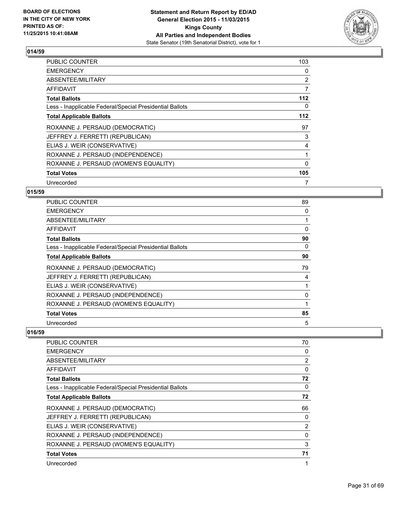

| PUBLIC COUNTER                                           | 103            |
|----------------------------------------------------------|----------------|
| <b>EMERGENCY</b>                                         | 0              |
| ABSENTEE/MILITARY                                        | $\overline{2}$ |
| AFFIDAVIT                                                | 7              |
| <b>Total Ballots</b>                                     | 112            |
| Less - Inapplicable Federal/Special Presidential Ballots | 0              |
| <b>Total Applicable Ballots</b>                          | 112            |
| ROXANNE J. PERSAUD (DEMOCRATIC)                          | 97             |
| JEFFREY J. FERRETTI (REPUBLICAN)                         | 3              |
| ELIAS J. WEIR (CONSERVATIVE)                             | 4              |
| ROXANNE J. PERSAUD (INDEPENDENCE)                        |                |
| ROXANNE J. PERSAUD (WOMEN'S EQUALITY)                    | 0              |
| <b>Total Votes</b>                                       | 105            |
| Unrecorded                                               | 7              |

# **015/59**

| <b>PUBLIC COUNTER</b>                                    | 89 |
|----------------------------------------------------------|----|
| <b>EMERGENCY</b>                                         | 0  |
| ABSENTEE/MILITARY                                        | 1  |
| AFFIDAVIT                                                | 0  |
| <b>Total Ballots</b>                                     | 90 |
| Less - Inapplicable Federal/Special Presidential Ballots | 0  |
| <b>Total Applicable Ballots</b>                          | 90 |
| ROXANNE J. PERSAUD (DEMOCRATIC)                          | 79 |
| JEFFREY J. FERRETTI (REPUBLICAN)                         | 4  |
| ELIAS J. WEIR (CONSERVATIVE)                             | 1  |
| ROXANNE J. PERSAUD (INDEPENDENCE)                        | 0  |
| ROXANNE J. PERSAUD (WOMEN'S EQUALITY)                    | 1  |
| <b>Total Votes</b>                                       | 85 |
| Unrecorded                                               | 5  |

| <b>PUBLIC COUNTER</b>                                    | 70 |
|----------------------------------------------------------|----|
| <b>EMERGENCY</b>                                         | 0  |
| ABSENTEE/MILITARY                                        | 2  |
| AFFIDAVIT                                                | 0  |
| <b>Total Ballots</b>                                     | 72 |
| Less - Inapplicable Federal/Special Presidential Ballots | 0  |
| <b>Total Applicable Ballots</b>                          | 72 |
| ROXANNE J. PERSAUD (DEMOCRATIC)                          | 66 |
| JEFFREY J. FERRETTI (REPUBLICAN)                         | 0  |
| ELIAS J. WEIR (CONSERVATIVE)                             | 2  |
| ROXANNE J. PERSAUD (INDEPENDENCE)                        | 0  |
| ROXANNE J. PERSAUD (WOMEN'S EQUALITY)                    | 3  |
| <b>Total Votes</b>                                       | 71 |
| Unrecorded                                               | 1  |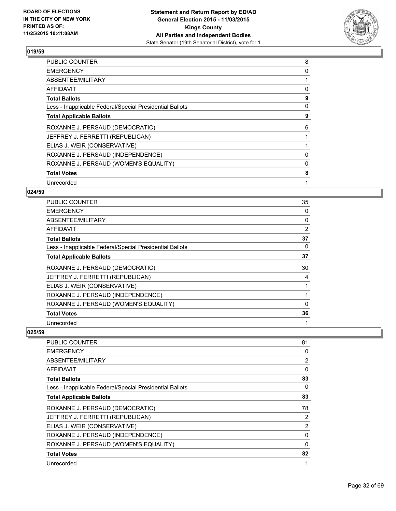

| <b>PUBLIC COUNTER</b>                                    | 8        |
|----------------------------------------------------------|----------|
| <b>EMERGENCY</b>                                         | $\Omega$ |
| ABSENTEE/MILITARY                                        |          |
| AFFIDAVIT                                                | 0        |
| <b>Total Ballots</b>                                     | 9        |
| Less - Inapplicable Federal/Special Presidential Ballots | 0        |
| <b>Total Applicable Ballots</b>                          | 9        |
| ROXANNE J. PERSAUD (DEMOCRATIC)                          | 6        |
| JEFFREY J. FERRETTI (REPUBLICAN)                         |          |
| ELIAS J. WEIR (CONSERVATIVE)                             |          |
| ROXANNE J. PERSAUD (INDEPENDENCE)                        | 0        |
| ROXANNE J. PERSAUD (WOMEN'S EQUALITY)                    | 0        |
| <b>Total Votes</b>                                       | 8        |
| Unrecorded                                               | 1        |

# **024/59**

| <b>PUBLIC COUNTER</b>                                    | 35 |
|----------------------------------------------------------|----|
| <b>EMERGENCY</b>                                         | 0  |
| ABSENTEE/MILITARY                                        | 0  |
| AFFIDAVIT                                                | 2  |
| <b>Total Ballots</b>                                     | 37 |
| Less - Inapplicable Federal/Special Presidential Ballots | 0  |
| <b>Total Applicable Ballots</b>                          | 37 |
| ROXANNE J. PERSAUD (DEMOCRATIC)                          | 30 |
| JEFFREY J. FERRETTI (REPUBLICAN)                         | 4  |
| ELIAS J. WEIR (CONSERVATIVE)                             |    |
| ROXANNE J. PERSAUD (INDEPENDENCE)                        |    |
| ROXANNE J. PERSAUD (WOMEN'S EQUALITY)                    | 0  |
| <b>Total Votes</b>                                       | 36 |
| Unrecorded                                               | 1  |

| <b>PUBLIC COUNTER</b>                                    | 81 |
|----------------------------------------------------------|----|
| <b>EMERGENCY</b>                                         | 0  |
| ABSENTEE/MILITARY                                        | 2  |
| AFFIDAVIT                                                | 0  |
| <b>Total Ballots</b>                                     | 83 |
| Less - Inapplicable Federal/Special Presidential Ballots | 0  |
| <b>Total Applicable Ballots</b>                          | 83 |
| ROXANNE J. PERSAUD (DEMOCRATIC)                          | 78 |
| JEFFREY J. FERRETTI (REPUBLICAN)                         | 2  |
| ELIAS J. WEIR (CONSERVATIVE)                             | 2  |
| ROXANNE J. PERSAUD (INDEPENDENCE)                        | 0  |
| ROXANNE J. PERSAUD (WOMEN'S EQUALITY)                    | 0  |
| <b>Total Votes</b>                                       | 82 |
| Unrecorded                                               | 1  |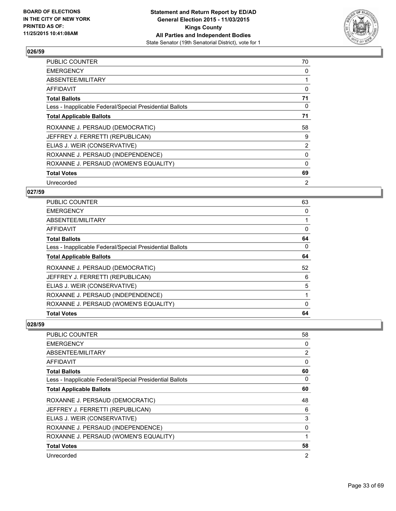

| <b>PUBLIC COUNTER</b>                                    | 70             |
|----------------------------------------------------------|----------------|
| <b>EMERGENCY</b>                                         | 0              |
| ABSENTEE/MILITARY                                        |                |
| AFFIDAVIT                                                | 0              |
| <b>Total Ballots</b>                                     | 71             |
| Less - Inapplicable Federal/Special Presidential Ballots | 0              |
| <b>Total Applicable Ballots</b>                          | 71             |
| ROXANNE J. PERSAUD (DEMOCRATIC)                          | 58             |
| JEFFREY J. FERRETTI (REPUBLICAN)                         | 9              |
| ELIAS J. WEIR (CONSERVATIVE)                             | $\overline{2}$ |
| ROXANNE J. PERSAUD (INDEPENDENCE)                        | 0              |
| ROXANNE J. PERSAUD (WOMEN'S EQUALITY)                    | 0              |
| <b>Total Votes</b>                                       | 69             |
| Unrecorded                                               | 2              |

# **027/59**

| <b>Total Votes</b>                                       | 64 |
|----------------------------------------------------------|----|
| ROXANNE J. PERSAUD (WOMEN'S EQUALITY)                    | 0  |
| ROXANNE J. PERSAUD (INDEPENDENCE)                        |    |
| ELIAS J. WEIR (CONSERVATIVE)                             | 5  |
| JEFFREY J. FERRETTI (REPUBLICAN)                         | 6  |
| ROXANNE J. PERSAUD (DEMOCRATIC)                          | 52 |
| <b>Total Applicable Ballots</b>                          | 64 |
| Less - Inapplicable Federal/Special Presidential Ballots | 0  |
| <b>Total Ballots</b>                                     | 64 |
| AFFIDAVIT                                                | 0  |
| ABSENTEE/MILITARY                                        | 1  |
| <b>EMERGENCY</b>                                         | 0  |
| <b>PUBLIC COUNTER</b>                                    | 63 |

| <b>PUBLIC COUNTER</b>                                    | 58             |
|----------------------------------------------------------|----------------|
| <b>EMERGENCY</b>                                         | 0              |
| ABSENTEE/MILITARY                                        | $\overline{2}$ |
| AFFIDAVIT                                                | 0              |
| Total Ballots                                            | 60             |
| Less - Inapplicable Federal/Special Presidential Ballots | 0              |
| <b>Total Applicable Ballots</b>                          | 60             |
| ROXANNE J. PERSAUD (DEMOCRATIC)                          | 48             |
| JEFFREY J. FERRETTI (REPUBLICAN)                         | 6              |
| ELIAS J. WEIR (CONSERVATIVE)                             | 3              |
| ROXANNE J. PERSAUD (INDEPENDENCE)                        | 0              |
| ROXANNE J. PERSAUD (WOMEN'S EQUALITY)                    |                |
| <b>Total Votes</b>                                       | 58             |
| Unrecorded                                               | $\overline{2}$ |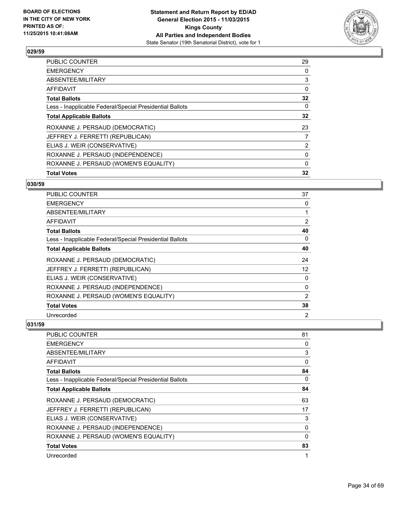

| <b>Total Votes</b>                                       | 32             |
|----------------------------------------------------------|----------------|
| ROXANNE J. PERSAUD (WOMEN'S EQUALITY)                    | $\Omega$       |
| ROXANNE J. PERSAUD (INDEPENDENCE)                        | 0              |
| ELIAS J. WEIR (CONSERVATIVE)                             | $\overline{2}$ |
| JEFFREY J. FERRETTI (REPUBLICAN)                         | 7              |
| ROXANNE J. PERSAUD (DEMOCRATIC)                          | 23             |
| <b>Total Applicable Ballots</b>                          | 32             |
| Less - Inapplicable Federal/Special Presidential Ballots | $\mathbf{0}$   |
| <b>Total Ballots</b>                                     | 32             |
| <b>AFFIDAVIT</b>                                         | 0              |
| ABSENTEE/MILITARY                                        | 3              |
| <b>EMERGENCY</b>                                         | 0              |
| <b>PUBLIC COUNTER</b>                                    | 29             |

#### **030/59**

| <b>PUBLIC COUNTER</b>                                    | 37             |
|----------------------------------------------------------|----------------|
| <b>EMERGENCY</b>                                         | 0              |
| ABSENTEE/MILITARY                                        | 1              |
| AFFIDAVIT                                                | 2              |
| <b>Total Ballots</b>                                     | 40             |
| Less - Inapplicable Federal/Special Presidential Ballots | 0              |
| <b>Total Applicable Ballots</b>                          | 40             |
| ROXANNE J. PERSAUD (DEMOCRATIC)                          | 24             |
| JEFFREY J. FERRETTI (REPUBLICAN)                         | 12             |
| ELIAS J. WEIR (CONSERVATIVE)                             | 0              |
| ROXANNE J. PERSAUD (INDEPENDENCE)                        | 0              |
| ROXANNE J. PERSAUD (WOMEN'S EQUALITY)                    | $\overline{2}$ |
| <b>Total Votes</b>                                       | 38             |
| Unrecorded                                               | 2              |

| <b>PUBLIC COUNTER</b>                                    | 81       |
|----------------------------------------------------------|----------|
| <b>EMERGENCY</b>                                         | 0        |
| ABSENTEE/MILITARY                                        | 3        |
| AFFIDAVIT                                                | $\Omega$ |
| <b>Total Ballots</b>                                     | 84       |
| Less - Inapplicable Federal/Special Presidential Ballots | 0        |
| <b>Total Applicable Ballots</b>                          | 84       |
| ROXANNE J. PERSAUD (DEMOCRATIC)                          | 63       |
| JEFFREY J. FERRETTI (REPUBLICAN)                         | 17       |
| ELIAS J. WEIR (CONSERVATIVE)                             | 3        |
| ROXANNE J. PERSAUD (INDEPENDENCE)                        | 0        |
| ROXANNE J. PERSAUD (WOMEN'S EQUALITY)                    | 0        |
| <b>Total Votes</b>                                       | 83       |
| Unrecorded                                               | 1        |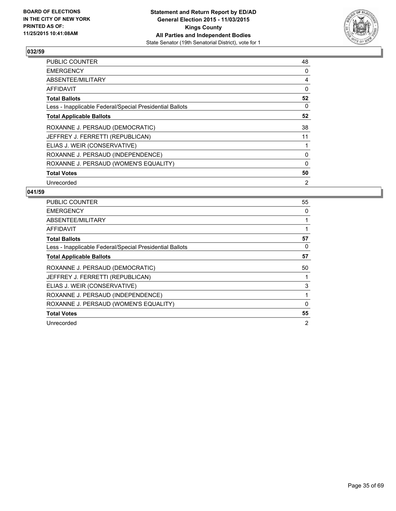

| <b>PUBLIC COUNTER</b>                                    | 48 |
|----------------------------------------------------------|----|
| <b>EMERGENCY</b>                                         | 0  |
| ABSENTEE/MILITARY                                        | 4  |
| AFFIDAVIT                                                | 0  |
| <b>Total Ballots</b>                                     | 52 |
| Less - Inapplicable Federal/Special Presidential Ballots | 0  |
| <b>Total Applicable Ballots</b>                          | 52 |
| ROXANNE J. PERSAUD (DEMOCRATIC)                          | 38 |
| JEFFREY J. FERRETTI (REPUBLICAN)                         | 11 |
| ELIAS J. WEIR (CONSERVATIVE)                             |    |
| ROXANNE J. PERSAUD (INDEPENDENCE)                        | 0  |
| ROXANNE J. PERSAUD (WOMEN'S EQUALITY)                    | 0  |
| <b>Total Votes</b>                                       | 50 |
| Unrecorded                                               | 2  |

| <b>PUBLIC COUNTER</b>                                    | 55             |
|----------------------------------------------------------|----------------|
| <b>EMERGENCY</b>                                         | 0              |
| ABSENTEE/MILITARY                                        |                |
| AFFIDAVIT                                                |                |
| <b>Total Ballots</b>                                     | 57             |
| Less - Inapplicable Federal/Special Presidential Ballots | 0              |
| <b>Total Applicable Ballots</b>                          | 57             |
| ROXANNE J. PERSAUD (DEMOCRATIC)                          | 50             |
| JEFFREY J. FERRETTI (REPUBLICAN)                         |                |
| ELIAS J. WEIR (CONSERVATIVE)                             | 3              |
| ROXANNE J. PERSAUD (INDEPENDENCE)                        |                |
| ROXANNE J. PERSAUD (WOMEN'S EQUALITY)                    | 0              |
| <b>Total Votes</b>                                       | 55             |
| Unrecorded                                               | $\overline{2}$ |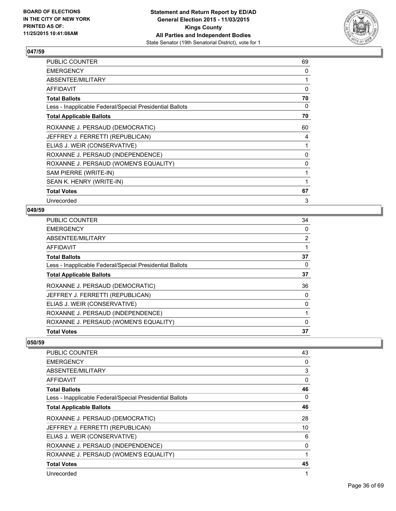

| PUBLIC COUNTER                                           | 69           |
|----------------------------------------------------------|--------------|
| <b>EMERGENCY</b>                                         | 0            |
| ABSENTEE/MILITARY                                        |              |
| <b>AFFIDAVIT</b>                                         | 0            |
| <b>Total Ballots</b>                                     | 70           |
| Less - Inapplicable Federal/Special Presidential Ballots | 0            |
| <b>Total Applicable Ballots</b>                          | 70           |
| ROXANNE J. PERSAUD (DEMOCRATIC)                          | 60           |
| JEFFREY J. FERRETTI (REPUBLICAN)                         | 4            |
| ELIAS J. WEIR (CONSERVATIVE)                             |              |
| ROXANNE J. PERSAUD (INDEPENDENCE)                        | 0            |
| ROXANNE J. PERSAUD (WOMEN'S EQUALITY)                    | $\mathbf{0}$ |
| SAM PIERRE (WRITE-IN)                                    |              |
| SEAN K. HENRY (WRITE-IN)                                 |              |
| <b>Total Votes</b>                                       | 67           |
| Unrecorded                                               | 3            |

# **049/59**

| <b>Total Votes</b>                                       | 37             |
|----------------------------------------------------------|----------------|
| ROXANNE J. PERSAUD (WOMEN'S EQUALITY)                    | 0              |
| ROXANNE J. PERSAUD (INDEPENDENCE)                        |                |
| ELIAS J. WEIR (CONSERVATIVE)                             | 0              |
| JEFFREY J. FERRETTI (REPUBLICAN)                         | 0              |
| ROXANNE J. PERSAUD (DEMOCRATIC)                          | 36             |
| <b>Total Applicable Ballots</b>                          | 37             |
| Less - Inapplicable Federal/Special Presidential Ballots | 0              |
| <b>Total Ballots</b>                                     | 37             |
| AFFIDAVIT                                                |                |
| <b>ABSENTEE/MILITARY</b>                                 | $\overline{2}$ |
| <b>EMERGENCY</b>                                         | 0              |
| PUBLIC COUNTER                                           | 34             |

| <b>PUBLIC COUNTER</b>                                    | 43 |
|----------------------------------------------------------|----|
| <b>EMERGENCY</b>                                         | 0  |
| ABSENTEE/MILITARY                                        | 3  |
| AFFIDAVIT                                                | 0  |
| <b>Total Ballots</b>                                     | 46 |
| Less - Inapplicable Federal/Special Presidential Ballots | 0  |
| <b>Total Applicable Ballots</b>                          | 46 |
| ROXANNE J. PERSAUD (DEMOCRATIC)                          | 28 |
| JEFFREY J. FERRETTI (REPUBLICAN)                         | 10 |
| ELIAS J. WEIR (CONSERVATIVE)                             | 6  |
| ROXANNE J. PERSAUD (INDEPENDENCE)                        | 0  |
| ROXANNE J. PERSAUD (WOMEN'S EQUALITY)                    | 1  |
| <b>Total Votes</b>                                       | 45 |
| Unrecorded                                               | 1  |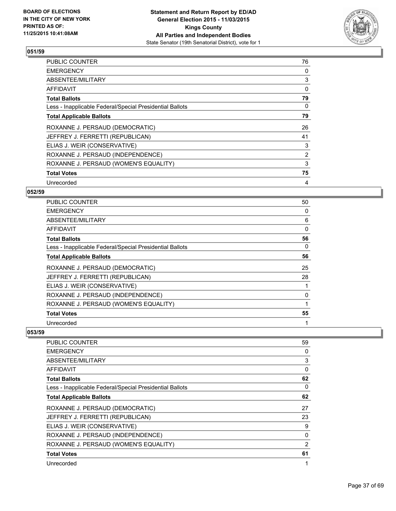

| <b>PUBLIC COUNTER</b>                                    | 76             |
|----------------------------------------------------------|----------------|
| <b>EMERGENCY</b>                                         | 0              |
| ABSENTEE/MILITARY                                        | 3              |
| <b>AFFIDAVIT</b>                                         | 0              |
| <b>Total Ballots</b>                                     | 79             |
| Less - Inapplicable Federal/Special Presidential Ballots | 0              |
| <b>Total Applicable Ballots</b>                          | 79             |
| ROXANNE J. PERSAUD (DEMOCRATIC)                          | 26             |
| JEFFREY J. FERRETTI (REPUBLICAN)                         | 41             |
| ELIAS J. WEIR (CONSERVATIVE)                             | 3              |
| ROXANNE J. PERSAUD (INDEPENDENCE)                        | $\overline{2}$ |
| ROXANNE J. PERSAUD (WOMEN'S EQUALITY)                    | 3              |
| <b>Total Votes</b>                                       | 75             |
| Unrecorded                                               | 4              |

# **052/59**

| PUBLIC COUNTER                                           | 50 |
|----------------------------------------------------------|----|
| <b>EMERGENCY</b>                                         | 0  |
| ABSENTEE/MILITARY                                        | 6  |
| AFFIDAVIT                                                | 0  |
| <b>Total Ballots</b>                                     | 56 |
| Less - Inapplicable Federal/Special Presidential Ballots | 0  |
| <b>Total Applicable Ballots</b>                          | 56 |
| ROXANNE J. PERSAUD (DEMOCRATIC)                          | 25 |
| JEFFREY J. FERRETTI (REPUBLICAN)                         | 28 |
| ELIAS J. WEIR (CONSERVATIVE)                             |    |
| ROXANNE J. PERSAUD (INDEPENDENCE)                        | 0  |
| ROXANNE J. PERSAUD (WOMEN'S EQUALITY)                    |    |
| <b>Total Votes</b>                                       | 55 |
| Unrecorded                                               | 1  |

| <b>PUBLIC COUNTER</b>                                    | 59 |
|----------------------------------------------------------|----|
| <b>EMERGENCY</b>                                         | 0  |
| ABSENTEE/MILITARY                                        | 3  |
| AFFIDAVIT                                                | 0  |
| <b>Total Ballots</b>                                     | 62 |
| Less - Inapplicable Federal/Special Presidential Ballots | 0  |
| <b>Total Applicable Ballots</b>                          | 62 |
| ROXANNE J. PERSAUD (DEMOCRATIC)                          | 27 |
| JEFFREY J. FERRETTI (REPUBLICAN)                         | 23 |
| ELIAS J. WEIR (CONSERVATIVE)                             | 9  |
| ROXANNE J. PERSAUD (INDEPENDENCE)                        | 0  |
| ROXANNE J. PERSAUD (WOMEN'S EQUALITY)                    | 2  |
| <b>Total Votes</b>                                       | 61 |
| Unrecorded                                               | 1  |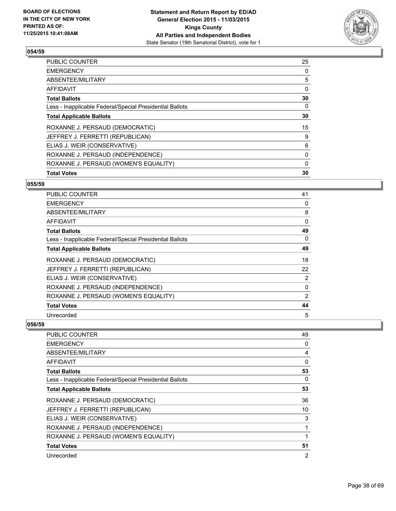

| <b>Total Votes</b>                                       | 30       |
|----------------------------------------------------------|----------|
| ROXANNE J. PERSAUD (WOMEN'S EQUALITY)                    | $\Omega$ |
| ROXANNE J. PERSAUD (INDEPENDENCE)                        | 0        |
| ELIAS J. WEIR (CONSERVATIVE)                             | 6        |
| JEFFREY J. FERRETTI (REPUBLICAN)                         | 9        |
| ROXANNE J. PERSAUD (DEMOCRATIC)                          | 15       |
| <b>Total Applicable Ballots</b>                          | 30       |
| Less - Inapplicable Federal/Special Presidential Ballots | 0        |
| <b>Total Ballots</b>                                     | 30       |
| AFFIDAVIT                                                | 0        |
| ABSENTEE/MILITARY                                        | 5        |
| <b>EMERGENCY</b>                                         | 0        |
| <b>PUBLIC COUNTER</b>                                    | 25       |

## **055/59**

| <b>PUBLIC COUNTER</b>                                    | 41             |
|----------------------------------------------------------|----------------|
| <b>EMERGENCY</b>                                         | 0              |
| ABSENTEE/MILITARY                                        | 8              |
| AFFIDAVIT                                                | 0              |
| Total Ballots                                            | 49             |
| Less - Inapplicable Federal/Special Presidential Ballots | 0              |
| <b>Total Applicable Ballots</b>                          | 49             |
| ROXANNE J. PERSAUD (DEMOCRATIC)                          | 18             |
| JEFFREY J. FERRETTI (REPUBLICAN)                         | 22             |
| ELIAS J. WEIR (CONSERVATIVE)                             | $\overline{2}$ |
| ROXANNE J. PERSAUD (INDEPENDENCE)                        | 0              |
| ROXANNE J. PERSAUD (WOMEN'S EQUALITY)                    | $\overline{2}$ |
| <b>Total Votes</b>                                       | 44             |
| Unrecorded                                               | 5              |

| <b>PUBLIC COUNTER</b>                                    | 49             |
|----------------------------------------------------------|----------------|
| <b>EMERGENCY</b>                                         | 0              |
| ABSENTEE/MILITARY                                        | 4              |
| AFFIDAVIT                                                | 0              |
| <b>Total Ballots</b>                                     | 53             |
| Less - Inapplicable Federal/Special Presidential Ballots | 0              |
| <b>Total Applicable Ballots</b>                          | 53             |
| ROXANNE J. PERSAUD (DEMOCRATIC)                          | 36             |
| JEFFREY J. FERRETTI (REPUBLICAN)                         | 10             |
| ELIAS J. WEIR (CONSERVATIVE)                             | 3              |
| ROXANNE J. PERSAUD (INDEPENDENCE)                        | 1              |
| ROXANNE J. PERSAUD (WOMEN'S EQUALITY)                    | 1              |
| <b>Total Votes</b>                                       | 51             |
| Unrecorded                                               | $\overline{2}$ |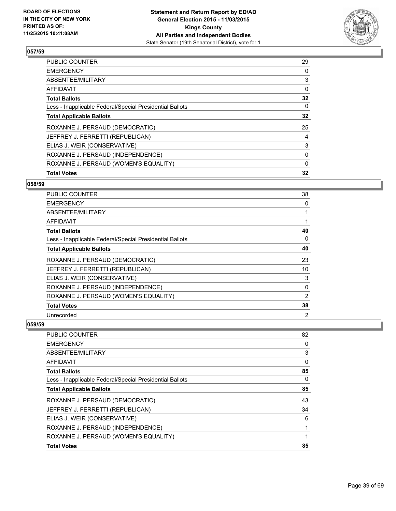

| <b>Total Votes</b>                                       | 32           |
|----------------------------------------------------------|--------------|
|                                                          |              |
| ROXANNE J. PERSAUD (WOMEN'S EQUALITY)                    | $\Omega$     |
| ROXANNE J. PERSAUD (INDEPENDENCE)                        | 0            |
| ELIAS J. WEIR (CONSERVATIVE)                             | 3            |
| JEFFREY J. FERRETTI (REPUBLICAN)                         | 4            |
| ROXANNE J. PERSAUD (DEMOCRATIC)                          | 25           |
| <b>Total Applicable Ballots</b>                          | 32           |
| Less - Inapplicable Federal/Special Presidential Ballots | $\mathbf{0}$ |
| <b>Total Ballots</b>                                     | 32           |
| <b>AFFIDAVIT</b>                                         | 0            |
| ABSENTEE/MILITARY                                        | 3            |
| <b>EMERGENCY</b>                                         | 0            |
| <b>PUBLIC COUNTER</b>                                    | 29           |

#### **058/59**

| <b>PUBLIC COUNTER</b>                                    | 38             |
|----------------------------------------------------------|----------------|
| <b>EMERGENCY</b>                                         | 0              |
| ABSENTEE/MILITARY                                        | 1              |
| <b>AFFIDAVIT</b>                                         | 1              |
| Total Ballots                                            | 40             |
| Less - Inapplicable Federal/Special Presidential Ballots | 0              |
| <b>Total Applicable Ballots</b>                          | 40             |
| ROXANNE J. PERSAUD (DEMOCRATIC)                          | 23             |
| JEFFREY J. FERRETTI (REPUBLICAN)                         | 10             |
| ELIAS J. WEIR (CONSERVATIVE)                             | 3              |
| ROXANNE J. PERSAUD (INDEPENDENCE)                        | 0              |
| ROXANNE J. PERSAUD (WOMEN'S EQUALITY)                    | $\overline{2}$ |
| <b>Total Votes</b>                                       | 38             |
| Unrecorded                                               | 2              |

| <b>PUBLIC COUNTER</b><br><b>EMERGENCY</b>                | 82<br>0  |
|----------------------------------------------------------|----------|
| ABSENTEE/MILITARY                                        | 3        |
| <b>AFFIDAVIT</b>                                         | 0        |
| <b>Total Ballots</b>                                     | 85       |
| Less - Inapplicable Federal/Special Presidential Ballots | $\Omega$ |
| <b>Total Applicable Ballots</b>                          | 85       |
| ROXANNE J. PERSAUD (DEMOCRATIC)                          | 43       |
| JEFFREY J. FERRETTI (REPUBLICAN)                         | 34       |
| ELIAS J. WEIR (CONSERVATIVE)                             | 6        |
| ROXANNE J. PERSAUD (INDEPENDENCE)                        |          |
| ROXANNE J. PERSAUD (WOMEN'S EQUALITY)                    |          |
| <b>Total Votes</b>                                       | 85       |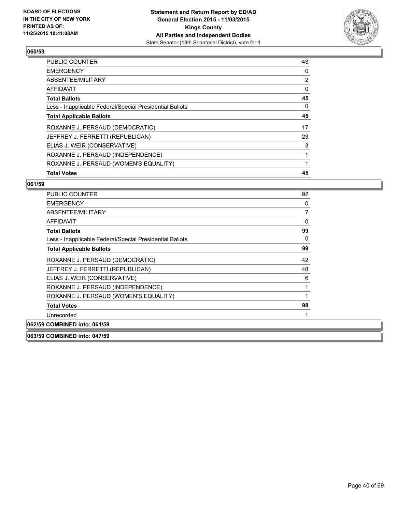

| <b>PUBLIC COUNTER</b>                                    | 43 |
|----------------------------------------------------------|----|
| <b>EMERGENCY</b>                                         | 0  |
| ABSENTEE/MILITARY                                        | 2  |
| AFFIDAVIT                                                | 0  |
| <b>Total Ballots</b>                                     | 45 |
| Less - Inapplicable Federal/Special Presidential Ballots | 0  |
| <b>Total Applicable Ballots</b>                          | 45 |
| ROXANNE J. PERSAUD (DEMOCRATIC)                          | 17 |
| JEFFREY J. FERRETTI (REPUBLICAN)                         | 23 |
| ELIAS J. WEIR (CONSERVATIVE)                             | 3  |
| ROXANNE J. PERSAUD (INDEPENDENCE)                        | 1  |
| ROXANNE J. PERSAUD (WOMEN'S EQUALITY)                    | 1  |
| <b>Total Votes</b>                                       | 45 |

| <b>PUBLIC COUNTER</b>                                    | 92 |
|----------------------------------------------------------|----|
| <b>EMERGENCY</b>                                         | 0  |
| ABSENTEE/MILITARY                                        | 7  |
| <b>AFFIDAVIT</b>                                         | 0  |
| <b>Total Ballots</b>                                     | 99 |
| Less - Inapplicable Federal/Special Presidential Ballots | 0  |
| <b>Total Applicable Ballots</b>                          | 99 |
| ROXANNE J. PERSAUD (DEMOCRATIC)                          | 42 |
| JEFFREY J. FERRETTI (REPUBLICAN)                         | 48 |
| ELIAS J. WEIR (CONSERVATIVE)                             | 6  |
| ROXANNE J. PERSAUD (INDEPENDENCE)                        | 1  |
| ROXANNE J. PERSAUD (WOMEN'S EQUALITY)                    |    |
| <b>Total Votes</b>                                       | 98 |
| Unrecorded                                               |    |
| 062/59 COMBINED into: 061/59                             |    |
| 063/59 COMBINED into: 047/59                             |    |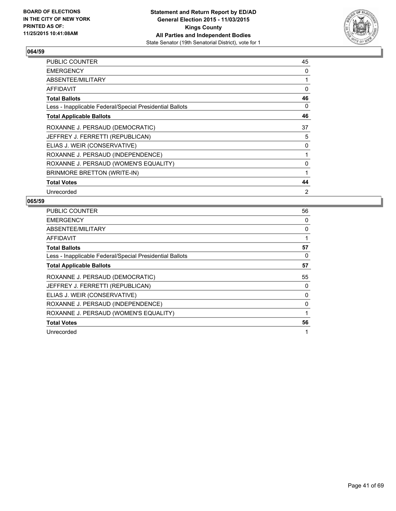

| <b>PUBLIC COUNTER</b>                                    | 45 |
|----------------------------------------------------------|----|
| <b>EMERGENCY</b>                                         | 0  |
| ABSENTEE/MILITARY                                        |    |
| AFFIDAVIT                                                | 0  |
| <b>Total Ballots</b>                                     | 46 |
| Less - Inapplicable Federal/Special Presidential Ballots | 0  |
| <b>Total Applicable Ballots</b>                          | 46 |
| ROXANNE J. PERSAUD (DEMOCRATIC)                          | 37 |
| JEFFREY J. FERRETTI (REPUBLICAN)                         | 5  |
| ELIAS J. WEIR (CONSERVATIVE)                             | 0  |
| ROXANNE J. PERSAUD (INDEPENDENCE)                        |    |
| ROXANNE J. PERSAUD (WOMEN'S EQUALITY)                    | 0  |
| BRINMORE BRETTON (WRITE-IN)                              | 1  |
| <b>Total Votes</b>                                       | 44 |
| Unrecorded                                               | 2  |

| <b>PUBLIC COUNTER</b>                                    | 56 |
|----------------------------------------------------------|----|
| <b>EMERGENCY</b>                                         | 0  |
| <b>ABSENTEE/MILITARY</b>                                 | 0  |
| AFFIDAVIT                                                |    |
| <b>Total Ballots</b>                                     | 57 |
| Less - Inapplicable Federal/Special Presidential Ballots | 0  |
| <b>Total Applicable Ballots</b>                          | 57 |
| ROXANNE J. PERSAUD (DEMOCRATIC)                          | 55 |
| JEFFREY J. FERRETTI (REPUBLICAN)                         | 0  |
|                                                          |    |
| ELIAS J. WEIR (CONSERVATIVE)                             | 0  |
| ROXANNE J. PERSAUD (INDEPENDENCE)                        | 0  |
| ROXANNE J. PERSAUD (WOMEN'S EQUALITY)                    |    |
| <b>Total Votes</b>                                       | 56 |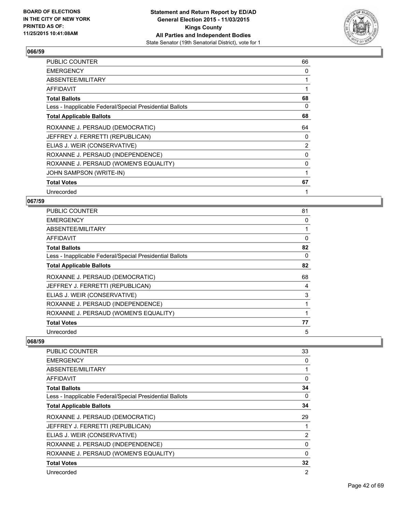

| <b>PUBLIC COUNTER</b>                                    | 66             |
|----------------------------------------------------------|----------------|
| <b>EMERGENCY</b>                                         | 0              |
| ABSENTEE/MILITARY                                        |                |
| AFFIDAVIT                                                | 1              |
| <b>Total Ballots</b>                                     | 68             |
| Less - Inapplicable Federal/Special Presidential Ballots | 0              |
| <b>Total Applicable Ballots</b>                          | 68             |
| ROXANNE J. PERSAUD (DEMOCRATIC)                          | 64             |
| JEFFREY J. FERRETTI (REPUBLICAN)                         | 0              |
| ELIAS J. WEIR (CONSERVATIVE)                             | $\overline{2}$ |
| ROXANNE J. PERSAUD (INDEPENDENCE)                        | 0              |
| ROXANNE J. PERSAUD (WOMEN'S EQUALITY)                    | 0              |
| JOHN SAMPSON (WRITE-IN)                                  |                |
| <b>Total Votes</b>                                       | 67             |
| Unrecorded                                               |                |

## **067/59**

| <b>PUBLIC COUNTER</b>                                    | 81 |
|----------------------------------------------------------|----|
| <b>EMERGENCY</b>                                         | 0  |
| ABSENTEE/MILITARY                                        |    |
| AFFIDAVIT                                                | 0  |
| <b>Total Ballots</b>                                     | 82 |
| Less - Inapplicable Federal/Special Presidential Ballots | 0  |
| <b>Total Applicable Ballots</b>                          | 82 |
| ROXANNE J. PERSAUD (DEMOCRATIC)                          | 68 |
| JEFFREY J. FERRETTI (REPUBLICAN)                         | 4  |
| ELIAS J. WEIR (CONSERVATIVE)                             | 3  |
| ROXANNE J. PERSAUD (INDEPENDENCE)                        |    |
| ROXANNE J. PERSAUD (WOMEN'S EQUALITY)                    |    |
| <b>Total Votes</b>                                       | 77 |
| Unrecorded                                               | 5  |

| <b>PUBLIC COUNTER</b>                                    | 33             |
|----------------------------------------------------------|----------------|
| <b>EMERGENCY</b>                                         | 0              |
| ABSENTEE/MILITARY                                        | 1              |
| AFFIDAVIT                                                | 0              |
| <b>Total Ballots</b>                                     | 34             |
| Less - Inapplicable Federal/Special Presidential Ballots | 0              |
| <b>Total Applicable Ballots</b>                          | 34             |
| ROXANNE J. PERSAUD (DEMOCRATIC)                          | 29             |
| JEFFREY J. FERRETTI (REPUBLICAN)                         | 1              |
| ELIAS J. WEIR (CONSERVATIVE)                             | $\overline{2}$ |
| ROXANNE J. PERSAUD (INDEPENDENCE)                        | 0              |
| ROXANNE J. PERSAUD (WOMEN'S EQUALITY)                    | 0              |
| <b>Total Votes</b>                                       | 32             |
| Unrecorded                                               | $\overline{2}$ |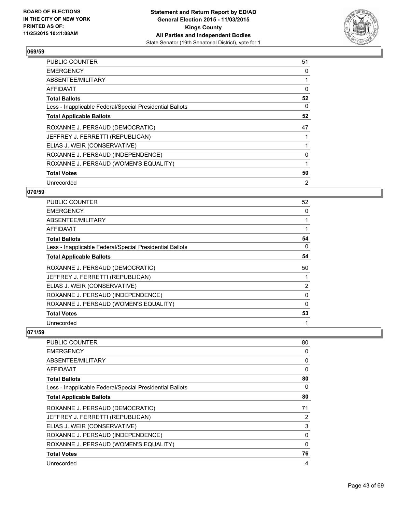

| <b>PUBLIC COUNTER</b>                                    | 51 |
|----------------------------------------------------------|----|
| <b>EMERGENCY</b>                                         | 0  |
| ABSENTEE/MILITARY                                        |    |
| AFFIDAVIT                                                | 0  |
| <b>Total Ballots</b>                                     | 52 |
| Less - Inapplicable Federal/Special Presidential Ballots | 0  |
| <b>Total Applicable Ballots</b>                          | 52 |
| ROXANNE J. PERSAUD (DEMOCRATIC)                          | 47 |
| JEFFREY J. FERRETTI (REPUBLICAN)                         |    |
| ELIAS J. WEIR (CONSERVATIVE)                             |    |
| ROXANNE J. PERSAUD (INDEPENDENCE)                        | 0  |
| ROXANNE J. PERSAUD (WOMEN'S EQUALITY)                    |    |
| <b>Total Votes</b>                                       | 50 |
| Unrecorded                                               | 2  |

# **070/59**

| PUBLIC COUNTER                                           | 52             |
|----------------------------------------------------------|----------------|
| <b>EMERGENCY</b>                                         | 0              |
| ABSENTEE/MILITARY                                        |                |
| AFFIDAVIT                                                |                |
| <b>Total Ballots</b>                                     | 54             |
| Less - Inapplicable Federal/Special Presidential Ballots | 0              |
| <b>Total Applicable Ballots</b>                          | 54             |
| ROXANNE J. PERSAUD (DEMOCRATIC)                          | 50             |
| JEFFREY J. FERRETTI (REPUBLICAN)                         |                |
| ELIAS J. WEIR (CONSERVATIVE)                             | $\overline{2}$ |
| ROXANNE J. PERSAUD (INDEPENDENCE)                        | 0              |
| ROXANNE J. PERSAUD (WOMEN'S EQUALITY)                    | 0              |
| <b>Total Votes</b>                                       | 53             |
| Unrecorded                                               |                |

| <b>PUBLIC COUNTER</b>                                    | 80       |
|----------------------------------------------------------|----------|
| <b>EMERGENCY</b>                                         | 0        |
| ABSENTEE/MILITARY                                        | 0        |
| AFFIDAVIT                                                | 0        |
| <b>Total Ballots</b>                                     | 80       |
| Less - Inapplicable Federal/Special Presidential Ballots | 0        |
| <b>Total Applicable Ballots</b>                          | 80       |
| ROXANNE J. PERSAUD (DEMOCRATIC)                          | 71       |
| JEFFREY J. FERRETTI (REPUBLICAN)                         | 2        |
| ELIAS J. WEIR (CONSERVATIVE)                             | 3        |
| ROXANNE J. PERSAUD (INDEPENDENCE)                        | 0        |
| ROXANNE J. PERSAUD (WOMEN'S EQUALITY)                    | $\Omega$ |
| <b>Total Votes</b>                                       | 76       |
| Unrecorded                                               | 4        |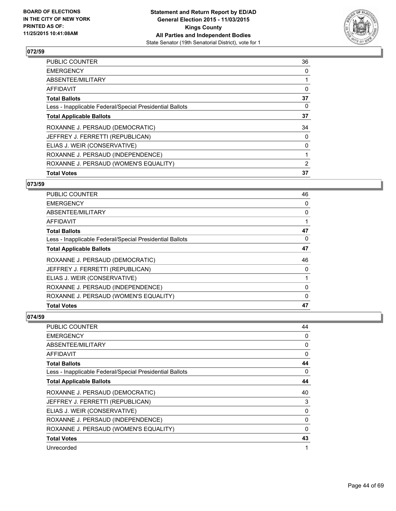

| <b>Total Votes</b>                                       | 37 |
|----------------------------------------------------------|----|
| ROXANNE J. PERSAUD (WOMEN'S EQUALITY)                    | 2  |
| ROXANNE J. PERSAUD (INDEPENDENCE)                        |    |
| ELIAS J. WEIR (CONSERVATIVE)                             | 0  |
| JEFFREY J. FERRETTI (REPUBLICAN)                         | 0  |
| ROXANNE J. PERSAUD (DEMOCRATIC)                          | 34 |
| <b>Total Applicable Ballots</b>                          | 37 |
| Less - Inapplicable Federal/Special Presidential Ballots | 0  |
| <b>Total Ballots</b>                                     | 37 |
| <b>AFFIDAVIT</b>                                         | 0  |
| ABSENTEE/MILITARY                                        |    |
| <b>EMERGENCY</b>                                         | 0  |
| <b>PUBLIC COUNTER</b>                                    | 36 |

# **073/59**

| <b>PUBLIC COUNTER</b>                                    | 46       |
|----------------------------------------------------------|----------|
| <b>EMERGENCY</b>                                         | 0        |
| ABSENTEE/MILITARY                                        | 0        |
| AFFIDAVIT                                                |          |
| <b>Total Ballots</b>                                     | 47       |
| Less - Inapplicable Federal/Special Presidential Ballots | 0        |
| <b>Total Applicable Ballots</b>                          | 47       |
| ROXANNE J. PERSAUD (DEMOCRATIC)                          | 46       |
| JEFFREY J. FERRETTI (REPUBLICAN)                         | 0        |
| ELIAS J. WEIR (CONSERVATIVE)                             |          |
| ROXANNE J. PERSAUD (INDEPENDENCE)                        | 0        |
| ROXANNE J. PERSAUD (WOMEN'S EQUALITY)                    | $\Omega$ |
| <b>Total Votes</b>                                       | 47       |

| PUBLIC COUNTER                                           | 44 |
|----------------------------------------------------------|----|
| <b>EMERGENCY</b>                                         | 0  |
| ABSENTEE/MILITARY                                        | 0  |
| <b>AFFIDAVIT</b>                                         | 0  |
| <b>Total Ballots</b>                                     | 44 |
| Less - Inapplicable Federal/Special Presidential Ballots | 0  |
| <b>Total Applicable Ballots</b>                          | 44 |
| ROXANNE J. PERSAUD (DEMOCRATIC)                          | 40 |
| JEFFREY J. FERRETTI (REPUBLICAN)                         | 3  |
| ELIAS J. WEIR (CONSERVATIVE)                             | 0  |
| ROXANNE J. PERSAUD (INDEPENDENCE)                        | 0  |
| ROXANNE J. PERSAUD (WOMEN'S EQUALITY)                    | 0  |
| <b>Total Votes</b>                                       | 43 |
| Unrecorded                                               | 1  |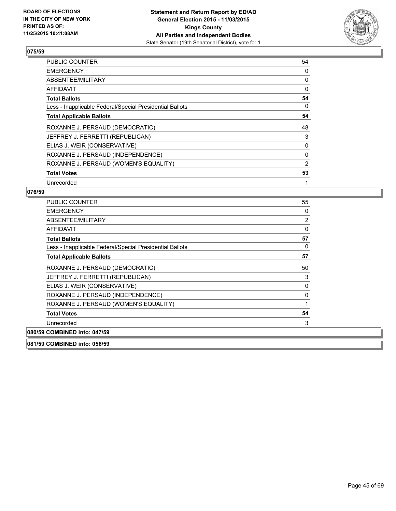

| <b>PUBLIC COUNTER</b>                                    | 54             |
|----------------------------------------------------------|----------------|
| <b>EMERGENCY</b>                                         | 0              |
| ABSENTEE/MILITARY                                        | 0              |
| <b>AFFIDAVIT</b>                                         | 0              |
| <b>Total Ballots</b>                                     | 54             |
| Less - Inapplicable Federal/Special Presidential Ballots | 0              |
| <b>Total Applicable Ballots</b>                          | 54             |
| ROXANNE J. PERSAUD (DEMOCRATIC)                          | 48             |
| JEFFREY J. FERRETTI (REPUBLICAN)                         | 3              |
| ELIAS J. WEIR (CONSERVATIVE)                             | 0              |
| ROXANNE J. PERSAUD (INDEPENDENCE)                        | 0              |
| ROXANNE J. PERSAUD (WOMEN'S EQUALITY)                    | $\overline{2}$ |
| <b>Total Votes</b>                                       | 53             |
| Unrecorded                                               | 1              |

# **076/59**

| <b>PUBLIC COUNTER</b>                                    | 55 |
|----------------------------------------------------------|----|
| <b>EMERGENCY</b>                                         | 0  |
| ABSENTEE/MILITARY                                        | 2  |
| <b>AFFIDAVIT</b>                                         | 0  |
| <b>Total Ballots</b>                                     | 57 |
| Less - Inapplicable Federal/Special Presidential Ballots | 0  |
| <b>Total Applicable Ballots</b>                          | 57 |
| ROXANNE J. PERSAUD (DEMOCRATIC)                          | 50 |
| JEFFREY J. FERRETTI (REPUBLICAN)                         | 3  |
| ELIAS J. WEIR (CONSERVATIVE)                             | 0  |
| ROXANNE J. PERSAUD (INDEPENDENCE)                        | 0  |
| ROXANNE J. PERSAUD (WOMEN'S EQUALITY)                    |    |
| <b>Total Votes</b>                                       | 54 |
| Unrecorded                                               | 3  |
| 080/59 COMBINED into: 047/59                             |    |
|                                                          |    |

**081/59 COMBINED into: 056/59**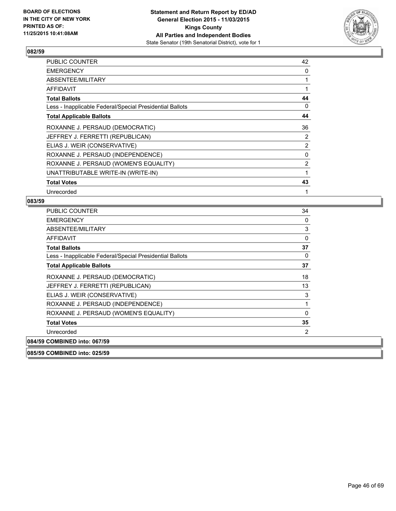

| PUBLIC COUNTER                                           | 42             |
|----------------------------------------------------------|----------------|
| <b>EMERGENCY</b>                                         | 0              |
| ABSENTEE/MILITARY                                        | 1              |
| AFFIDAVIT                                                |                |
| <b>Total Ballots</b>                                     | 44             |
| Less - Inapplicable Federal/Special Presidential Ballots | 0              |
| <b>Total Applicable Ballots</b>                          | 44             |
| ROXANNE J. PERSAUD (DEMOCRATIC)                          | 36             |
| JEFFREY J. FERRETTI (REPUBLICAN)                         | $\overline{2}$ |
| ELIAS J. WEIR (CONSERVATIVE)                             | $\overline{2}$ |
| ROXANNE J. PERSAUD (INDEPENDENCE)                        | 0              |
| ROXANNE J. PERSAUD (WOMEN'S EQUALITY)                    | $\overline{2}$ |
| UNATTRIBUTABLE WRITE-IN (WRITE-IN)                       |                |
| <b>Total Votes</b>                                       | 43             |
| Unrecorded                                               |                |

#### **083/59**

| <b>PUBLIC COUNTER</b>                                    | 34 |
|----------------------------------------------------------|----|
| <b>EMERGENCY</b>                                         | 0  |
| ABSENTEE/MILITARY                                        | 3  |
| <b>AFFIDAVIT</b>                                         | 0  |
| <b>Total Ballots</b>                                     | 37 |
| Less - Inapplicable Federal/Special Presidential Ballots | 0  |
| <b>Total Applicable Ballots</b>                          | 37 |
| ROXANNE J. PERSAUD (DEMOCRATIC)                          | 18 |
| JEFFREY J. FERRETTI (REPUBLICAN)                         | 13 |
| ELIAS J. WEIR (CONSERVATIVE)                             | 3  |
| ROXANNE J. PERSAUD (INDEPENDENCE)                        | 1  |
| ROXANNE J. PERSAUD (WOMEN'S EQUALITY)                    | 0  |
| <b>Total Votes</b>                                       | 35 |
| Unrecorded                                               | 2  |
| 084/59 COMBINED into: 067/59                             |    |

**085/59 COMBINED into: 025/59**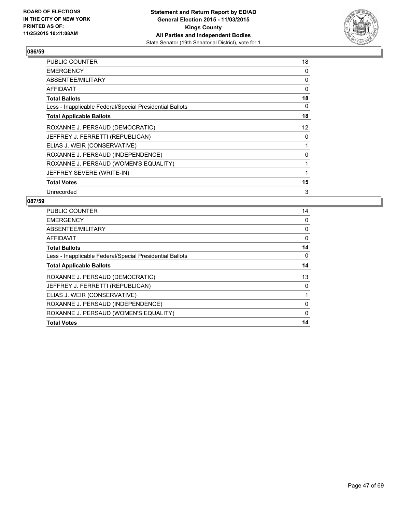

| <b>PUBLIC COUNTER</b>                                    | 18       |
|----------------------------------------------------------|----------|
| <b>EMERGENCY</b>                                         | $\Omega$ |
| ABSENTEE/MILITARY                                        | 0        |
| <b>AFFIDAVIT</b>                                         | $\Omega$ |
| <b>Total Ballots</b>                                     | 18       |
| Less - Inapplicable Federal/Special Presidential Ballots | 0        |
| <b>Total Applicable Ballots</b>                          | 18       |
| ROXANNE J. PERSAUD (DEMOCRATIC)                          | 12       |
| JEFFREY J. FERRETTI (REPUBLICAN)                         | 0        |
| ELIAS J. WEIR (CONSERVATIVE)                             |          |
| ROXANNE J. PERSAUD (INDEPENDENCE)                        | 0        |
| ROXANNE J. PERSAUD (WOMEN'S EQUALITY)                    |          |
| JEFFREY SEVERE (WRITE-IN)                                |          |
| <b>Total Votes</b>                                       | 15       |
| Unrecorded                                               | 3        |

| <b>PUBLIC COUNTER</b>                                    | 14 |
|----------------------------------------------------------|----|
| <b>EMERGENCY</b>                                         | 0  |
| ABSENTEE/MILITARY                                        | 0  |
| AFFIDAVIT                                                | 0  |
| <b>Total Ballots</b>                                     | 14 |
| Less - Inapplicable Federal/Special Presidential Ballots | 0  |
| <b>Total Applicable Ballots</b>                          | 14 |
| ROXANNE J. PERSAUD (DEMOCRATIC)                          | 13 |
| JEFFREY J. FERRETTI (REPUBLICAN)                         | 0  |
| ELIAS J. WEIR (CONSERVATIVE)                             |    |
| ROXANNE J. PERSAUD (INDEPENDENCE)                        | 0  |
| ROXANNE J. PERSAUD (WOMEN'S EQUALITY)                    | 0  |
| <b>Total Votes</b>                                       | 14 |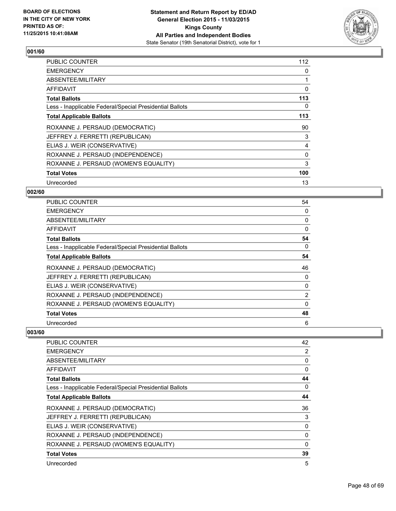

| <b>PUBLIC COUNTER</b>                                    | 112 |
|----------------------------------------------------------|-----|
| <b>EMERGENCY</b>                                         | 0   |
| ABSENTEE/MILITARY                                        |     |
| AFFIDAVIT                                                | 0   |
| <b>Total Ballots</b>                                     | 113 |
| Less - Inapplicable Federal/Special Presidential Ballots | 0   |
| <b>Total Applicable Ballots</b>                          | 113 |
| ROXANNE J. PERSAUD (DEMOCRATIC)                          | 90  |
| JEFFREY J. FERRETTI (REPUBLICAN)                         | 3   |
| ELIAS J. WEIR (CONSERVATIVE)                             | 4   |
| ROXANNE J. PERSAUD (INDEPENDENCE)                        | 0   |
| ROXANNE J. PERSAUD (WOMEN'S EQUALITY)                    | 3   |
| <b>Total Votes</b>                                       | 100 |
| Unrecorded                                               | 13  |

# **002/60**

| PUBLIC COUNTER                                           | 54             |
|----------------------------------------------------------|----------------|
| <b>EMERGENCY</b>                                         | 0              |
| ABSENTEE/MILITARY                                        | 0              |
| AFFIDAVIT                                                | 0              |
| <b>Total Ballots</b>                                     | 54             |
| Less - Inapplicable Federal/Special Presidential Ballots | 0              |
| <b>Total Applicable Ballots</b>                          | 54             |
| ROXANNE J. PERSAUD (DEMOCRATIC)                          | 46             |
| JEFFREY J. FERRETTI (REPUBLICAN)                         | 0              |
| ELIAS J. WEIR (CONSERVATIVE)                             | 0              |
| ROXANNE J. PERSAUD (INDEPENDENCE)                        | $\overline{2}$ |
| ROXANNE J. PERSAUD (WOMEN'S EQUALITY)                    | 0              |
| <b>Total Votes</b>                                       | 48             |
| Unrecorded                                               | 6              |

| <b>PUBLIC COUNTER</b>                                    | 42          |
|----------------------------------------------------------|-------------|
| <b>EMERGENCY</b>                                         | 2           |
| ABSENTEE/MILITARY                                        | 0           |
| AFFIDAVIT                                                | 0           |
| <b>Total Ballots</b>                                     | 44          |
| Less - Inapplicable Federal/Special Presidential Ballots | 0           |
| <b>Total Applicable Ballots</b>                          | 44          |
| ROXANNE J. PERSAUD (DEMOCRATIC)                          | 36          |
| JEFFREY J. FERRETTI (REPUBLICAN)                         | 3           |
| ELIAS J. WEIR (CONSERVATIVE)                             | 0           |
| ROXANNE J. PERSAUD (INDEPENDENCE)                        | 0           |
| ROXANNE J. PERSAUD (WOMEN'S EQUALITY)                    | $\mathbf 0$ |
| <b>Total Votes</b>                                       | 39          |
| Unrecorded                                               | 5           |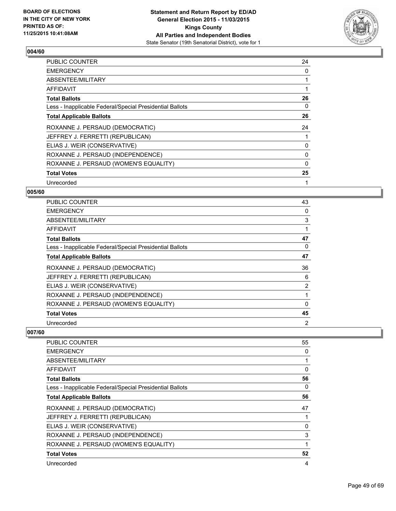

| <b>PUBLIC COUNTER</b>                                    | 24 |
|----------------------------------------------------------|----|
| <b>EMERGENCY</b>                                         | 0  |
| ABSENTEE/MILITARY                                        |    |
| AFFIDAVIT                                                |    |
| <b>Total Ballots</b>                                     | 26 |
| Less - Inapplicable Federal/Special Presidential Ballots | 0  |
| <b>Total Applicable Ballots</b>                          | 26 |
| ROXANNE J. PERSAUD (DEMOCRATIC)                          | 24 |
| JEFFREY J. FERRETTI (REPUBLICAN)                         |    |
| ELIAS J. WEIR (CONSERVATIVE)                             | 0  |
| ROXANNE J. PERSAUD (INDEPENDENCE)                        | 0  |
| ROXANNE J. PERSAUD (WOMEN'S EQUALITY)                    | 0  |
| <b>Total Votes</b>                                       | 25 |
| Unrecorded                                               | 1  |

# **005/60**

| PUBLIC COUNTER                                           | 43             |
|----------------------------------------------------------|----------------|
| <b>EMERGENCY</b>                                         | 0              |
| ABSENTEE/MILITARY                                        | 3              |
| AFFIDAVIT                                                |                |
| <b>Total Ballots</b>                                     | 47             |
| Less - Inapplicable Federal/Special Presidential Ballots | 0              |
| <b>Total Applicable Ballots</b>                          | 47             |
| ROXANNE J. PERSAUD (DEMOCRATIC)                          | 36             |
| JEFFREY J. FERRETTI (REPUBLICAN)                         | 6              |
| ELIAS J. WEIR (CONSERVATIVE)                             | $\overline{2}$ |
| ROXANNE J. PERSAUD (INDEPENDENCE)                        |                |
| ROXANNE J. PERSAUD (WOMEN'S EQUALITY)                    | 0              |
| <b>Total Votes</b>                                       | 45             |
| Unrecorded                                               | 2              |

| <b>PUBLIC COUNTER</b>                                    | 55 |
|----------------------------------------------------------|----|
| <b>EMERGENCY</b>                                         | 0  |
| ABSENTEE/MILITARY                                        |    |
| AFFIDAVIT                                                | 0  |
| <b>Total Ballots</b>                                     | 56 |
| Less - Inapplicable Federal/Special Presidential Ballots | 0  |
| <b>Total Applicable Ballots</b>                          | 56 |
| ROXANNE J. PERSAUD (DEMOCRATIC)                          | 47 |
| JEFFREY J. FERRETTI (REPUBLICAN)                         |    |
| ELIAS J. WEIR (CONSERVATIVE)                             | 0  |
| ROXANNE J. PERSAUD (INDEPENDENCE)                        | 3  |
| ROXANNE J. PERSAUD (WOMEN'S EQUALITY)                    | 1  |
| <b>Total Votes</b>                                       | 52 |
| Unrecorded                                               | 4  |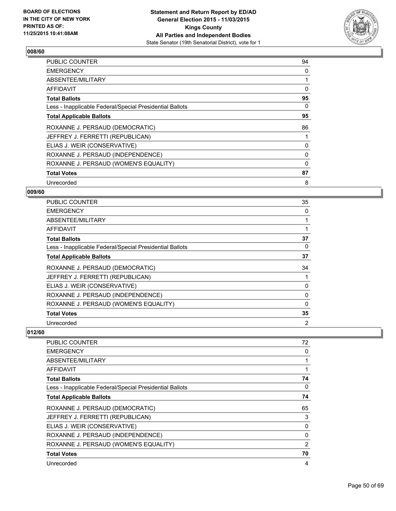

| <b>PUBLIC COUNTER</b>                                    | 94 |
|----------------------------------------------------------|----|
| <b>EMERGENCY</b>                                         | 0  |
| ABSENTEE/MILITARY                                        |    |
| AFFIDAVIT                                                | 0  |
| <b>Total Ballots</b>                                     | 95 |
| Less - Inapplicable Federal/Special Presidential Ballots | 0  |
| <b>Total Applicable Ballots</b>                          | 95 |
| ROXANNE J. PERSAUD (DEMOCRATIC)                          | 86 |
| JEFFREY J. FERRETTI (REPUBLICAN)                         |    |
| ELIAS J. WEIR (CONSERVATIVE)                             | 0  |
| ROXANNE J. PERSAUD (INDEPENDENCE)                        | 0  |
| ROXANNE J. PERSAUD (WOMEN'S EQUALITY)                    | 0  |
| <b>Total Votes</b>                                       | 87 |
| Unrecorded                                               | 8  |

# **009/60**

| <b>PUBLIC COUNTER</b>                                    | 35 |
|----------------------------------------------------------|----|
| <b>EMERGENCY</b>                                         | 0  |
| ABSENTEE/MILITARY                                        |    |
| AFFIDAVIT                                                |    |
| <b>Total Ballots</b>                                     | 37 |
| Less - Inapplicable Federal/Special Presidential Ballots | 0  |
| <b>Total Applicable Ballots</b>                          | 37 |
| ROXANNE J. PERSAUD (DEMOCRATIC)                          | 34 |
| JEFFREY J. FERRETTI (REPUBLICAN)                         |    |
| ELIAS J. WEIR (CONSERVATIVE)                             | 0  |
| ROXANNE J. PERSAUD (INDEPENDENCE)                        | 0  |
| ROXANNE J. PERSAUD (WOMEN'S EQUALITY)                    | 0  |
| <b>Total Votes</b>                                       | 35 |
| Unrecorded                                               | 2  |

| <b>PUBLIC COUNTER</b>                                    | 72 |
|----------------------------------------------------------|----|
| <b>EMERGENCY</b>                                         | 0  |
| ABSENTEE/MILITARY                                        |    |
| AFFIDAVIT                                                |    |
| <b>Total Ballots</b>                                     | 74 |
| Less - Inapplicable Federal/Special Presidential Ballots | 0  |
| <b>Total Applicable Ballots</b>                          | 74 |
| ROXANNE J. PERSAUD (DEMOCRATIC)                          | 65 |
| JEFFREY J. FERRETTI (REPUBLICAN)                         | 3  |
| ELIAS J. WEIR (CONSERVATIVE)                             | 0  |
| ROXANNE J. PERSAUD (INDEPENDENCE)                        | 0  |
| ROXANNE J. PERSAUD (WOMEN'S EQUALITY)                    | 2  |
| <b>Total Votes</b>                                       | 70 |
| Unrecorded                                               | 4  |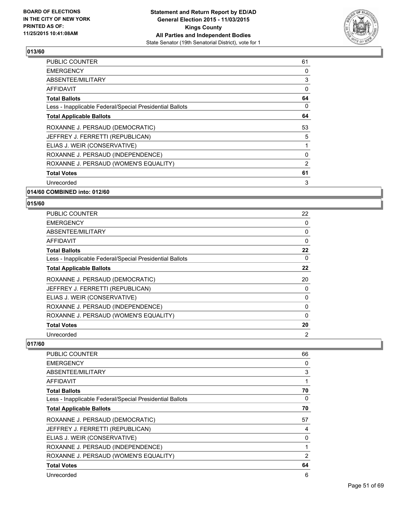

| <b>PUBLIC COUNTER</b>                                    | 61 |
|----------------------------------------------------------|----|
| <b>EMERGENCY</b>                                         | 0  |
| ABSENTEE/MILITARY                                        | 3  |
| AFFIDAVIT                                                | 0  |
| <b>Total Ballots</b>                                     | 64 |
| Less - Inapplicable Federal/Special Presidential Ballots | 0  |
| <b>Total Applicable Ballots</b>                          | 64 |
| ROXANNE J. PERSAUD (DEMOCRATIC)                          | 53 |
| JEFFREY J. FERRETTI (REPUBLICAN)                         | 5  |
| ELIAS J. WEIR (CONSERVATIVE)                             |    |
| ROXANNE J. PERSAUD (INDEPENDENCE)                        | 0  |
| ROXANNE J. PERSAUD (WOMEN'S EQUALITY)                    | 2  |
| <b>Total Votes</b>                                       | 61 |
| Unrecorded                                               | 3  |
|                                                          |    |

**014/60 COMBINED into: 012/60**

#### **015/60**

| <b>PUBLIC COUNTER</b>                                    | 22 |
|----------------------------------------------------------|----|
| <b>EMERGENCY</b>                                         | 0  |
| ABSENTEE/MILITARY                                        | 0  |
| AFFIDAVIT                                                | 0  |
| <b>Total Ballots</b>                                     | 22 |
| Less - Inapplicable Federal/Special Presidential Ballots | 0  |
| <b>Total Applicable Ballots</b>                          | 22 |
| ROXANNE J. PERSAUD (DEMOCRATIC)                          | 20 |
| JEFFREY J. FERRETTI (REPUBLICAN)                         | 0  |
| ELIAS J. WEIR (CONSERVATIVE)                             | 0  |
| ROXANNE J. PERSAUD (INDEPENDENCE)                        | 0  |
| ROXANNE J. PERSAUD (WOMEN'S EQUALITY)                    | 0  |
| <b>Total Votes</b>                                       | 20 |
| Unrecorded                                               | 2  |

| PUBLIC COUNTER                                           | 66             |
|----------------------------------------------------------|----------------|
| <b>EMERGENCY</b>                                         | 0              |
| ABSENTEE/MILITARY                                        | 3              |
| AFFIDAVIT                                                |                |
| <b>Total Ballots</b>                                     | 70             |
| Less - Inapplicable Federal/Special Presidential Ballots | 0              |
| <b>Total Applicable Ballots</b>                          | 70             |
| ROXANNE J. PERSAUD (DEMOCRATIC)                          | 57             |
| JEFFREY J. FERRETTI (REPUBLICAN)                         | 4              |
| ELIAS J. WEIR (CONSERVATIVE)                             | $\Omega$       |
| ROXANNE J. PERSAUD (INDEPENDENCE)                        |                |
| ROXANNE J. PERSAUD (WOMEN'S EQUALITY)                    | $\overline{2}$ |
| <b>Total Votes</b>                                       | 64             |
| Unrecorded                                               | 6              |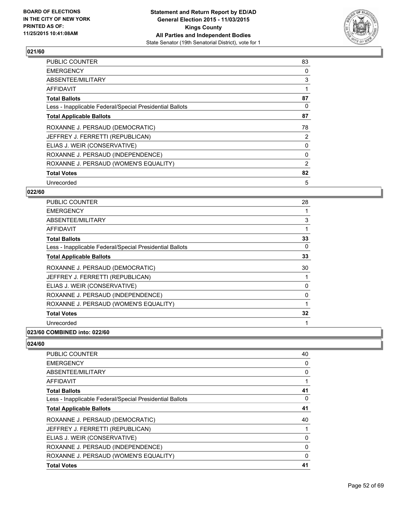

| <b>PUBLIC COUNTER</b>                                    | 83 |
|----------------------------------------------------------|----|
| <b>EMERGENCY</b>                                         | 0  |
| ABSENTEE/MILITARY                                        | 3  |
| AFFIDAVIT                                                |    |
| <b>Total Ballots</b>                                     | 87 |
| Less - Inapplicable Federal/Special Presidential Ballots | 0  |
| <b>Total Applicable Ballots</b>                          | 87 |
| ROXANNE J. PERSAUD (DEMOCRATIC)                          | 78 |
| JEFFREY J. FERRETTI (REPUBLICAN)                         | 2  |
| ELIAS J. WEIR (CONSERVATIVE)                             | 0  |
| ROXANNE J. PERSAUD (INDEPENDENCE)                        | 0  |
| ROXANNE J. PERSAUD (WOMEN'S EQUALITY)                    | 2  |
| <b>Total Votes</b>                                       | 82 |
| Unrecorded                                               | 5  |

# **022/60**

| PUBLIC COUNTER                                           | 28 |
|----------------------------------------------------------|----|
| <b>EMERGENCY</b>                                         | 1  |
| ABSENTEE/MILITARY                                        | 3  |
| AFFIDAVIT                                                | 1  |
| <b>Total Ballots</b>                                     | 33 |
| Less - Inapplicable Federal/Special Presidential Ballots | 0  |
| <b>Total Applicable Ballots</b>                          | 33 |
| ROXANNE J. PERSAUD (DEMOCRATIC)                          | 30 |
| JEFFREY J. FERRETTI (REPUBLICAN)                         |    |
| ELIAS J. WEIR (CONSERVATIVE)                             | 0  |
| ROXANNE J. PERSAUD (INDEPENDENCE)                        | 0  |
| ROXANNE J. PERSAUD (WOMEN'S EQUALITY)                    | 1  |
| <b>Total Votes</b>                                       | 32 |
| Unrecorded                                               |    |
|                                                          |    |

#### **023/60 COMBINED into: 022/60**

| <b>PUBLIC COUNTER</b>                                    | 40          |
|----------------------------------------------------------|-------------|
| <b>EMERGENCY</b>                                         | 0           |
| ABSENTEE/MILITARY                                        | 0           |
| AFFIDAVIT                                                | 1           |
| <b>Total Ballots</b>                                     | 41          |
| Less - Inapplicable Federal/Special Presidential Ballots | 0           |
| <b>Total Applicable Ballots</b>                          | 41          |
| ROXANNE J. PERSAUD (DEMOCRATIC)                          | 40          |
| JEFFREY J. FERRETTI (REPUBLICAN)                         |             |
| ELIAS J. WEIR (CONSERVATIVE)                             | 0           |
| ROXANNE J. PERSAUD (INDEPENDENCE)                        | $\mathbf 0$ |
| ROXANNE J. PERSAUD (WOMEN'S EQUALITY)                    | 0           |
| <b>Total Votes</b>                                       | 41          |
|                                                          |             |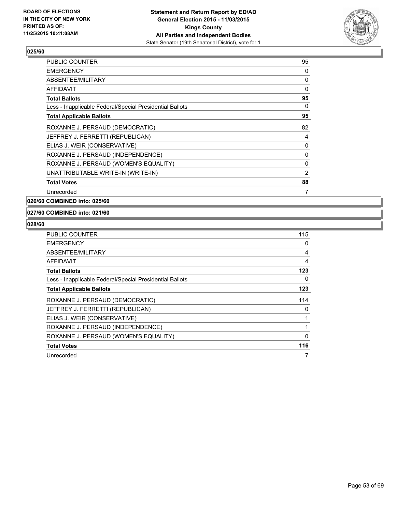

| <b>PUBLIC COUNTER</b>                                    | 95 |
|----------------------------------------------------------|----|
| <b>EMERGENCY</b>                                         | 0  |
| ABSENTEE/MILITARY                                        | 0  |
| AFFIDAVIT                                                | 0  |
| <b>Total Ballots</b>                                     | 95 |
| Less - Inapplicable Federal/Special Presidential Ballots | 0  |
| <b>Total Applicable Ballots</b>                          | 95 |
| ROXANNE J. PERSAUD (DEMOCRATIC)                          | 82 |
| JEFFREY J. FERRETTI (REPUBLICAN)                         | 4  |
| ELIAS J. WEIR (CONSERVATIVE)                             | 0  |
| ROXANNE J. PERSAUD (INDEPENDENCE)                        | 0  |
| ROXANNE J. PERSAUD (WOMEN'S EQUALITY)                    | 0  |
| UNATTRIBUTABLE WRITE-IN (WRITE-IN)                       | 2  |
| <b>Total Votes</b>                                       | 88 |
| Unrecorded                                               | 7  |

**026/60 COMBINED into: 025/60**

#### **027/60 COMBINED into: 021/60**

| <b>PUBLIC COUNTER</b>                                    | 115 |
|----------------------------------------------------------|-----|
| <b>EMERGENCY</b>                                         | 0   |
| ABSENTEE/MILITARY                                        | 4   |
| <b>AFFIDAVIT</b>                                         | 4   |
| <b>Total Ballots</b>                                     | 123 |
| Less - Inapplicable Federal/Special Presidential Ballots | 0   |
| <b>Total Applicable Ballots</b>                          | 123 |
| ROXANNE J. PERSAUD (DEMOCRATIC)                          | 114 |
| JEFFREY J. FERRETTI (REPUBLICAN)                         | 0   |
| ELIAS J. WEIR (CONSERVATIVE)                             |     |
| ROXANNE J. PERSAUD (INDEPENDENCE)                        |     |
| ROXANNE J. PERSAUD (WOMEN'S EQUALITY)                    | 0   |
| <b>Total Votes</b>                                       | 116 |
| Unrecorded                                               | 7   |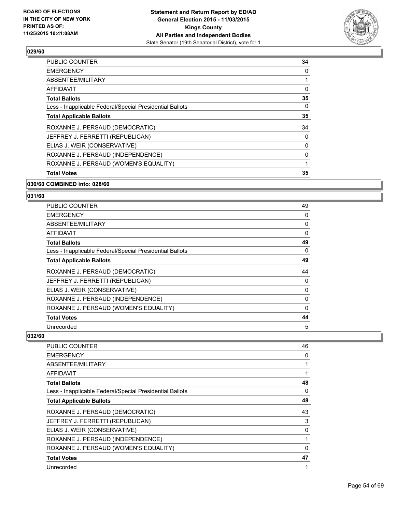

| <b>PUBLIC COUNTER</b>                                    | 34 |
|----------------------------------------------------------|----|
| <b>EMERGENCY</b>                                         | 0  |
| ABSENTEE/MILITARY                                        |    |
| AFFIDAVIT                                                | 0  |
| <b>Total Ballots</b>                                     | 35 |
| Less - Inapplicable Federal/Special Presidential Ballots | 0  |
| <b>Total Applicable Ballots</b>                          | 35 |
| ROXANNE J. PERSAUD (DEMOCRATIC)                          | 34 |
| JEFFREY J. FERRETTI (REPUBLICAN)                         | 0  |
| ELIAS J. WEIR (CONSERVATIVE)                             | 0  |
| ROXANNE J. PERSAUD (INDEPENDENCE)                        | 0  |
| ROXANNE J. PERSAUD (WOMEN'S EQUALITY)                    | 1  |
| <b>Total Votes</b>                                       | 35 |
|                                                          |    |

#### **030/60 COMBINED into: 028/60**

# **031/60**

| <b>PUBLIC COUNTER</b>                                    | 49 |
|----------------------------------------------------------|----|
| <b>EMERGENCY</b>                                         | 0  |
| ABSENTEE/MILITARY                                        | 0  |
| AFFIDAVIT                                                | 0  |
| <b>Total Ballots</b>                                     | 49 |
| Less - Inapplicable Federal/Special Presidential Ballots | 0  |
| <b>Total Applicable Ballots</b>                          | 49 |
| ROXANNE J. PERSAUD (DEMOCRATIC)                          | 44 |
| JEFFREY J. FERRETTI (REPUBLICAN)                         | 0  |
| ELIAS J. WEIR (CONSERVATIVE)                             | 0  |
| ROXANNE J. PERSAUD (INDEPENDENCE)                        | 0  |
| ROXANNE J. PERSAUD (WOMEN'S EQUALITY)                    | 0  |
| <b>Total Votes</b>                                       | 44 |
| Unrecorded                                               | 5  |

| <b>PUBLIC COUNTER</b>                                    | 46 |
|----------------------------------------------------------|----|
| <b>EMERGENCY</b>                                         | 0  |
| ABSENTEE/MILITARY                                        | 1  |
| AFFIDAVIT                                                |    |
| <b>Total Ballots</b>                                     | 48 |
| Less - Inapplicable Federal/Special Presidential Ballots | 0  |
| <b>Total Applicable Ballots</b>                          | 48 |
| ROXANNE J. PERSAUD (DEMOCRATIC)                          | 43 |
| JEFFREY J. FERRETTI (REPUBLICAN)                         | 3  |
| ELIAS J. WEIR (CONSERVATIVE)                             | 0  |
| ROXANNE J. PERSAUD (INDEPENDENCE)                        |    |
| ROXANNE J. PERSAUD (WOMEN'S EQUALITY)                    | 0  |
| <b>Total Votes</b>                                       | 47 |
| Unrecorded                                               | 1  |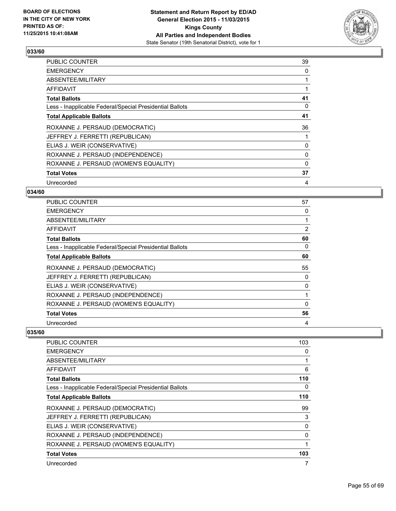

| <b>PUBLIC COUNTER</b>                                    | 39 |
|----------------------------------------------------------|----|
| <b>EMERGENCY</b>                                         | 0  |
| ABSENTEE/MILITARY                                        |    |
| AFFIDAVIT                                                |    |
| <b>Total Ballots</b>                                     | 41 |
| Less - Inapplicable Federal/Special Presidential Ballots | 0  |
| <b>Total Applicable Ballots</b>                          | 41 |
| ROXANNE J. PERSAUD (DEMOCRATIC)                          | 36 |
| JEFFREY J. FERRETTI (REPUBLICAN)                         |    |
| ELIAS J. WEIR (CONSERVATIVE)                             | 0  |
| ROXANNE J. PERSAUD (INDEPENDENCE)                        | 0  |
| ROXANNE J. PERSAUD (WOMEN'S EQUALITY)                    | 0  |
| <b>Total Votes</b>                                       | 37 |
| Unrecorded                                               | 4  |

# **034/60**

| <b>PUBLIC COUNTER</b>                                    | 57 |
|----------------------------------------------------------|----|
| <b>EMERGENCY</b>                                         | 0  |
| ABSENTEE/MILITARY                                        |    |
| AFFIDAVIT                                                | 2  |
| <b>Total Ballots</b>                                     | 60 |
| Less - Inapplicable Federal/Special Presidential Ballots | 0  |
| <b>Total Applicable Ballots</b>                          | 60 |
| ROXANNE J. PERSAUD (DEMOCRATIC)                          | 55 |
| JEFFREY J. FERRETTI (REPUBLICAN)                         | 0  |
| ELIAS J. WEIR (CONSERVATIVE)                             | 0  |
| ROXANNE J. PERSAUD (INDEPENDENCE)                        |    |
| ROXANNE J. PERSAUD (WOMEN'S EQUALITY)                    | 0  |
| <b>Total Votes</b>                                       | 56 |
| Unrecorded                                               | 4  |

| <b>PUBLIC COUNTER</b>                                    | 103 |
|----------------------------------------------------------|-----|
| <b>EMERGENCY</b>                                         | 0   |
| ABSENTEE/MILITARY                                        | 1   |
| <b>AFFIDAVIT</b>                                         | 6   |
| <b>Total Ballots</b>                                     | 110 |
| Less - Inapplicable Federal/Special Presidential Ballots | 0   |
| <b>Total Applicable Ballots</b>                          | 110 |
| ROXANNE J. PERSAUD (DEMOCRATIC)                          | 99  |
| JEFFREY J. FERRETTI (REPUBLICAN)                         | 3   |
| ELIAS J. WEIR (CONSERVATIVE)                             | 0   |
| ROXANNE J. PERSAUD (INDEPENDENCE)                        | 0   |
| ROXANNE J. PERSAUD (WOMEN'S EQUALITY)                    | 1   |
| <b>Total Votes</b>                                       | 103 |
| Unrecorded                                               | 7   |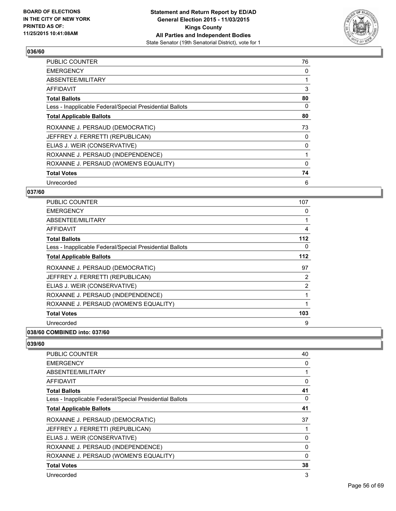

| <b>PUBLIC COUNTER</b>                                    | 76 |
|----------------------------------------------------------|----|
| <b>EMERGENCY</b>                                         | 0  |
| ABSENTEE/MILITARY                                        |    |
| AFFIDAVIT                                                | 3  |
| <b>Total Ballots</b>                                     | 80 |
| Less - Inapplicable Federal/Special Presidential Ballots | 0  |
| <b>Total Applicable Ballots</b>                          | 80 |
| ROXANNE J. PERSAUD (DEMOCRATIC)                          | 73 |
| JEFFREY J. FERRETTI (REPUBLICAN)                         | 0  |
| ELIAS J. WEIR (CONSERVATIVE)                             | 0  |
| ROXANNE J. PERSAUD (INDEPENDENCE)                        |    |
| ROXANNE J. PERSAUD (WOMEN'S EQUALITY)                    | 0  |
| <b>Total Votes</b>                                       | 74 |
| Unrecorded                                               | 6  |

# **037/60**

| PUBLIC COUNTER                                           | 107 |
|----------------------------------------------------------|-----|
| <b>EMERGENCY</b>                                         | 0   |
| ABSENTEE/MILITARY                                        | 1   |
| AFFIDAVIT                                                | 4   |
| <b>Total Ballots</b>                                     | 112 |
| Less - Inapplicable Federal/Special Presidential Ballots | 0   |
| <b>Total Applicable Ballots</b>                          | 112 |
| ROXANNE J. PERSAUD (DEMOCRATIC)                          | 97  |
| JEFFREY J. FERRETTI (REPUBLICAN)                         | 2   |
| ELIAS J. WEIR (CONSERVATIVE)                             | 2   |
| ROXANNE J. PERSAUD (INDEPENDENCE)                        |     |
| ROXANNE J. PERSAUD (WOMEN'S EQUALITY)                    | 1   |
| <b>Total Votes</b>                                       | 103 |
| Unrecorded                                               | 9   |
|                                                          |     |

#### **038/60 COMBINED into: 037/60**

| <b>PUBLIC COUNTER</b>                                    | 40 |
|----------------------------------------------------------|----|
| <b>EMERGENCY</b>                                         | 0  |
| ABSENTEE/MILITARY                                        | 1  |
| <b>AFFIDAVIT</b>                                         | 0  |
| <b>Total Ballots</b>                                     | 41 |
| Less - Inapplicable Federal/Special Presidential Ballots | 0  |
| <b>Total Applicable Ballots</b>                          | 41 |
| ROXANNE J. PERSAUD (DEMOCRATIC)                          | 37 |
| JEFFREY J. FERRETTI (REPUBLICAN)                         | 1  |
| ELIAS J. WEIR (CONSERVATIVE)                             | 0  |
| ROXANNE J. PERSAUD (INDEPENDENCE)                        | 0  |
| ROXANNE J. PERSAUD (WOMEN'S EQUALITY)                    | 0  |
| <b>Total Votes</b>                                       | 38 |
| Unrecorded                                               | 3  |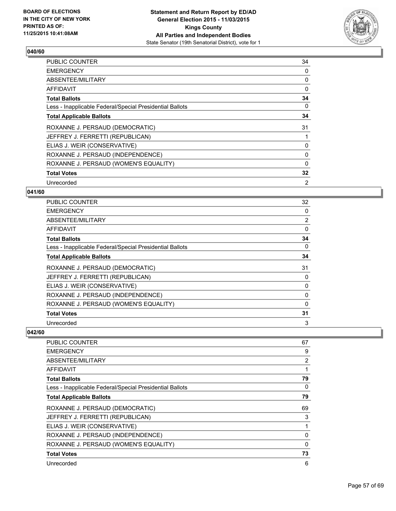

| <b>PUBLIC COUNTER</b>                                    | 34 |
|----------------------------------------------------------|----|
| <b>EMERGENCY</b>                                         | 0  |
| ABSENTEE/MILITARY                                        | 0  |
| AFFIDAVIT                                                | 0  |
| <b>Total Ballots</b>                                     | 34 |
| Less - Inapplicable Federal/Special Presidential Ballots | 0  |
| <b>Total Applicable Ballots</b>                          | 34 |
| ROXANNE J. PERSAUD (DEMOCRATIC)                          | 31 |
| JEFFREY J. FERRETTI (REPUBLICAN)                         |    |
| ELIAS J. WEIR (CONSERVATIVE)                             | 0  |
| ROXANNE J. PERSAUD (INDEPENDENCE)                        | 0  |
| ROXANNE J. PERSAUD (WOMEN'S EQUALITY)                    | 0  |
| <b>Total Votes</b>                                       | 32 |
| Unrecorded                                               | 2  |

#### **041/60**

| <b>PUBLIC COUNTER</b>                                    | 32             |
|----------------------------------------------------------|----------------|
| <b>EMERGENCY</b>                                         | 0              |
| ABSENTEE/MILITARY                                        | $\overline{2}$ |
| AFFIDAVIT                                                | 0              |
| <b>Total Ballots</b>                                     | 34             |
| Less - Inapplicable Federal/Special Presidential Ballots | 0              |
| <b>Total Applicable Ballots</b>                          | 34             |
| ROXANNE J. PERSAUD (DEMOCRATIC)                          | 31             |
| JEFFREY J. FERRETTI (REPUBLICAN)                         | 0              |
| ELIAS J. WEIR (CONSERVATIVE)                             | 0              |
| ROXANNE J. PERSAUD (INDEPENDENCE)                        | 0              |
| ROXANNE J. PERSAUD (WOMEN'S EQUALITY)                    | 0              |
| <b>Total Votes</b>                                       | 31             |
| Unrecorded                                               | 3              |

| <b>PUBLIC COUNTER</b>                                    | 67          |
|----------------------------------------------------------|-------------|
| <b>EMERGENCY</b>                                         | 9           |
| ABSENTEE/MILITARY                                        | 2           |
| AFFIDAVIT                                                |             |
| <b>Total Ballots</b>                                     | 79          |
| Less - Inapplicable Federal/Special Presidential Ballots | 0           |
| <b>Total Applicable Ballots</b>                          | 79          |
| ROXANNE J. PERSAUD (DEMOCRATIC)                          | 69          |
| JEFFREY J. FERRETTI (REPUBLICAN)                         | 3           |
| ELIAS J. WEIR (CONSERVATIVE)                             | 1           |
| ROXANNE J. PERSAUD (INDEPENDENCE)                        | 0           |
| ROXANNE J. PERSAUD (WOMEN'S EQUALITY)                    | $\mathbf 0$ |
| <b>Total Votes</b>                                       | 73          |
| Unrecorded                                               | 6           |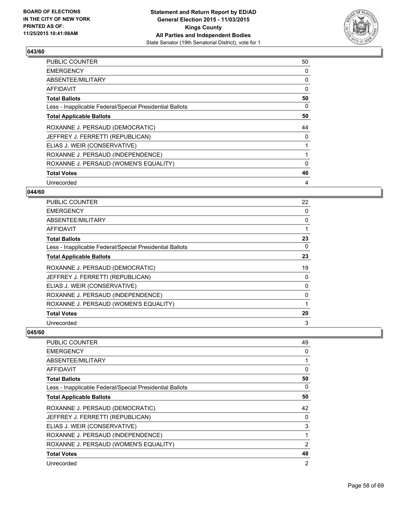

| <b>PUBLIC COUNTER</b>                                    | 50 |
|----------------------------------------------------------|----|
| <b>EMERGENCY</b>                                         | 0  |
| ABSENTEE/MILITARY                                        | 0  |
| AFFIDAVIT                                                | 0  |
| <b>Total Ballots</b>                                     | 50 |
| Less - Inapplicable Federal/Special Presidential Ballots | 0  |
| <b>Total Applicable Ballots</b>                          | 50 |
| ROXANNE J. PERSAUD (DEMOCRATIC)                          | 44 |
| JEFFREY J. FERRETTI (REPUBLICAN)                         | 0  |
| ELIAS J. WEIR (CONSERVATIVE)                             |    |
| ROXANNE J. PERSAUD (INDEPENDENCE)                        |    |
| ROXANNE J. PERSAUD (WOMEN'S EQUALITY)                    | 0  |
| <b>Total Votes</b>                                       | 46 |
| Unrecorded                                               | 4  |

# **044/60**

| PUBLIC COUNTER                                           | 22 |
|----------------------------------------------------------|----|
| <b>EMERGENCY</b>                                         | 0  |
| ABSENTEE/MILITARY                                        | 0  |
| AFFIDAVIT                                                | 1  |
| <b>Total Ballots</b>                                     | 23 |
| Less - Inapplicable Federal/Special Presidential Ballots | 0  |
| <b>Total Applicable Ballots</b>                          | 23 |
| ROXANNE J. PERSAUD (DEMOCRATIC)                          | 19 |
| JEFFREY J. FERRETTI (REPUBLICAN)                         | 0  |
| ELIAS J. WEIR (CONSERVATIVE)                             | 0  |
| ROXANNE J. PERSAUD (INDEPENDENCE)                        | 0  |
| ROXANNE J. PERSAUD (WOMEN'S EQUALITY)                    | 1  |
| <b>Total Votes</b>                                       | 20 |
| Unrecorded                                               | 3  |

| PUBLIC COUNTER                                           | 49 |
|----------------------------------------------------------|----|
| <b>EMERGENCY</b>                                         | 0  |
| ABSENTEE/MILITARY                                        | 1  |
| AFFIDAVIT                                                | 0  |
| <b>Total Ballots</b>                                     | 50 |
| Less - Inapplicable Federal/Special Presidential Ballots | 0  |
| <b>Total Applicable Ballots</b>                          | 50 |
| ROXANNE J. PERSAUD (DEMOCRATIC)                          | 42 |
| JEFFREY J. FERRETTI (REPUBLICAN)                         | 0  |
| ELIAS J. WEIR (CONSERVATIVE)                             | 3  |
| ROXANNE J. PERSAUD (INDEPENDENCE)                        | 1  |
| ROXANNE J. PERSAUD (WOMEN'S EQUALITY)                    | 2  |
| <b>Total Votes</b>                                       | 48 |
| Unrecorded                                               | 2  |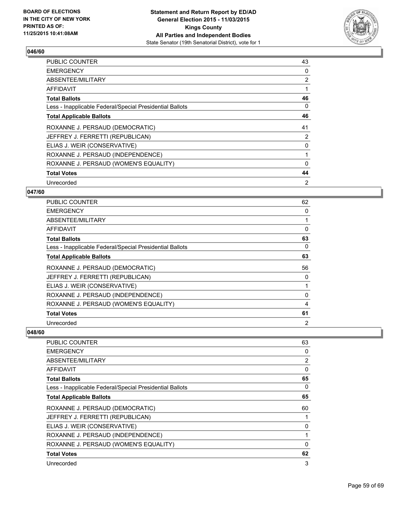

| <b>PUBLIC COUNTER</b>                                    | 43             |
|----------------------------------------------------------|----------------|
| <b>EMERGENCY</b>                                         | 0              |
| ABSENTEE/MILITARY                                        | $\overline{2}$ |
| AFFIDAVIT                                                |                |
| <b>Total Ballots</b>                                     | 46             |
| Less - Inapplicable Federal/Special Presidential Ballots | 0              |
| <b>Total Applicable Ballots</b>                          | 46             |
| ROXANNE J. PERSAUD (DEMOCRATIC)                          | 41             |
| JEFFREY J. FERRETTI (REPUBLICAN)                         | 2              |
| ELIAS J. WEIR (CONSERVATIVE)                             | 0              |
| ROXANNE J. PERSAUD (INDEPENDENCE)                        |                |
| ROXANNE J. PERSAUD (WOMEN'S EQUALITY)                    | 0              |
| <b>Total Votes</b>                                       | 44             |
| Unrecorded                                               | 2              |

#### **047/60**

| <b>PUBLIC COUNTER</b>                                    | 62 |
|----------------------------------------------------------|----|
| <b>EMERGENCY</b>                                         | 0  |
| ABSENTEE/MILITARY                                        |    |
| AFFIDAVIT                                                | 0  |
| <b>Total Ballots</b>                                     | 63 |
| Less - Inapplicable Federal/Special Presidential Ballots | 0  |
| <b>Total Applicable Ballots</b>                          | 63 |
| ROXANNE J. PERSAUD (DEMOCRATIC)                          | 56 |
| JEFFREY J. FERRETTI (REPUBLICAN)                         | 0  |
| ELIAS J. WEIR (CONSERVATIVE)                             |    |
| ROXANNE J. PERSAUD (INDEPENDENCE)                        | 0  |
| ROXANNE J. PERSAUD (WOMEN'S EQUALITY)                    | 4  |
| <b>Total Votes</b>                                       | 61 |
| Unrecorded                                               | 2  |

| <b>PUBLIC COUNTER</b>                                    | 63          |
|----------------------------------------------------------|-------------|
| <b>EMERGENCY</b>                                         | 0           |
| ABSENTEE/MILITARY                                        | 2           |
| AFFIDAVIT                                                | 0           |
| <b>Total Ballots</b>                                     | 65          |
| Less - Inapplicable Federal/Special Presidential Ballots | 0           |
| <b>Total Applicable Ballots</b>                          | 65          |
| ROXANNE J. PERSAUD (DEMOCRATIC)                          | 60          |
| JEFFREY J. FERRETTI (REPUBLICAN)                         |             |
| ELIAS J. WEIR (CONSERVATIVE)                             | 0           |
| ROXANNE J. PERSAUD (INDEPENDENCE)                        |             |
| ROXANNE J. PERSAUD (WOMEN'S EQUALITY)                    | $\mathbf 0$ |
| <b>Total Votes</b>                                       | 62          |
| Unrecorded                                               | 3           |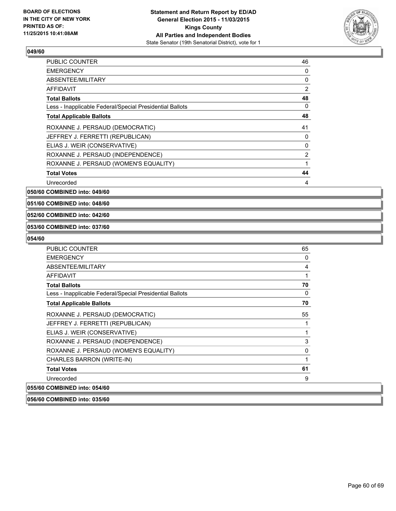

| <b>PUBLIC COUNTER</b>                                    | 46             |
|----------------------------------------------------------|----------------|
| <b>EMERGENCY</b>                                         | 0              |
| ABSENTEE/MILITARY                                        | 0              |
| <b>AFFIDAVIT</b>                                         | $\overline{2}$ |
| <b>Total Ballots</b>                                     | 48             |
| Less - Inapplicable Federal/Special Presidential Ballots | 0              |
| <b>Total Applicable Ballots</b>                          | 48             |
| ROXANNE J. PERSAUD (DEMOCRATIC)                          | 41             |
| JEFFREY J. FERRETTI (REPUBLICAN)                         | 0              |
| ELIAS J. WEIR (CONSERVATIVE)                             | 0              |
| ROXANNE J. PERSAUD (INDEPENDENCE)                        | $\overline{2}$ |
| ROXANNE J. PERSAUD (WOMEN'S EQUALITY)                    |                |
| <b>Total Votes</b>                                       | 44             |
| Unrecorded                                               | 4              |

**050/60 COMBINED into: 049/60**

**051/60 COMBINED into: 048/60**

#### **052/60 COMBINED into: 042/60**

#### **053/60 COMBINED into: 037/60**

#### **054/60**

| <b>PUBLIC COUNTER</b>                                    | 65 |
|----------------------------------------------------------|----|
| <b>EMERGENCY</b>                                         | 0  |
| ABSENTEE/MILITARY                                        | 4  |
| <b>AFFIDAVIT</b>                                         | 1  |
| <b>Total Ballots</b>                                     | 70 |
| Less - Inapplicable Federal/Special Presidential Ballots | 0  |
| <b>Total Applicable Ballots</b>                          | 70 |
| ROXANNE J. PERSAUD (DEMOCRATIC)                          | 55 |
| JEFFREY J. FERRETTI (REPUBLICAN)                         | 1  |
| ELIAS J. WEIR (CONSERVATIVE)                             | 1  |
| ROXANNE J. PERSAUD (INDEPENDENCE)                        | 3  |
| ROXANNE J. PERSAUD (WOMEN'S EQUALITY)                    | 0  |
| CHARLES BARRON (WRITE-IN)                                | 1  |
| <b>Total Votes</b>                                       | 61 |
| Unrecorded                                               | 9  |
| 055/60 COMBINED into: 054/60                             |    |

#### **056/60 COMBINED into: 035/60**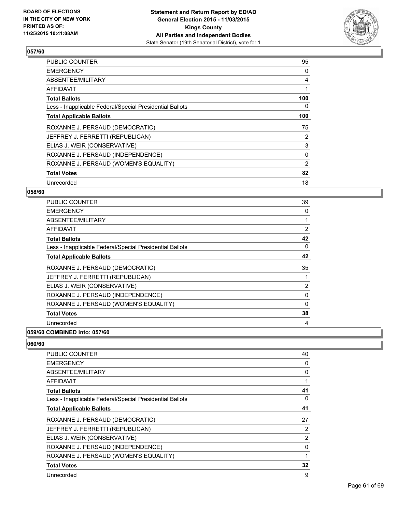

| <b>PUBLIC COUNTER</b>                                    | 95             |
|----------------------------------------------------------|----------------|
| <b>EMERGENCY</b>                                         | 0              |
| ABSENTEE/MILITARY                                        | 4              |
| AFFIDAVIT                                                |                |
| <b>Total Ballots</b>                                     | 100            |
| Less - Inapplicable Federal/Special Presidential Ballots | 0              |
| <b>Total Applicable Ballots</b>                          | 100            |
| ROXANNE J. PERSAUD (DEMOCRATIC)                          | 75             |
| JEFFREY J. FERRETTI (REPUBLICAN)                         | 2              |
| ELIAS J. WEIR (CONSERVATIVE)                             | 3              |
| ROXANNE J. PERSAUD (INDEPENDENCE)                        | 0              |
| ROXANNE J. PERSAUD (WOMEN'S EQUALITY)                    | $\overline{2}$ |
| <b>Total Votes</b>                                       | 82             |
| Unrecorded                                               | 18             |

# **058/60**

| <b>PUBLIC COUNTER</b>                                    | 39             |
|----------------------------------------------------------|----------------|
| <b>EMERGENCY</b>                                         | 0              |
| ABSENTEE/MILITARY                                        |                |
| AFFIDAVIT                                                | $\overline{2}$ |
| <b>Total Ballots</b>                                     | 42             |
| Less - Inapplicable Federal/Special Presidential Ballots | 0              |
| <b>Total Applicable Ballots</b>                          | 42             |
| ROXANNE J. PERSAUD (DEMOCRATIC)                          | 35             |
| JEFFREY J. FERRETTI (REPUBLICAN)                         |                |
| ELIAS J. WEIR (CONSERVATIVE)                             | $\overline{2}$ |
| ROXANNE J. PERSAUD (INDEPENDENCE)                        | 0              |
| ROXANNE J. PERSAUD (WOMEN'S EQUALITY)                    | $\Omega$       |
| <b>Total Votes</b>                                       | 38             |
| Unrecorded                                               | 4              |
|                                                          |                |

# **059/60 COMBINED into: 057/60**

| <b>PUBLIC COUNTER</b>                                    | 40             |
|----------------------------------------------------------|----------------|
| <b>EMERGENCY</b>                                         | 0              |
| ABSENTEE/MILITARY                                        | 0              |
| AFFIDAVIT                                                |                |
| <b>Total Ballots</b>                                     | 41             |
| Less - Inapplicable Federal/Special Presidential Ballots | 0              |
| <b>Total Applicable Ballots</b>                          | 41             |
| ROXANNE J. PERSAUD (DEMOCRATIC)                          | 27             |
| JEFFREY J. FERRETTI (REPUBLICAN)                         | 2              |
| ELIAS J. WEIR (CONSERVATIVE)                             | $\overline{2}$ |
| ROXANNE J. PERSAUD (INDEPENDENCE)                        | 0              |
| ROXANNE J. PERSAUD (WOMEN'S EQUALITY)                    |                |
| <b>Total Votes</b>                                       | 32             |
| Unrecorded                                               | 9              |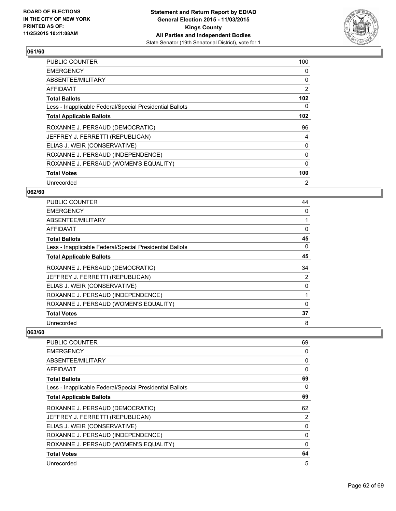

| PUBLIC COUNTER                                           | 100              |
|----------------------------------------------------------|------------------|
| <b>EMERGENCY</b>                                         | 0                |
| ABSENTEE/MILITARY                                        | 0                |
| AFFIDAVIT                                                | $\overline{2}$   |
| <b>Total Ballots</b>                                     | 102 <sub>2</sub> |
| Less - Inapplicable Federal/Special Presidential Ballots | 0                |
| <b>Total Applicable Ballots</b>                          | 102 <sub>2</sub> |
| ROXANNE J. PERSAUD (DEMOCRATIC)                          | 96               |
| JEFFREY J. FERRETTI (REPUBLICAN)                         | 4                |
| ELIAS J. WEIR (CONSERVATIVE)                             | 0                |
| ROXANNE J. PERSAUD (INDEPENDENCE)                        | 0                |
| ROXANNE J. PERSAUD (WOMEN'S EQUALITY)                    | 0                |
| <b>Total Votes</b>                                       | 100              |
| Unrecorded                                               | 2                |

# **062/60**

| PUBLIC COUNTER                                           | 44 |
|----------------------------------------------------------|----|
| <b>EMERGENCY</b>                                         | 0  |
| ABSENTEE/MILITARY                                        |    |
| AFFIDAVIT                                                | 0  |
| <b>Total Ballots</b>                                     | 45 |
| Less - Inapplicable Federal/Special Presidential Ballots | 0  |
| <b>Total Applicable Ballots</b>                          | 45 |
| ROXANNE J. PERSAUD (DEMOCRATIC)                          | 34 |
| JEFFREY J. FERRETTI (REPUBLICAN)                         | 2  |
| ELIAS J. WEIR (CONSERVATIVE)                             | 0  |
| ROXANNE J. PERSAUD (INDEPENDENCE)                        |    |
| ROXANNE J. PERSAUD (WOMEN'S EQUALITY)                    | 0  |
| <b>Total Votes</b>                                       | 37 |
| Unrecorded                                               | 8  |

| <b>PUBLIC COUNTER</b>                                    | 69       |
|----------------------------------------------------------|----------|
| <b>EMERGENCY</b>                                         | 0        |
| ABSENTEE/MILITARY                                        | 0        |
| AFFIDAVIT                                                | 0        |
| <b>Total Ballots</b>                                     | 69       |
| Less - Inapplicable Federal/Special Presidential Ballots | 0        |
| <b>Total Applicable Ballots</b>                          | 69       |
| ROXANNE J. PERSAUD (DEMOCRATIC)                          | 62       |
| JEFFREY J. FERRETTI (REPUBLICAN)                         | 2        |
| ELIAS J. WEIR (CONSERVATIVE)                             | 0        |
| ROXANNE J. PERSAUD (INDEPENDENCE)                        | 0        |
| ROXANNE J. PERSAUD (WOMEN'S EQUALITY)                    | $\Omega$ |
| <b>Total Votes</b>                                       | 64       |
| Unrecorded                                               | 5        |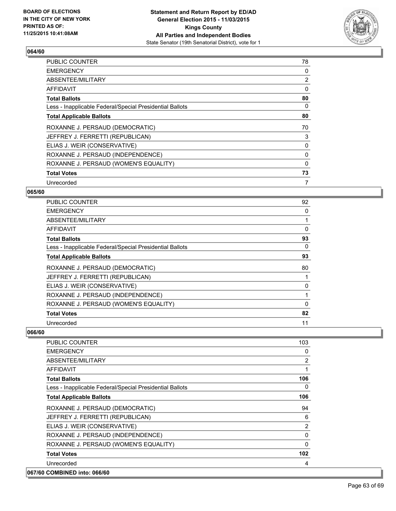

| <b>PUBLIC COUNTER</b>                                    | 78             |
|----------------------------------------------------------|----------------|
| <b>EMERGENCY</b>                                         | 0              |
| ABSENTEE/MILITARY                                        | $\overline{2}$ |
| AFFIDAVIT                                                | 0              |
| <b>Total Ballots</b>                                     | 80             |
| Less - Inapplicable Federal/Special Presidential Ballots | 0              |
| <b>Total Applicable Ballots</b>                          | 80             |
| ROXANNE J. PERSAUD (DEMOCRATIC)                          | 70             |
| JEFFREY J. FERRETTI (REPUBLICAN)                         | 3              |
| ELIAS J. WEIR (CONSERVATIVE)                             | 0              |
| ROXANNE J. PERSAUD (INDEPENDENCE)                        | 0              |
| ROXANNE J. PERSAUD (WOMEN'S EQUALITY)                    | 0              |
| <b>Total Votes</b>                                       | 73             |
| Unrecorded                                               | 7              |

#### **065/60**

| PUBLIC COUNTER                                           | 92 |
|----------------------------------------------------------|----|
| <b>EMERGENCY</b>                                         | 0  |
| ABSENTEE/MILITARY                                        |    |
| AFFIDAVIT                                                | 0  |
| <b>Total Ballots</b>                                     | 93 |
| Less - Inapplicable Federal/Special Presidential Ballots | 0  |
| <b>Total Applicable Ballots</b>                          | 93 |
| ROXANNE J. PERSAUD (DEMOCRATIC)                          | 80 |
| JEFFREY J. FERRETTI (REPUBLICAN)                         |    |
| ELIAS J. WEIR (CONSERVATIVE)                             | 0  |
| ROXANNE J. PERSAUD (INDEPENDENCE)                        |    |
| ROXANNE J. PERSAUD (WOMEN'S EQUALITY)                    | 0  |
| <b>Total Votes</b>                                       | 82 |
| Unrecorded                                               | 11 |

| <b>PUBLIC COUNTER</b>                                    | 103            |
|----------------------------------------------------------|----------------|
| <b>EMERGENCY</b>                                         | 0              |
| ABSENTEE/MILITARY                                        | 2              |
| <b>AFFIDAVIT</b>                                         | 1              |
| <b>Total Ballots</b>                                     | 106            |
| Less - Inapplicable Federal/Special Presidential Ballots | 0              |
| <b>Total Applicable Ballots</b>                          | 106            |
| ROXANNE J. PERSAUD (DEMOCRATIC)                          | 94             |
| JEFFREY J. FERRETTI (REPUBLICAN)                         | 6              |
| ELIAS J. WEIR (CONSERVATIVE)                             | $\overline{2}$ |
| ROXANNE J. PERSAUD (INDEPENDENCE)                        | 0              |
| ROXANNE J. PERSAUD (WOMEN'S EQUALITY)                    | $\Omega$       |
| <b>Total Votes</b>                                       | 102            |
| Unrecorded                                               | 4              |
| 067/60 COMBINED into: 066/60                             |                |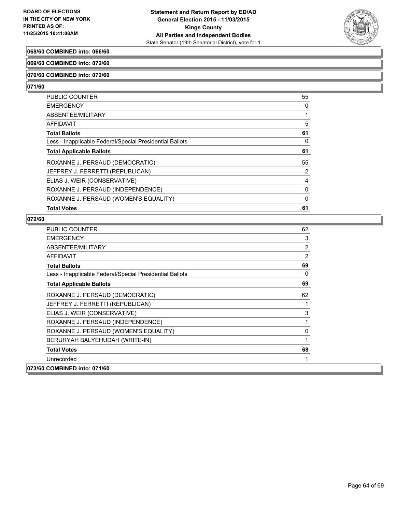

## **068/60 COMBINED into: 066/60**

#### **069/60 COMBINED into: 072/60**

#### **070/60 COMBINED into: 072/60**

#### **071/60**

| <b>AFFIDAVIT</b>                                         | 5        |
|----------------------------------------------------------|----------|
| <b>Total Ballots</b>                                     | 61       |
| Less - Inapplicable Federal/Special Presidential Ballots | 0        |
| <b>Total Applicable Ballots</b>                          | 61       |
| ROXANNE J. PERSAUD (DEMOCRATIC)                          | 55       |
| JEFFREY J. FERRETTI (REPUBLICAN)                         | 2        |
| ELIAS J. WEIR (CONSERVATIVE)                             | 4        |
| ROXANNE J. PERSAUD (INDEPENDENCE)                        | $\Omega$ |
| ROXANNE J. PERSAUD (WOMEN'S EQUALITY)                    | 0        |
| <b>Total Votes</b>                                       | 61       |

| <b>PUBLIC COUNTER</b>                                    | 62 |
|----------------------------------------------------------|----|
| <b>EMERGENCY</b>                                         | 3  |
| ABSENTEE/MILITARY                                        | 2  |
| <b>AFFIDAVIT</b>                                         | 2  |
| <b>Total Ballots</b>                                     | 69 |
| Less - Inapplicable Federal/Special Presidential Ballots | 0  |
| <b>Total Applicable Ballots</b>                          | 69 |
| ROXANNE J. PERSAUD (DEMOCRATIC)                          | 62 |
| JEFFREY J. FERRETTI (REPUBLICAN)                         | 1  |
| ELIAS J. WEIR (CONSERVATIVE)                             | 3  |
| ROXANNE J. PERSAUD (INDEPENDENCE)                        | 1  |
| ROXANNE J. PERSAUD (WOMEN'S EQUALITY)                    | 0  |
| BERURYAH BALYEHUDAH (WRITE-IN)                           | 1  |
| <b>Total Votes</b>                                       | 68 |
| Unrecorded                                               | 1  |
| 073/60 COMBINED into: 071/60                             |    |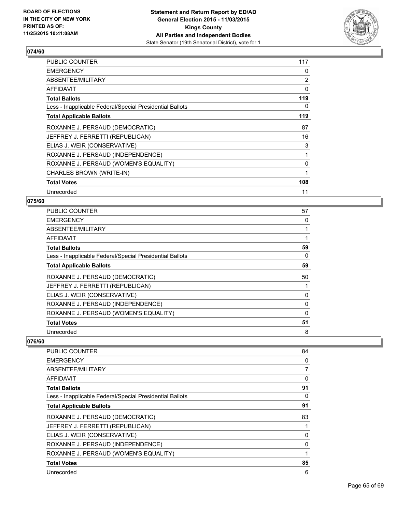

| <b>PUBLIC COUNTER</b>                                    | 117            |
|----------------------------------------------------------|----------------|
| <b>EMERGENCY</b>                                         | 0              |
| ABSENTEE/MILITARY                                        | $\overline{2}$ |
| AFFIDAVIT                                                | 0              |
| <b>Total Ballots</b>                                     | 119            |
| Less - Inapplicable Federal/Special Presidential Ballots | 0              |
| <b>Total Applicable Ballots</b>                          | 119            |
| ROXANNE J. PERSAUD (DEMOCRATIC)                          | 87             |
| JEFFREY J. FERRETTI (REPUBLICAN)                         | 16             |
| ELIAS J. WEIR (CONSERVATIVE)                             | 3              |
| ROXANNE J. PERSAUD (INDEPENDENCE)                        |                |
| ROXANNE J. PERSAUD (WOMEN'S EQUALITY)                    | 0              |
| CHARLES BROWN (WRITE-IN)                                 |                |
| <b>Total Votes</b>                                       | 108            |
| Unrecorded                                               | 11             |

#### **075/60**

| <b>PUBLIC COUNTER</b>                                    | 57 |
|----------------------------------------------------------|----|
| <b>EMERGENCY</b>                                         | 0  |
| ABSENTEE/MILITARY                                        |    |
| AFFIDAVIT                                                |    |
| <b>Total Ballots</b>                                     | 59 |
| Less - Inapplicable Federal/Special Presidential Ballots | 0  |
| <b>Total Applicable Ballots</b>                          | 59 |
| ROXANNE J. PERSAUD (DEMOCRATIC)                          | 50 |
| JEFFREY J. FERRETTI (REPUBLICAN)                         |    |
| ELIAS J. WEIR (CONSERVATIVE)                             | 0  |
| ROXANNE J. PERSAUD (INDEPENDENCE)                        | 0  |
| ROXANNE J. PERSAUD (WOMEN'S EQUALITY)                    | 0  |
| <b>Total Votes</b>                                       | 51 |
| Unrecorded                                               | 8  |

| <b>PUBLIC COUNTER</b>                                    | 84 |
|----------------------------------------------------------|----|
| <b>EMERGENCY</b>                                         | 0  |
| ABSENTEE/MILITARY                                        | 7  |
| AFFIDAVIT                                                | 0  |
| <b>Total Ballots</b>                                     | 91 |
| Less - Inapplicable Federal/Special Presidential Ballots | 0  |
| <b>Total Applicable Ballots</b>                          | 91 |
| ROXANNE J. PERSAUD (DEMOCRATIC)                          | 83 |
| JEFFREY J. FERRETTI (REPUBLICAN)                         | 1  |
| ELIAS J. WEIR (CONSERVATIVE)                             | 0  |
| ROXANNE J. PERSAUD (INDEPENDENCE)                        | 0  |
| ROXANNE J. PERSAUD (WOMEN'S EQUALITY)                    | 1  |
| <b>Total Votes</b>                                       | 85 |
| Unrecorded                                               | 6  |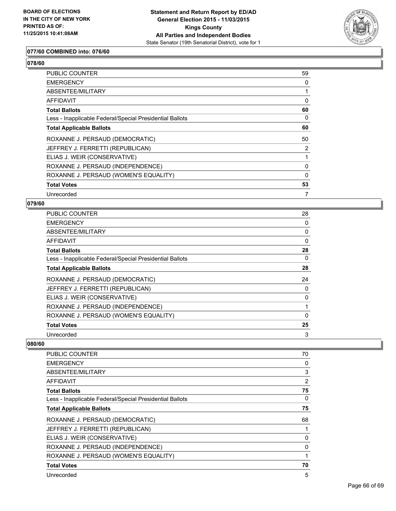

#### **077/60 COMBINED into: 076/60**

| PUBLIC COUNTER                                           | 59             |
|----------------------------------------------------------|----------------|
| <b>EMERGENCY</b>                                         | 0              |
| <b>ABSENTEE/MILITARY</b>                                 |                |
| <b>AFFIDAVIT</b>                                         | 0              |
| <b>Total Ballots</b>                                     | 60             |
| Less - Inapplicable Federal/Special Presidential Ballots | 0              |
| <b>Total Applicable Ballots</b>                          | 60             |
| ROXANNE J. PERSAUD (DEMOCRATIC)                          | 50             |
| JEFFREY J. FERRETTI (REPUBLICAN)                         | $\overline{2}$ |
| ELIAS J. WEIR (CONSERVATIVE)                             | 1              |
| ROXANNE J. PERSAUD (INDEPENDENCE)                        | 0              |
| ROXANNE J. PERSAUD (WOMEN'S EQUALITY)                    | $\Omega$       |
| <b>Total Votes</b>                                       | 53             |
| Unrecorded                                               | 7              |

#### **079/60**

| <b>PUBLIC COUNTER</b>                                    | 28       |
|----------------------------------------------------------|----------|
| <b>EMERGENCY</b>                                         | 0        |
| ABSENTEE/MILITARY                                        | 0        |
| AFFIDAVIT                                                | $\Omega$ |
| <b>Total Ballots</b>                                     | 28       |
| Less - Inapplicable Federal/Special Presidential Ballots | 0        |
| <b>Total Applicable Ballots</b>                          | 28       |
| ROXANNE J. PERSAUD (DEMOCRATIC)                          | 24       |
| JEFFREY J. FERRETTI (REPUBLICAN)                         | 0        |
| ELIAS J. WEIR (CONSERVATIVE)                             | 0        |
| ROXANNE J. PERSAUD (INDEPENDENCE)                        |          |
| ROXANNE J. PERSAUD (WOMEN'S EQUALITY)                    | 0        |
| <b>Total Votes</b>                                       | 25       |
| Unrecorded                                               | 3        |

| PUBLIC COUNTER                                           | 70             |
|----------------------------------------------------------|----------------|
| <b>EMERGENCY</b>                                         | $\Omega$       |
| ABSENTEE/MILITARY                                        | 3              |
| AFFIDAVIT                                                | $\overline{2}$ |
| <b>Total Ballots</b>                                     | 75             |
| Less - Inapplicable Federal/Special Presidential Ballots | 0              |
| <b>Total Applicable Ballots</b>                          | 75             |
| ROXANNE J. PERSAUD (DEMOCRATIC)                          | 68             |
| JEFFREY J. FERRETTI (REPUBLICAN)                         |                |
| ELIAS J. WEIR (CONSERVATIVE)                             | 0              |
| ROXANNE J. PERSAUD (INDEPENDENCE)                        | 0              |
| ROXANNE J. PERSAUD (WOMEN'S EQUALITY)                    |                |
| <b>Total Votes</b>                                       | 70             |
| Unrecorded                                               | 5              |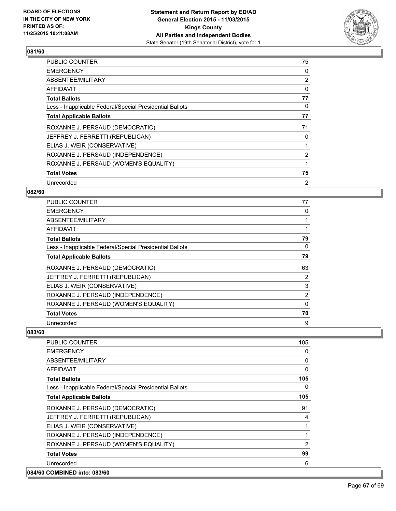

| <b>PUBLIC COUNTER</b>                                    | 75             |
|----------------------------------------------------------|----------------|
| <b>EMERGENCY</b>                                         | 0              |
| ABSENTEE/MILITARY                                        | $\overline{2}$ |
| AFFIDAVIT                                                | 0              |
| <b>Total Ballots</b>                                     | 77             |
| Less - Inapplicable Federal/Special Presidential Ballots | 0              |
| <b>Total Applicable Ballots</b>                          | 77             |
| ROXANNE J. PERSAUD (DEMOCRATIC)                          | 71             |
| JEFFREY J. FERRETTI (REPUBLICAN)                         | 0              |
| ELIAS J. WEIR (CONSERVATIVE)                             |                |
| ROXANNE J. PERSAUD (INDEPENDENCE)                        | $\overline{2}$ |
| ROXANNE J. PERSAUD (WOMEN'S EQUALITY)                    |                |
| <b>Total Votes</b>                                       | 75             |
| Unrecorded                                               | 2              |

# **082/60**

| PUBLIC COUNTER                                           | 77             |
|----------------------------------------------------------|----------------|
| <b>EMERGENCY</b>                                         | 0              |
| ABSENTEE/MILITARY                                        |                |
| AFFIDAVIT                                                |                |
| <b>Total Ballots</b>                                     | 79             |
| Less - Inapplicable Federal/Special Presidential Ballots | 0              |
| <b>Total Applicable Ballots</b>                          | 79             |
| ROXANNE J. PERSAUD (DEMOCRATIC)                          | 63             |
| JEFFREY J. FERRETTI (REPUBLICAN)                         | 2              |
| ELIAS J. WEIR (CONSERVATIVE)                             | 3              |
| ROXANNE J. PERSAUD (INDEPENDENCE)                        | $\overline{2}$ |
| ROXANNE J. PERSAUD (WOMEN'S EQUALITY)                    | 0              |
| <b>Total Votes</b>                                       | 70             |
| Unrecorded                                               | 9              |

| <b>PUBLIC COUNTER</b>                                    | 105      |
|----------------------------------------------------------|----------|
| <b>EMERGENCY</b>                                         | 0        |
| ABSENTEE/MILITARY                                        | 0        |
| <b>AFFIDAVIT</b>                                         | $\Omega$ |
| <b>Total Ballots</b>                                     | 105      |
| Less - Inapplicable Federal/Special Presidential Ballots | 0        |
| <b>Total Applicable Ballots</b>                          | 105      |
| ROXANNE J. PERSAUD (DEMOCRATIC)                          | 91       |
| JEFFREY J. FERRETTI (REPUBLICAN)                         | 4        |
| ELIAS J. WEIR (CONSERVATIVE)                             |          |
| ROXANNE J. PERSAUD (INDEPENDENCE)                        |          |
| ROXANNE J. PERSAUD (WOMEN'S EQUALITY)                    | 2        |
| <b>Total Votes</b>                                       | 99       |
| Unrecorded                                               | 6        |
| 084/60 COMBINED into: 083/60                             |          |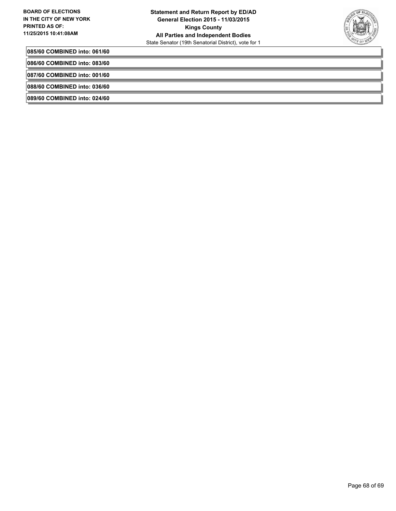

**085/60 COMBINED into: 061/60**

**086/60 COMBINED into: 083/60**

**087/60 COMBINED into: 001/60**

**088/60 COMBINED into: 036/60**

**089/60 COMBINED into: 024/60**